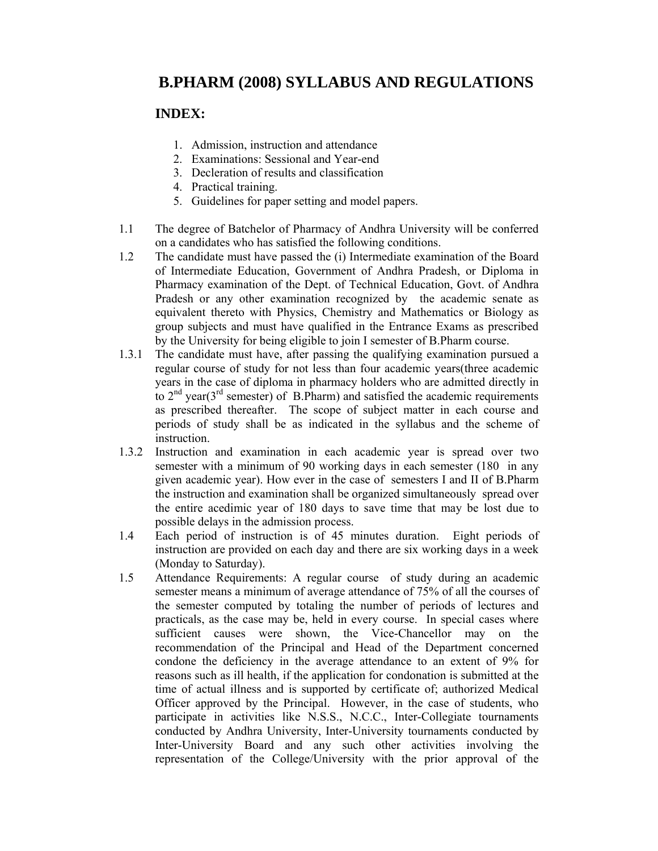# **B.PHARM (2008) SYLLABUS AND REGULATIONS**

# **INDEX:**

- 1. Admission, instruction and attendance
- 2. Examinations: Sessional and Year-end
- 3. Decleration of results and classification
- 4. Practical training.
- 5. Guidelines for paper setting and model papers.
- 1.1 The degree of Batchelor of Pharmacy of Andhra University will be conferred on a candidates who has satisfied the following conditions.
- 1.2 The candidate must have passed the (i) Intermediate examination of the Board of Intermediate Education, Government of Andhra Pradesh, or Diploma in Pharmacy examination of the Dept. of Technical Education, Govt. of Andhra Pradesh or any other examination recognized by the academic senate as equivalent thereto with Physics, Chemistry and Mathematics or Biology as group subjects and must have qualified in the Entrance Exams as prescribed by the University for being eligible to join I semester of B.Pharm course.
- 1.3.1 The candidate must have, after passing the qualifying examination pursued a regular course of study for not less than four academic years(three academic years in the case of diploma in pharmacy holders who are admitted directly in to  $2<sup>nd</sup>$  year( $3<sup>rd</sup>$  semester) of B.Pharm) and satisfied the academic requirements as prescribed thereafter. The scope of subject matter in each course and periods of study shall be as indicated in the syllabus and the scheme of instruction.
- 1.3.2 Instruction and examination in each academic year is spread over two semester with a minimum of 90 working days in each semester (180 in any given academic year). How ever in the case of semesters I and II of B.Pharm the instruction and examination shall be organized simultaneously spread over the entire acedimic year of 180 days to save time that may be lost due to possible delays in the admission process.
- 1.4 Each period of instruction is of 45 minutes duration. Eight periods of instruction are provided on each day and there are six working days in a week (Monday to Saturday).
- 1.5 Attendance Requirements: A regular course of study during an academic semester means a minimum of average attendance of 75% of all the courses of the semester computed by totaling the number of periods of lectures and practicals, as the case may be, held in every course. In special cases where sufficient causes were shown, the Vice-Chancellor may on the recommendation of the Principal and Head of the Department concerned condone the deficiency in the average attendance to an extent of 9% for reasons such as ill health, if the application for condonation is submitted at the time of actual illness and is supported by certificate of; authorized Medical Officer approved by the Principal. However, in the case of students, who participate in activities like N.S.S., N.C.C., Inter-Collegiate tournaments conducted by Andhra University, Inter-University tournaments conducted by Inter-University Board and any such other activities involving the representation of the College/University with the prior approval of the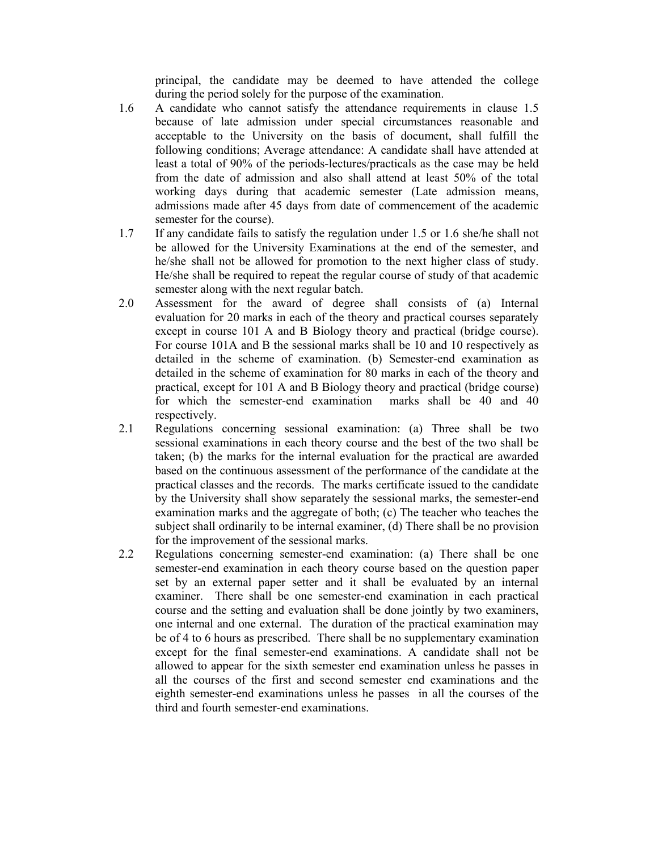principal, the candidate may be deemed to have attended the college during the period solely for the purpose of the examination.

- 1.6 A candidate who cannot satisfy the attendance requirements in clause 1.5 because of late admission under special circumstances reasonable and acceptable to the University on the basis of document, shall fulfill the following conditions; Average attendance: A candidate shall have attended at least a total of 90% of the periods-lectures/practicals as the case may be held from the date of admission and also shall attend at least 50% of the total working days during that academic semester (Late admission means, admissions made after 45 days from date of commencement of the academic semester for the course).
- 1.7 If any candidate fails to satisfy the regulation under 1.5 or 1.6 she/he shall not be allowed for the University Examinations at the end of the semester, and he/she shall not be allowed for promotion to the next higher class of study. He/she shall be required to repeat the regular course of study of that academic semester along with the next regular batch.
- 2.0 Assessment for the award of degree shall consists of (a) Internal evaluation for 20 marks in each of the theory and practical courses separately except in course 101 A and B Biology theory and practical (bridge course). For course 101A and B the sessional marks shall be 10 and 10 respectively as detailed in the scheme of examination. (b) Semester-end examination as detailed in the scheme of examination for 80 marks in each of the theory and practical, except for 101 A and B Biology theory and practical (bridge course) for which the semester-end examination marks shall be 40 and 40 respectively.
- 2.1 Regulations concerning sessional examination: (a) Three shall be two sessional examinations in each theory course and the best of the two shall be taken; (b) the marks for the internal evaluation for the practical are awarded based on the continuous assessment of the performance of the candidate at the practical classes and the records. The marks certificate issued to the candidate by the University shall show separately the sessional marks, the semester-end examination marks and the aggregate of both; (c) The teacher who teaches the subject shall ordinarily to be internal examiner, (d) There shall be no provision for the improvement of the sessional marks.
- 2.2 Regulations concerning semester-end examination: (a) There shall be one semester-end examination in each theory course based on the question paper set by an external paper setter and it shall be evaluated by an internal examiner. There shall be one semester-end examination in each practical course and the setting and evaluation shall be done jointly by two examiners, one internal and one external. The duration of the practical examination may be of 4 to 6 hours as prescribed. There shall be no supplementary examination except for the final semester-end examinations. A candidate shall not be allowed to appear for the sixth semester end examination unless he passes in all the courses of the first and second semester end examinations and the eighth semester-end examinations unless he passes in all the courses of the third and fourth semester-end examinations.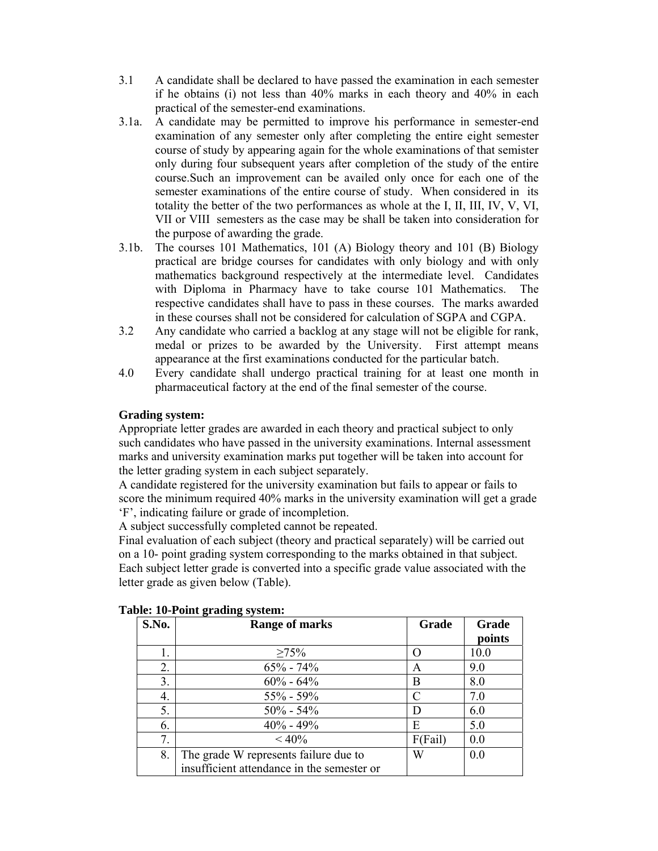- 3.1 A candidate shall be declared to have passed the examination in each semester if he obtains (i) not less than 40% marks in each theory and 40% in each practical of the semester-end examinations.
- 3.1a. A candidate may be permitted to improve his performance in semester-end examination of any semester only after completing the entire eight semester course of study by appearing again for the whole examinations of that semister only during four subsequent years after completion of the study of the entire course.Such an improvement can be availed only once for each one of the semester examinations of the entire course of study. When considered in its totality the better of the two performances as whole at the I, II, III, IV, V, VI, VII or VIII semesters as the case may be shall be taken into consideration for the purpose of awarding the grade.
- 3.1b. The courses 101 Mathematics, 101 (A) Biology theory and 101 (B) Biology practical are bridge courses for candidates with only biology and with only mathematics background respectively at the intermediate level. Candidates with Diploma in Pharmacy have to take course 101 Mathematics. The respective candidates shall have to pass in these courses. The marks awarded in these courses shall not be considered for calculation of SGPA and CGPA.
- 3.2 Any candidate who carried a backlog at any stage will not be eligible for rank, medal or prizes to be awarded by the University. First attempt means appearance at the first examinations conducted for the particular batch.
- 4.0 Every candidate shall undergo practical training for at least one month in pharmaceutical factory at the end of the final semester of the course.

## **Grading system:**

Appropriate letter grades are awarded in each theory and practical subject to only such candidates who have passed in the university examinations. Internal assessment marks and university examination marks put together will be taken into account for the letter grading system in each subject separately.

A candidate registered for the university examination but fails to appear or fails to score the minimum required 40% marks in the university examination will get a grade 'F', indicating failure or grade of incompletion.

A subject successfully completed cannot be repeated.

Final evaluation of each subject (theory and practical separately) will be carried out on a 10- point grading system corresponding to the marks obtained in that subject. Each subject letter grade is converted into a specific grade value associated with the letter grade as given below (Table).

| S.No. | $= 0.000$ go well go by by $= 0.000$<br><b>Range of marks</b> | Grade   | Grade<br>points |
|-------|---------------------------------------------------------------|---------|-----------------|
|       | $\geq 75\%$                                                   |         | 10.0            |
| 2.    | $65\% - 74\%$                                                 | A       | 9.0             |
| 3.    | $60\% - 64\%$                                                 | В       | 8.0             |
| 4.    | $55\% - 59\%$                                                 | C       | 7.0             |
| 5.    | $50\% - 54\%$                                                 | D       | 6.0             |
| 6.    | $40\% - 49\%$                                                 | E       | 5.0             |
| 7.    | $< 40\%$                                                      | F(Fail) | 0.0             |
| 8.    | The grade W represents failure due to                         | W       | 0.0             |
|       | insufficient attendance in the semester or                    |         |                 |

| Table: 10-Point grading system: |  |
|---------------------------------|--|
|                                 |  |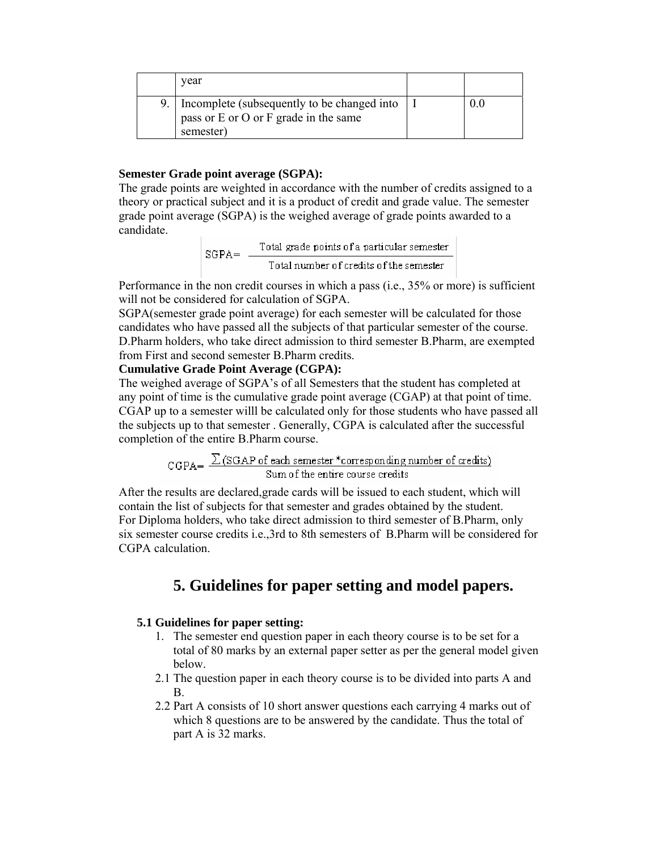|  | vear                                                                                              |  |
|--|---------------------------------------------------------------------------------------------------|--|
|  | Incomplete (subsequently to be changed into<br>pass or E or O or F grade in the same<br>semester) |  |

#### **Semester Grade point average (SGPA):**

The grade points are weighted in accordance with the number of credits assigned to a theory or practical subject and it is a product of credit and grade value. The semester grade point average (SGPA) is the weighed average of grade points awarded to a candidate.

 $\text{SGPA} = \frac{\text{Total grade points of a particular semester}}{\text{Total number of credits of the semester}}$ 

Performance in the non credit courses in which a pass (i.e., 35% or more) is sufficient will not be considered for calculation of SGPA.

SGPA(semester grade point average) for each semester will be calculated for those candidates who have passed all the subjects of that particular semester of the course. D.Pharm holders, who take direct admission to third semester B.Pharm, are exempted from First and second semester B.Pharm credits.

### **Cumulative Grade Point Average (CGPA):**

The weighed average of SGPA's of all Semesters that the student has completed at any point of time is the cumulative grade point average (CGAP) at that point of time. CGAP up to a semester willl be calculated only for those students who have passed all the subjects up to that semester . Generally, CGPA is calculated after the successful completion of the entire B.Pharm course.

 $CGPA = \frac{\sum (SGAP of each semester * corresponding number of credits)}{Sum of the entire course credits}$ 

After the results are declared,grade cards will be issued to each student, which will contain the list of subjects for that semester and grades obtained by the student. For Diploma holders, who take direct admission to third semester of B.Pharm, only six semester course credits i.e.,3rd to 8th semesters of B.Pharm will be considered for CGPA calculation.

# **5. Guidelines for paper setting and model papers.**

#### **5.1 Guidelines for paper setting:**

- 1. The semester end question paper in each theory course is to be set for a total of 80 marks by an external paper setter as per the general model given below.
- 2.1 The question paper in each theory course is to be divided into parts A and B.
- 2.2 Part A consists of 10 short answer questions each carrying 4 marks out of which 8 questions are to be answered by the candidate. Thus the total of part A is 32 marks.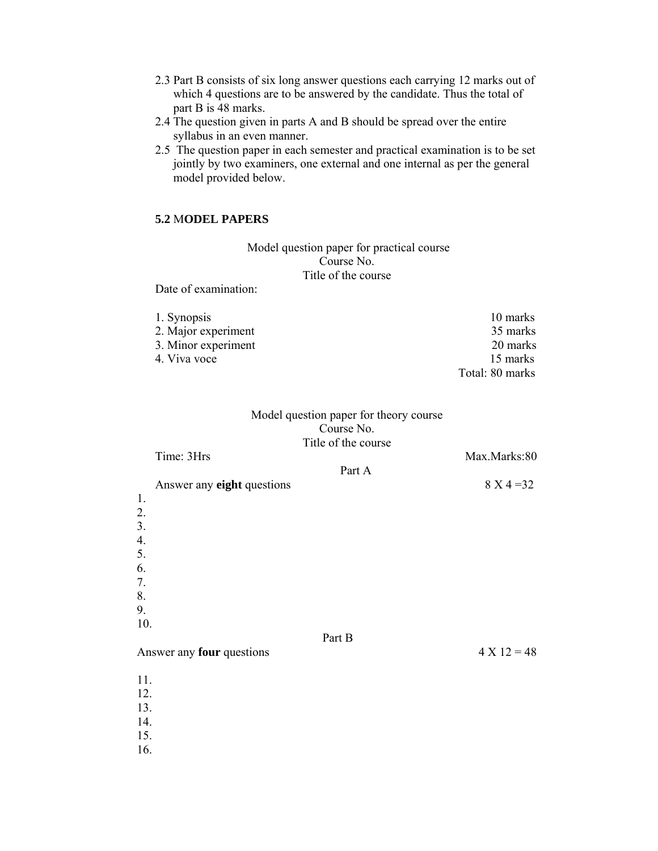- 2.3 Part B consists of six long answer questions each carrying 12 marks out of which 4 questions are to be answered by the candidate. Thus the total of part B is 48 marks.
- 2.4 The question given in parts A and B should be spread over the entire syllabus in an even manner.
- 2.5 The question paper in each semester and practical examination is to be set jointly by two examiners, one external and one internal as per the general model provided below.

### **5.2** M**ODEL PAPERS**

 Model question paper for practical course Course No. Title of the course

Date of examination:

| 1. Synopsis         | 10 marks        |
|---------------------|-----------------|
| 2. Major experiment | 35 marks        |
| 3. Minor experiment | 20 marks        |
| 4. Viva voce        | 15 marks        |
|                     | Total: 80 marks |

## Model question paper for theory course Course No. Title of the course

| Time: 3Hrs                                                       |        | Max.Marks:80  |
|------------------------------------------------------------------|--------|---------------|
| Answer any eight questions                                       | Part A | $8 X 4 = 32$  |
| 1.<br>2.<br>3.<br>$\overline{4}$ .<br>5.<br>6.<br>7.<br>8.<br>9. |        |               |
| 10.<br>Answer any four questions                                 | Part B | $4 X 12 = 48$ |
| 11.<br>12.<br>13.<br>14.<br>15.<br>16.                           |        |               |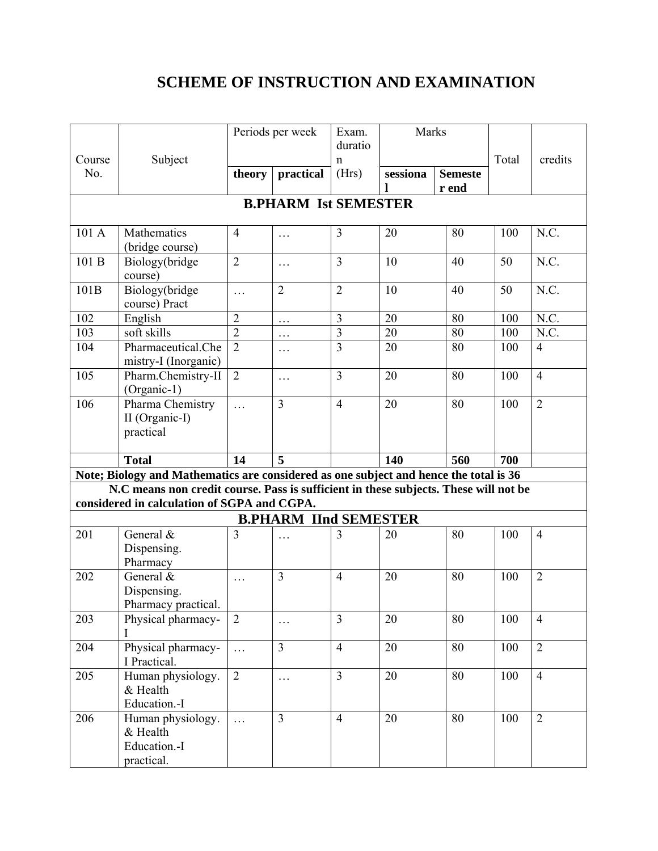# **SCHEME OF INSTRUCTION AND EXAMINATION**

|        |                                                                                       | Periods per week |                              | Exam.          | Marks    |                |       |                |  |
|--------|---------------------------------------------------------------------------------------|------------------|------------------------------|----------------|----------|----------------|-------|----------------|--|
|        |                                                                                       |                  |                              | duratio        |          |                |       |                |  |
| Course | Subject                                                                               |                  |                              | $\mathbf n$    |          |                | Total | credits        |  |
| No.    |                                                                                       | theory           | practical                    | (Hrs)          | sessiona | <b>Semeste</b> |       |                |  |
|        |                                                                                       |                  |                              |                |          | r end          |       |                |  |
|        | <b>B.PHARM Ist SEMESTER</b>                                                           |                  |                              |                |          |                |       |                |  |
| 101 A  | Mathematics<br>(bridge course)                                                        | $\overline{4}$   | $\ldots$                     | $\overline{3}$ | 20       | 80             | 100   | N.C.           |  |
| 101 B  | Biology(bridge<br>course)                                                             | $\overline{2}$   | $\cdots$                     | $\overline{3}$ | 10       | 40             | 50    | N.C.           |  |
| 101B   | Biology(bridge<br>course) Pract                                                       | $\ldots$         | $\overline{2}$               | $\overline{2}$ | 10       | 40             | 50    | N.C.           |  |
| 102    | English                                                                               | $\overline{2}$   | $\cdots$                     | 3              | 20       | 80             | 100   | N.C.           |  |
| 103    | soft skills                                                                           | $\overline{2}$   | $\cdots$                     | $\overline{3}$ | 20       | 80             | 100   | N.C.           |  |
| 104    | Pharmaceutical.Che<br>mistry-I (Inorganic)                                            | $\overline{2}$   | $\ldots$                     | $\overline{3}$ | 20       | 80             | 100   | $\overline{4}$ |  |
| 105    | Pharm.Chemistry-II<br>(Organic-1)                                                     | $\overline{2}$   | $\ldots$                     | $\overline{3}$ | 20       | 80             | 100   | $\overline{4}$ |  |
| 106    | Pharma Chemistry<br>II (Organic-I)<br>practical                                       | $\ldots$         | 3                            | $\overline{4}$ | 20       | 80             | 100   | $\overline{2}$ |  |
|        | <b>Total</b>                                                                          | 14               | 5                            |                | 140      | 560            | 700   |                |  |
|        | Note; Biology and Mathematics are considered as one subject and hence the total is 36 |                  |                              |                |          |                |       |                |  |
|        | N.C means non credit course. Pass is sufficient in these subjects. These will not be  |                  |                              |                |          |                |       |                |  |
|        | considered in calculation of SGPA and CGPA.                                           |                  |                              |                |          |                |       |                |  |
|        |                                                                                       |                  | <b>B.PHARM IInd SEMESTER</b> |                |          |                |       |                |  |
| 201    | General &<br>Dispensing.<br>Pharmacy                                                  | $\overline{3}$   | $\cdots$                     | $\overline{3}$ | 20       | 80             | 100   | $\overline{4}$ |  |
| 202    | General &<br>Dispensing.<br>Pharmacy practical.                                       | $\cdots$         | 3                            | $\overline{4}$ | 20       | 80             | 100   | $\overline{2}$ |  |
| 203    | Physical pharmacy-<br>$\bf{l}$                                                        | $\overline{2}$   | $\cdots$                     | $\overline{3}$ | 20       | 80             | 100   | $\overline{4}$ |  |
| 204    | Physical pharmacy-<br>I Practical.                                                    | $\ldots$         | 3                            | $\overline{4}$ | 20       | 80             | 100   | $\overline{2}$ |  |
| 205    | Human physiology.<br>& Health<br>Education.-I                                         | $\overline{2}$   | $\ldots$                     | $\overline{3}$ | 20       | 80             | 100   | $\overline{4}$ |  |
| 206    | Human physiology.<br>& Health<br>Education.-I<br>practical.                           | $\cdots$         | $\overline{3}$               | $\overline{4}$ | 20       | 80             | 100   | $\overline{2}$ |  |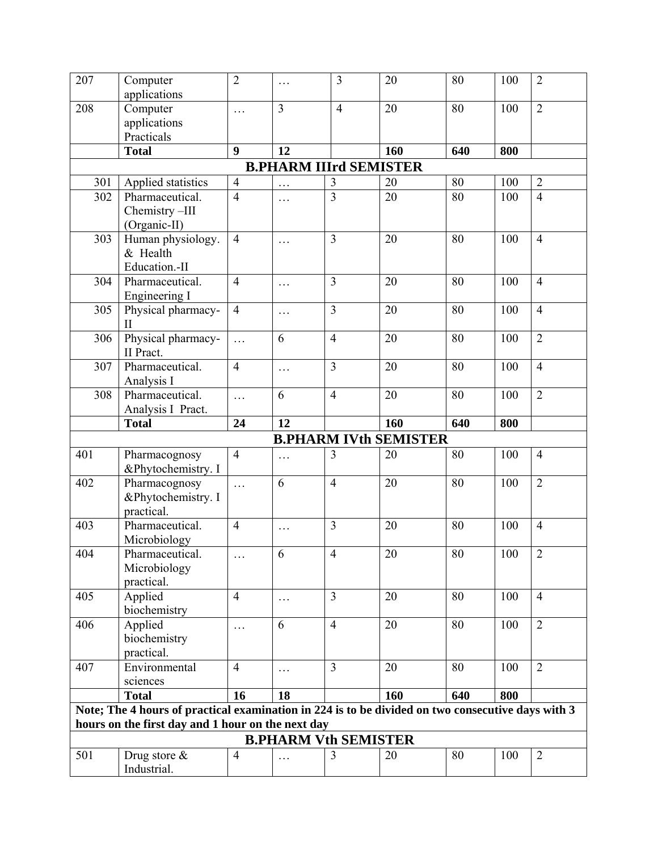| 207                                                                                                                                                    | Computer                                          | $\overline{2}$ | .                           | 3              | 20                           | 80     | 100 | $\overline{2}$ |  |  |
|--------------------------------------------------------------------------------------------------------------------------------------------------------|---------------------------------------------------|----------------|-----------------------------|----------------|------------------------------|--------|-----|----------------|--|--|
|                                                                                                                                                        | applications                                      |                |                             |                |                              |        |     |                |  |  |
| 208                                                                                                                                                    | Computer                                          | .              | 3                           | $\overline{4}$ | 20                           | 80     | 100 | $\overline{2}$ |  |  |
|                                                                                                                                                        | applications                                      |                |                             |                |                              |        |     |                |  |  |
|                                                                                                                                                        | Practicals                                        |                |                             |                |                              |        |     |                |  |  |
|                                                                                                                                                        | <b>Total</b>                                      | 9              | 12                          |                | 160                          | 640    | 800 |                |  |  |
| <b>B.PHARM IIIrd SEMISTER</b>                                                                                                                          |                                                   |                |                             |                |                              |        |     |                |  |  |
| 301                                                                                                                                                    | Applied statistics                                | $\overline{4}$ | .                           | 3              | 20                           | 80     | 100 | $\sqrt{2}$     |  |  |
| 302                                                                                                                                                    | Pharmaceutical.<br>Chemistry-III<br>(Organic-II)  | $\overline{4}$ | .                           | $\overline{3}$ | 20                           | 80     | 100 | $\overline{4}$ |  |  |
| 303                                                                                                                                                    | Human physiology.<br>& Health<br>Education.-II    | $\overline{4}$ | .                           | 3              | 20                           | 80     | 100 | $\overline{4}$ |  |  |
| 304                                                                                                                                                    | Pharmaceutical.<br>Engineering I                  | $\overline{4}$ | .                           | 3              | 20                           | 80     | 100 | $\overline{4}$ |  |  |
| 305                                                                                                                                                    | Physical pharmacy-<br>$\mathbf{I}$                | $\overline{4}$ | .                           | $\overline{3}$ | 20                           | 80     | 100 | $\overline{4}$ |  |  |
| 306                                                                                                                                                    | Physical pharmacy-<br>II Pract.                   | .              | 6                           | $\overline{4}$ | 20                           | 80     | 100 | $\overline{2}$ |  |  |
| 307                                                                                                                                                    | Pharmaceutical.<br>Analysis I                     | $\overline{4}$ | $\cdots$                    | $\overline{3}$ | 20                           | 80     | 100 | $\overline{4}$ |  |  |
| 308                                                                                                                                                    | Pharmaceutical.<br>Analysis I Pract.              | .              | 6                           | $\overline{4}$ | 20                           | 80     | 100 | $\overline{2}$ |  |  |
|                                                                                                                                                        | <b>Total</b>                                      | 24             | 12                          |                | 160                          | 640    | 800 |                |  |  |
|                                                                                                                                                        |                                                   |                |                             |                | <b>B.PHARM IVth SEMISTER</b> |        |     |                |  |  |
| 401                                                                                                                                                    | Pharmacognosy<br>&Phytochemistry. I               | $\overline{4}$ | .                           | 3              | 20                           | 80     | 100 | $\overline{4}$ |  |  |
| 402                                                                                                                                                    | Pharmacognosy<br>&Phytochemistry. I<br>practical. | $\cdots$       | 6                           | $\overline{4}$ | 20                           | 80     | 100 | $\overline{2}$ |  |  |
| 403                                                                                                                                                    | Pharmaceutical.<br>Microbiology                   | $\overline{4}$ | $\cdots$                    | $\overline{3}$ | 20                           | 80     | 100 | $\overline{4}$ |  |  |
| 404                                                                                                                                                    | Pharmaceutical.<br>Microbiology<br>practical.     | $\cdots$       | 6                           | $\overline{4}$ | $20\,$                       | $80\,$ | 100 | $\sqrt{2}$     |  |  |
| 405                                                                                                                                                    | Applied<br>biochemistry                           | $\overline{4}$ | $\ldots$                    | $\overline{3}$ | 20                           | 80     | 100 | $\overline{4}$ |  |  |
| 406                                                                                                                                                    | Applied<br>biochemistry<br>practical.             | .              | 6                           | $\overline{4}$ | 20                           | 80     | 100 | $\overline{2}$ |  |  |
| 407                                                                                                                                                    | Environmental<br>sciences                         | $\overline{4}$ | .                           | $\overline{3}$ | 20                           | 80     | 100 | $\overline{2}$ |  |  |
|                                                                                                                                                        | <b>Total</b>                                      | 16             | 18                          |                | 160                          | 640    | 800 |                |  |  |
| Note; The 4 hours of practical examination in 224 is to be divided on two consecutive days with 3<br>hours on the first day and 1 hour on the next day |                                                   |                |                             |                |                              |        |     |                |  |  |
|                                                                                                                                                        |                                                   |                | <b>B.PHARM Vth SEMISTER</b> |                |                              |        |     |                |  |  |
| 501                                                                                                                                                    | Drug store $\&$<br>Industrial.                    | $\overline{4}$ | .                           | 3              | 20                           | 80     | 100 | $\overline{2}$ |  |  |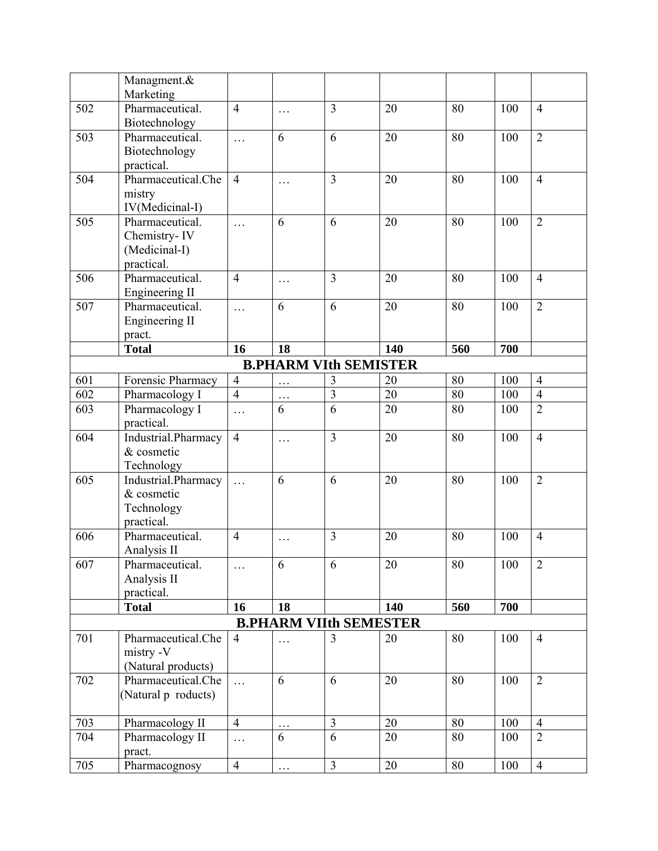|     | Managment.&<br>Marketing |                |          |                               |     |     |     |                |
|-----|--------------------------|----------------|----------|-------------------------------|-----|-----|-----|----------------|
| 502 | Pharmaceutical.          | $\overline{4}$ |          | 3                             | 20  | 80  | 100 | $\overline{4}$ |
|     | Biotechnology            |                | .        |                               |     |     |     |                |
| 503 | Pharmaceutical.          | $\cdots$       | 6        | 6                             | 20  | 80  | 100 | $\overline{2}$ |
|     | Biotechnology            |                |          |                               |     |     |     |                |
|     | practical.               |                |          |                               |     |     |     |                |
| 504 | Pharmaceutical.Che       | $\overline{4}$ | .        | $\overline{3}$                | 20  | 80  | 100 | $\overline{4}$ |
|     | mistry                   |                |          |                               |     |     |     |                |
|     | IV(Medicinal-I)          |                |          |                               |     |     |     |                |
| 505 | Pharmaceutical.          | $\cdots$       | 6        | 6                             | 20  | 80  | 100 | $\overline{2}$ |
|     | Chemistry-IV             |                |          |                               |     |     |     |                |
|     | (Medicinal-I)            |                |          |                               |     |     |     |                |
|     | practical.               |                |          |                               |     |     |     |                |
| 506 | Pharmaceutical.          | $\overline{4}$ | $\cdots$ | 3                             | 20  | 80  | 100 | $\overline{4}$ |
|     | Engineering II           |                |          |                               |     |     |     |                |
| 507 | Pharmaceutical.          | $\cdots$       | 6        | 6                             | 20  | 80  | 100 | $\overline{2}$ |
|     | Engineering II           |                |          |                               |     |     |     |                |
|     | pract.                   |                |          |                               |     |     |     |                |
|     | <b>Total</b>             | 16             | 18       |                               | 140 | 560 | 700 |                |
|     |                          |                |          | <b>B.PHARM VIth SEMISTER</b>  |     |     |     |                |
| 601 | Forensic Pharmacy        | $\overline{4}$ | .        | $\mathfrak{Z}$                | 20  | 80  | 100 | $\overline{4}$ |
| 602 | Pharmacology I           | $\overline{4}$ | .        | $\overline{3}$                | 20  | 80  | 100 | $\overline{4}$ |
| 603 | Pharmacology I           | .              | 6        | $\overline{6}$                | 20  | 80  | 100 | $\overline{2}$ |
|     | practical.               |                |          |                               |     |     |     |                |
| 604 | Industrial.Pharmacy      | $\overline{4}$ | .        | 3                             | 20  | 80  | 100 | $\overline{4}$ |
|     | & cosmetic               |                |          |                               |     |     |     |                |
|     | Technology               |                |          |                               |     |     |     |                |
| 605 | Industrial.Pharmacy      | .              | 6        | 6                             | 20  | 80  | 100 | $\overline{2}$ |
|     | & cosmetic               |                |          |                               |     |     |     |                |
|     | Technology               |                |          |                               |     |     |     |                |
|     | practical.               |                |          |                               |     |     |     |                |
| 606 | Pharmaceutical.          | $\overline{4}$ | $\cdots$ | 3                             | 20  | 80  | 100 | $\overline{4}$ |
|     | Analysis II              |                |          |                               |     |     |     |                |
| 607 | Pharmaceutical.          | .              | 6        | 6                             | 20  | 80  | 100 | $\overline{2}$ |
|     | Analysis II              |                |          |                               |     |     |     |                |
|     | practical.               |                |          |                               |     |     |     |                |
|     | <b>Total</b>             | 16             | 18       |                               | 140 | 560 | 700 |                |
|     |                          |                |          | <b>B.PHARM VIIth SEMESTER</b> |     |     |     |                |
| 701 | Pharmaceutical.Che       | $\overline{4}$ | .        | 3                             | 20  | 80  | 100 | $\overline{4}$ |
|     | mistry -V                |                |          |                               |     |     |     |                |
|     | (Natural products)       |                |          |                               |     |     |     |                |
| 702 | Pharmaceutical.Che       | $\ldots$       | 6        | 6                             | 20  | 80  | 100 | $\overline{2}$ |
|     | (Natural p roducts)      |                |          |                               |     |     |     |                |
|     |                          |                |          |                               |     |     |     |                |
| 703 | Pharmacology II          | $\overline{4}$ | .        | $\overline{3}$                | 20  | 80  | 100 | $\overline{4}$ |
| 704 | Pharmacology II          | .              | 6        | 6                             | 20  | 80  | 100 | $\overline{2}$ |
|     | pract.                   |                |          |                               |     |     |     |                |
| 705 | Pharmacognosy            | $\overline{4}$ | .        | $\overline{3}$                | 20  | 80  | 100 | $\overline{4}$ |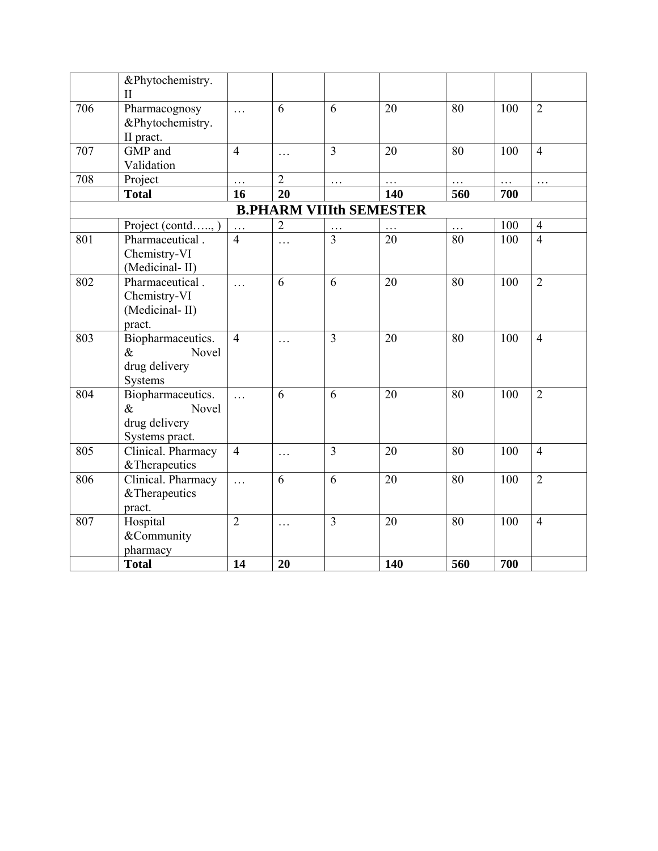|     | &Phytochemistry.   |                |                |                |                                |                  |     |                |
|-----|--------------------|----------------|----------------|----------------|--------------------------------|------------------|-----|----------------|
|     | $\mathbf{I}$       |                |                |                |                                |                  |     |                |
| 706 | Pharmacognosy      | .              | 6              | 6              | 20                             | 80               | 100 | $\overline{2}$ |
|     | &Phytochemistry.   |                |                |                |                                |                  |     |                |
|     | II pract.          |                |                |                |                                |                  |     |                |
| 707 | GMP and            | $\overline{4}$ | .              | $\overline{3}$ | 20                             | 80               | 100 | $\overline{4}$ |
|     | Validation         |                |                |                |                                |                  |     |                |
| 708 | Project            | .              | $\overline{2}$ | $\cdots$       |                                | .                | .   | .              |
|     | <b>Total</b>       | 16             | 20             |                | 140                            | 560              | 700 |                |
|     |                    |                |                |                | <b>B.PHARM VIIIth SEMESTER</b> |                  |     |                |
|     | Project (contd,)   |                | $\overline{2}$ |                | $\cdot$ $\cdot$ $\cdot$        | .                | 100 | $\overline{4}$ |
| 801 | Pharmaceutical.    | $\overline{4}$ | .              | $\overline{3}$ | 20                             | 80               | 100 | $\overline{4}$ |
|     | Chemistry-VI       |                |                |                |                                |                  |     |                |
|     | (Medicinal-II)     |                |                |                |                                |                  |     |                |
| 802 | Pharmaceutical.    | .              | 6              | 6              | 20                             | 80               | 100 | $\overline{2}$ |
|     | Chemistry-VI       |                |                |                |                                |                  |     |                |
|     | (Medicinal-II)     |                |                |                |                                |                  |     |                |
|     | pract.             |                |                |                |                                |                  |     |                |
| 803 | Biopharmaceutics.  | $\overline{4}$ | $\cdots$       | $\overline{3}$ | 20                             | 80               | 100 | $\overline{4}$ |
|     | $\&$<br>Novel      |                |                |                |                                |                  |     |                |
|     | drug delivery      |                |                |                |                                |                  |     |                |
|     | Systems            |                |                |                |                                |                  |     |                |
| 804 | Biopharmaceutics.  | $\cdots$       | 6              | 6              | 20                             | 80               | 100 | $\overline{2}$ |
|     | $\&$<br>Novel      |                |                |                |                                |                  |     |                |
|     | drug delivery      |                |                |                |                                |                  |     |                |
|     | Systems pract.     |                |                |                |                                |                  |     |                |
| 805 | Clinical. Pharmacy | $\overline{4}$ | $\cdots$       | $\overline{3}$ | 20                             | 80               | 100 | $\overline{4}$ |
|     | & Therapeutics     |                |                |                |                                |                  |     |                |
| 806 | Clinical. Pharmacy | $\cdots$       | 6              | 6              | 20                             | 80               | 100 | $\overline{2}$ |
|     | & Therapeutics     |                |                |                |                                |                  |     |                |
|     | pract.             |                |                |                |                                |                  |     |                |
| 807 | Hospital           | $\overline{2}$ | .              | 3              | 20                             | 80               | 100 | $\overline{4}$ |
|     | &Community         |                |                |                |                                |                  |     |                |
|     | pharmacy           |                |                |                |                                |                  |     |                |
|     | <b>Total</b>       | 14             | 20             |                | 140                            | $\overline{560}$ | 700 |                |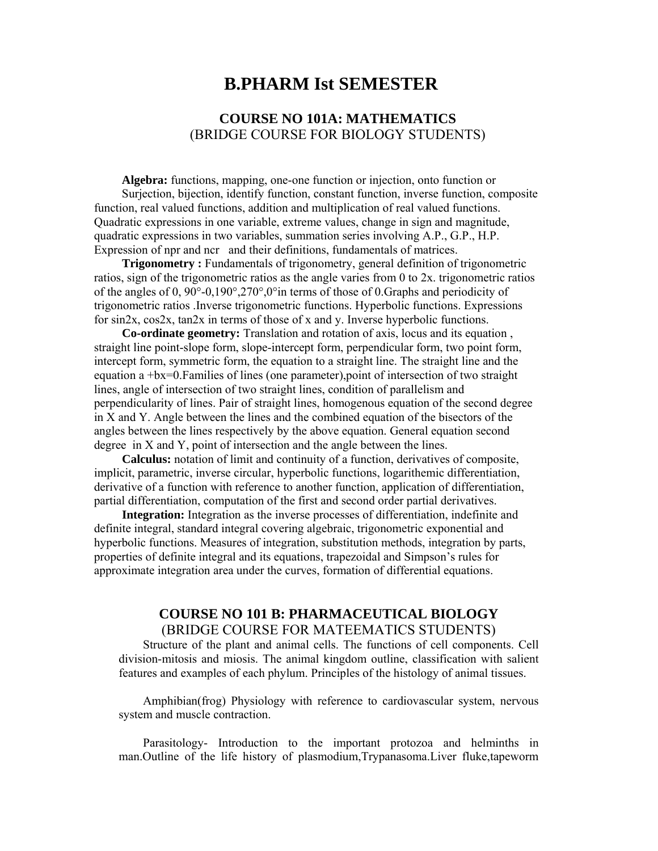# **B.PHARM Ist SEMESTER**

# **COURSE NO 101A: MATHEMATICS**  (BRIDGE COURSE FOR BIOLOGY STUDENTS)

**Algebra:** functions, mapping, one-one function or injection, onto function or Surjection, bijection, identify function, constant function, inverse function, composite function, real valued functions, addition and multiplication of real valued functions. Quadratic expressions in one variable, extreme values, change in sign and magnitude, quadratic expressions in two variables, summation series involving A.P., G.P., H.P. Expression of npr and ncr and their definitions, fundamentals of matrices.

**Trigonometry :** Fundamentals of trigonometry, general definition of trigonometric ratios, sign of the trigonometric ratios as the angle varies from 0 to 2x. trigonometric ratios of the angles of 0, 90°-0,190°,270°,0°in terms of those of 0.Graphs and periodicity of trigonometric ratios .Inverse trigonometric functions. Hyperbolic functions. Expressions for sin2x, cos2x, tan2x in terms of those of x and y. Inverse hyperbolic functions.

**Co-ordinate geometry:** Translation and rotation of axis, locus and its equation , straight line point-slope form, slope-intercept form, perpendicular form, two point form, intercept form, symmetric form, the equation to a straight line. The straight line and the equation a +bx=0.Families of lines (one parameter),point of intersection of two straight lines, angle of intersection of two straight lines, condition of parallelism and perpendicularity of lines. Pair of straight lines, homogenous equation of the second degree in X and Y. Angle between the lines and the combined equation of the bisectors of the angles between the lines respectively by the above equation. General equation second degree in X and Y, point of intersection and the angle between the lines.

**Calculus:** notation of limit and continuity of a function, derivatives of composite, implicit, parametric, inverse circular, hyperbolic functions, logarithemic differentiation, derivative of a function with reference to another function, application of differentiation, partial differentiation, computation of the first and second order partial derivatives.

**Integration:** Integration as the inverse processes of differentiation, indefinite and definite integral, standard integral covering algebraic, trigonometric exponential and hyperbolic functions. Measures of integration, substitution methods, integration by parts, properties of definite integral and its equations, trapezoidal and Simpson's rules for approximate integration area under the curves, formation of differential equations.

### **COURSE NO 101 B: PHARMACEUTICAL BIOLOGY**  (BRIDGE COURSE FOR MATEEMATICS STUDENTS)

 Structure of the plant and animal cells. The functions of cell components. Cell division-mitosis and miosis. The animal kingdom outline, classification with salient features and examples of each phylum. Principles of the histology of animal tissues.

 Amphibian(frog) Physiology with reference to cardiovascular system, nervous system and muscle contraction.

 Parasitology- Introduction to the important protozoa and helminths in man.Outline of the life history of plasmodium,Trypanasoma.Liver fluke,tapeworm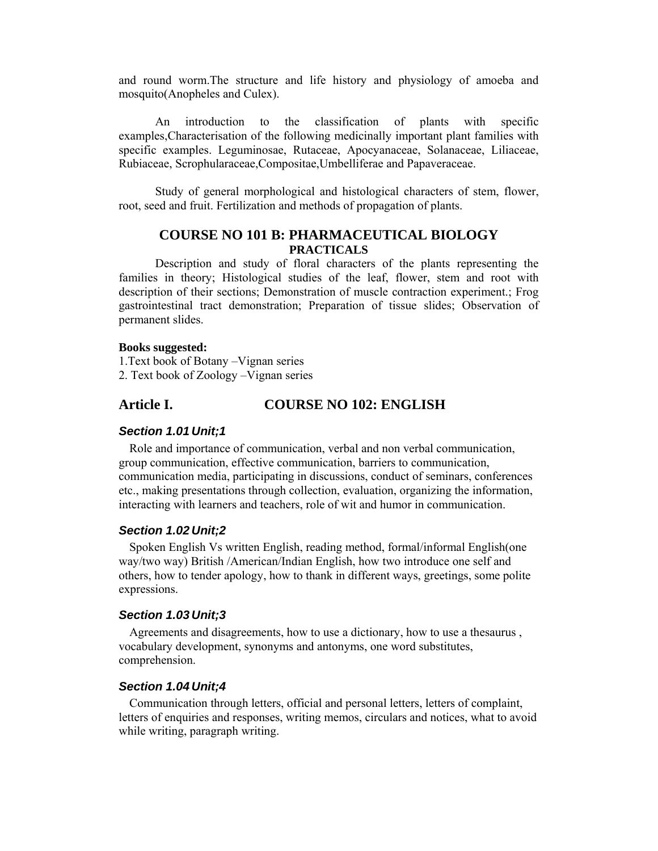and round worm.The structure and life history and physiology of amoeba and mosquito(Anopheles and Culex).

 An introduction to the classification of plants with specific examples,Characterisation of the following medicinally important plant families with specific examples. Leguminosae, Rutaceae, Apocyanaceae, Solanaceae, Liliaceae, Rubiaceae, Scrophularaceae,Compositae,Umbelliferae and Papaveraceae.

Study of general morphological and histological characters of stem, flower, root, seed and fruit. Fertilization and methods of propagation of plants.

## **COURSE NO 101 B: PHARMACEUTICAL BIOLOGY PRACTICALS**

Description and study of floral characters of the plants representing the families in theory; Histological studies of the leaf, flower, stem and root with description of their sections; Demonstration of muscle contraction experiment.; Frog gastrointestinal tract demonstration; Preparation of tissue slides; Observation of permanent slides.

#### **Books suggested:**

1.Text book of Botany –Vignan series 2. Text book of Zoology –Vignan series

### **Article I. COURSE NO 102: ENGLISH**

#### *Section 1.01 Unit;1*

Role and importance of communication, verbal and non verbal communication, group communication, effective communication, barriers to communication, communication media, participating in discussions, conduct of seminars, conferences etc., making presentations through collection, evaluation, organizing the information, interacting with learners and teachers, role of wit and humor in communication.

#### *Section 1.02 Unit;2*

Spoken English Vs written English, reading method, formal/informal English(one way/two way) British /American/Indian English, how two introduce one self and others, how to tender apology, how to thank in different ways, greetings, some polite expressions.

#### *Section 1.03 Unit;3*

Agreements and disagreements, how to use a dictionary, how to use a thesaurus , vocabulary development, synonyms and antonyms, one word substitutes, comprehension.

#### *Section 1.04 Unit;4*

Communication through letters, official and personal letters, letters of complaint, letters of enquiries and responses, writing memos, circulars and notices, what to avoid while writing, paragraph writing.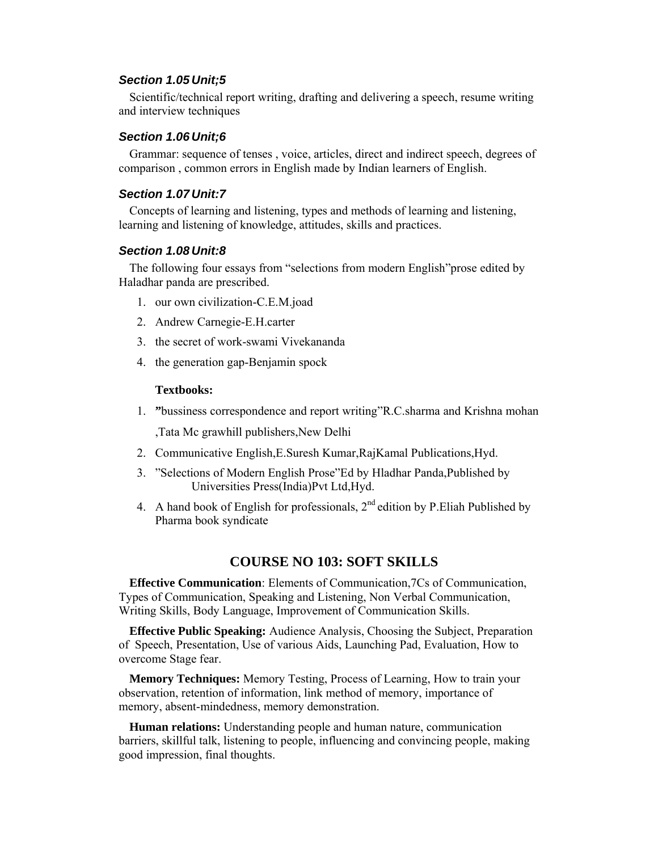#### *Section 1.05 Unit;5*

Scientific/technical report writing, drafting and delivering a speech, resume writing and interview techniques

#### *Section 1.06 Unit;6*

Grammar: sequence of tenses , voice, articles, direct and indirect speech, degrees of comparison , common errors in English made by Indian learners of English.

#### *Section 1.07 Unit:7*

Concepts of learning and listening, types and methods of learning and listening, learning and listening of knowledge, attitudes, skills and practices.

#### *Section 1.08 Unit:8*

The following four essays from "selections from modern English"prose edited by Haladhar panda are prescribed.

- 1. our own civilization-C.E.M.joad
- 2. Andrew Carnegie-E.H.carter
- 3. the secret of work-swami Vivekananda
- 4. the generation gap-Benjamin spock

#### **Textbooks:**

- 1. **"**bussiness correspondence and report writing"R.C.sharma and Krishna mohan ,Tata Mc grawhill publishers,New Delhi
- 2. Communicative English,E.Suresh Kumar,RajKamal Publications,Hyd.
- 3. "Selections of Modern English Prose"Ed by Hladhar Panda,Published by Universities Press(India)Pvt Ltd,Hyd.
- 4. A hand book of English for professionals,  $2<sup>nd</sup>$  edition by P. Eliah Published by Pharma book syndicate

### **COURSE NO 103: SOFT SKILLS**

**Effective Communication**: Elements of Communication,7Cs of Communication, Types of Communication, Speaking and Listening, Non Verbal Communication, Writing Skills, Body Language, Improvement of Communication Skills.

**Effective Public Speaking:** Audience Analysis, Choosing the Subject, Preparation of Speech, Presentation, Use of various Aids, Launching Pad, Evaluation, How to overcome Stage fear.

**Memory Techniques:** Memory Testing, Process of Learning, How to train your observation, retention of information, link method of memory, importance of memory, absent-mindedness, memory demonstration.

**Human relations:** Understanding people and human nature, communication barriers, skillful talk, listening to people, influencing and convincing people, making good impression, final thoughts.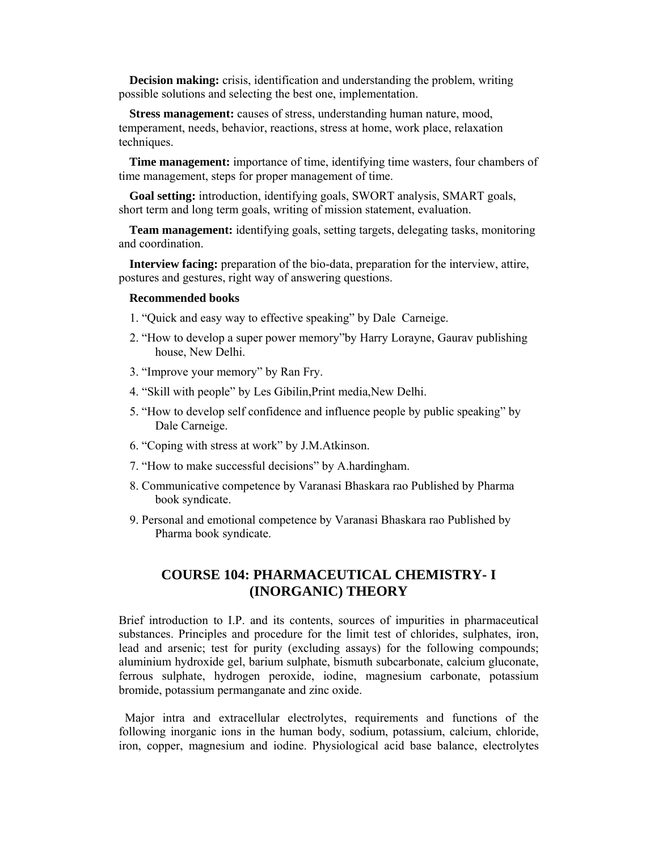**Decision making:** crisis, identification and understanding the problem, writing possible solutions and selecting the best one, implementation.

**Stress management:** causes of stress, understanding human nature, mood, temperament, needs, behavior, reactions, stress at home, work place, relaxation techniques.

**Time management:** importance of time, identifying time wasters, four chambers of time management, steps for proper management of time.

**Goal setting:** introduction, identifying goals, SWORT analysis, SMART goals, short term and long term goals, writing of mission statement, evaluation.

**Team management:** identifying goals, setting targets, delegating tasks, monitoring and coordination.

**Interview facing:** preparation of the bio-data, preparation for the interview, attire, postures and gestures, right way of answering questions.

#### **Recommended books**

- 1. "Quick and easy way to effective speaking" by Dale Carneige.
- 2. "How to develop a super power memory"by Harry Lorayne, Gaurav publishing house, New Delhi.
- 3. "Improve your memory" by Ran Fry.
- 4. "Skill with people" by Les Gibilin,Print media,New Delhi.
- 5. "How to develop self confidence and influence people by public speaking" by Dale Carneige.
- 6. "Coping with stress at work" by J.M.Atkinson.
- 7. "How to make successful decisions" by A.hardingham.
- 8. Communicative competence by Varanasi Bhaskara rao Published by Pharma book syndicate.
- 9. Personal and emotional competence by Varanasi Bhaskara rao Published by Pharma book syndicate.

# **COURSE 104: PHARMACEUTICAL CHEMISTRY- I (INORGANIC) THEORY**

Brief introduction to I.P. and its contents, sources of impurities in pharmaceutical substances. Principles and procedure for the limit test of chlorides, sulphates, iron, lead and arsenic; test for purity (excluding assays) for the following compounds; aluminium hydroxide gel, barium sulphate, bismuth subcarbonate, calcium gluconate, ferrous sulphate, hydrogen peroxide, iodine, magnesium carbonate, potassium bromide, potassium permanganate and zinc oxide.

 Major intra and extracellular electrolytes, requirements and functions of the following inorganic ions in the human body, sodium, potassium, calcium, chloride, iron, copper, magnesium and iodine. Physiological acid base balance, electrolytes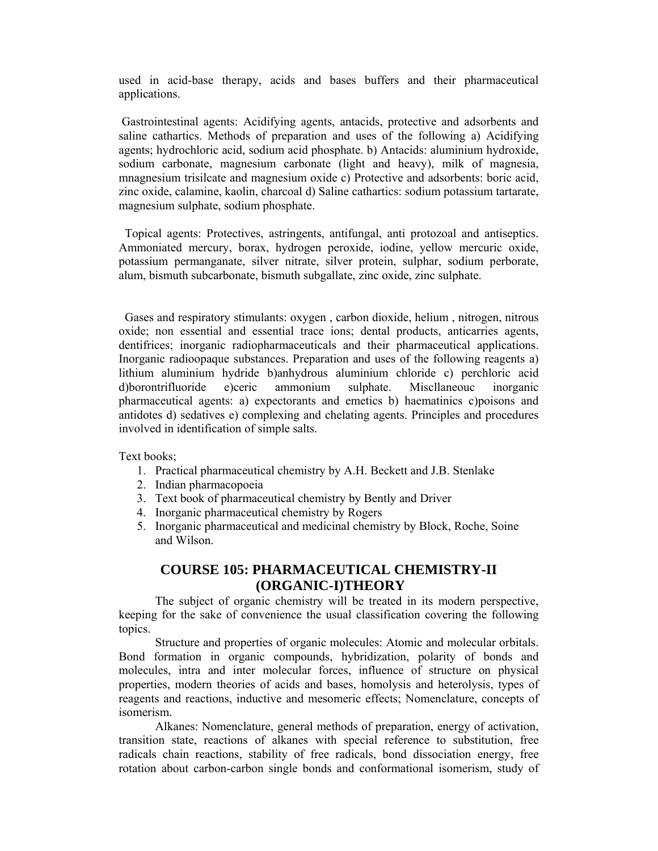used in acid-base therapy, acids and bases buffers and their pharmaceutical applications.

 Gastrointestinal agents: Acidifying agents, antacids, protective and adsorbents and saline cathartics. Methods of preparation and uses of the following a) Acidifying agents; hydrochloric acid, sodium acid phosphate. b) Antacids: aluminium hydroxide, sodium carbonate, magnesium carbonate (light and heavy), milk of magnesia, mnagnesium trisilcate and magnesium oxide c) Protective and adsorbents: boric acid, zinc oxide, calamine, kaolin, charcoal d) Saline cathartics: sodium potassium tartarate, magnesium sulphate, sodium phosphate.

 Topical agents: Protectives, astringents, antifungal, anti protozoal and antiseptics. Ammoniated mercury, borax, hydrogen peroxide, iodine, yellow mercuric oxide, potassium permanganate, silver nitrate, silver protein, sulphar, sodium perborate, alum, bismuth subcarbonate, bismuth subgallate, zinc oxide, zinc sulphate.

 Gases and respiratory stimulants: oxygen , carbon dioxide, helium , nitrogen, nitrous oxide; non essential and essential trace ions; dental products, anticarries agents, dentifrices; inorganic radiopharmaceuticals and their pharmaceutical applications. Inorganic radioopaque substances. Preparation and uses of the following reagents a) lithium aluminium hydride b)anhydrous aluminium chloride c) perchloric acid d)borontrifluoride e)ceric ammonium sulphate. Miscllaneouc inorganic pharmaceutical agents: a) expectorants and emetics b) haematinics c)poisons and antidotes d) sedatives e) complexing and chelating agents. Principles and procedures involved in identification of simple salts.

Text books;

- 1. Practical pharmaceutical chemistry by A.H. Beckett and J.B. Stenlake
- 2. Indian pharmacopoeia
- 3. Text book of pharmaceutical chemistry by Bently and Driver
- 4. Inorganic pharmaceutical chemistry by Rogers
- 5. Inorganic pharmaceutical and medicinal chemistry by Block, Roche, Soine and Wilson.

## **COURSE 105: PHARMACEUTICAL CHEMISTRY-II (ORGANIC-I)THEORY**

 The subject of organic chemistry will be treated in its modern perspective, keeping for the sake of convenience the usual classification covering the following topics.

 Structure and properties of organic molecules: Atomic and molecular orbitals. Bond formation in organic compounds, hybridization, polarity of bonds and molecules, intra and inter molecular forces, influence of structure on physical properties, modern theories of acids and bases, homolysis and heterolysis, types of reagents and reactions, inductive and mesomeric effects; Nomenclature, concepts of isomerism.

 Alkanes: Nomenclature, general methods of preparation, energy of activation, transition state, reactions of alkanes with special reference to substitution, free radicals chain reactions, stability of free radicals, bond dissociation energy, free rotation about carbon-carbon single bonds and conformational isomerism, study of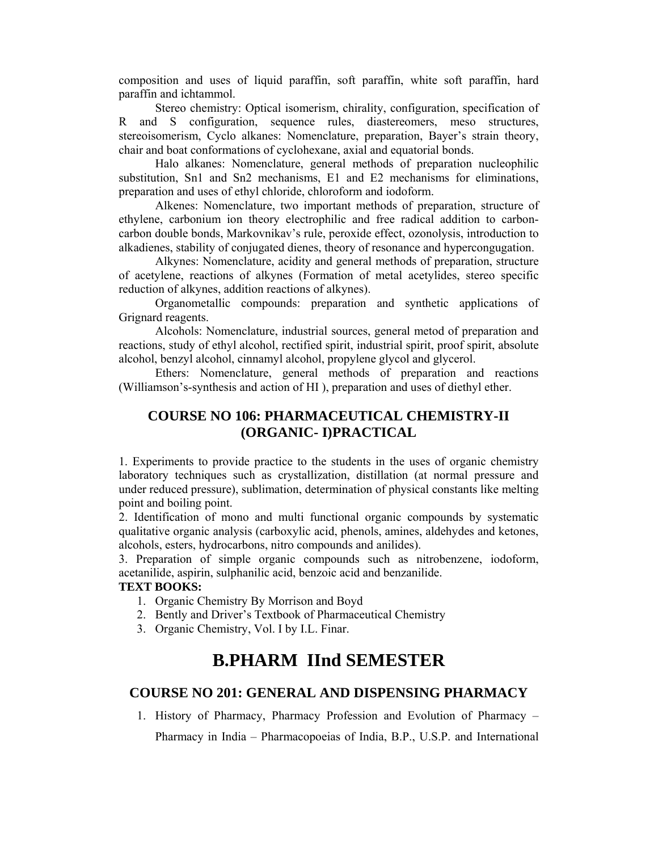composition and uses of liquid paraffin, soft paraffin, white soft paraffin, hard paraffin and ichtammol.

 Stereo chemistry: Optical isomerism, chirality, configuration, specification of R and S configuration, sequence rules, diastereomers, meso structures, stereoisomerism, Cyclo alkanes: Nomenclature, preparation, Bayer's strain theory, chair and boat conformations of cyclohexane, axial and equatorial bonds.

 Halo alkanes: Nomenclature, general methods of preparation nucleophilic substitution, Sn1 and Sn2 mechanisms, E1 and E2 mechanisms for eliminations, preparation and uses of ethyl chloride, chloroform and iodoform.

 Alkenes: Nomenclature, two important methods of preparation, structure of ethylene, carbonium ion theory electrophilic and free radical addition to carboncarbon double bonds, Markovnikav's rule, peroxide effect, ozonolysis, introduction to alkadienes, stability of conjugated dienes, theory of resonance and hypercongugation.

 Alkynes: Nomenclature, acidity and general methods of preparation, structure of acetylene, reactions of alkynes (Formation of metal acetylides, stereo specific reduction of alkynes, addition reactions of alkynes).

 Organometallic compounds: preparation and synthetic applications of Grignard reagents.

 Alcohols: Nomenclature, industrial sources, general metod of preparation and reactions, study of ethyl alcohol, rectified spirit, industrial spirit, proof spirit, absolute alcohol, benzyl alcohol, cinnamyl alcohol, propylene glycol and glycerol.

 Ethers: Nomenclature, general methods of preparation and reactions (Williamson's-synthesis and action of HI ), preparation and uses of diethyl ether.

# **COURSE NO 106: PHARMACEUTICAL CHEMISTRY-II (ORGANIC- I)PRACTICAL**

1. Experiments to provide practice to the students in the uses of organic chemistry laboratory techniques such as crystallization, distillation (at normal pressure and under reduced pressure), sublimation, determination of physical constants like melting point and boiling point.

2. Identification of mono and multi functional organic compounds by systematic qualitative organic analysis (carboxylic acid, phenols, amines, aldehydes and ketones, alcohols, esters, hydrocarbons, nitro compounds and anilides).

3. Preparation of simple organic compounds such as nitrobenzene, iodoform, acetanilide, aspirin, sulphanilic acid, benzoic acid and benzanilide.

#### **TEXT BOOKS:**

- 1. Organic Chemistry By Morrison and Boyd
- 2. Bently and Driver's Textbook of Pharmaceutical Chemistry
- 3. Organic Chemistry, Vol. I by I.L. Finar.

# **B.PHARM IInd SEMESTER**

# **COURSE NO 201: GENERAL AND DISPENSING PHARMACY**

1. History of Pharmacy, Pharmacy Profession and Evolution of Pharmacy – Pharmacy in India – Pharmacopoeias of India, B.P., U.S.P. and International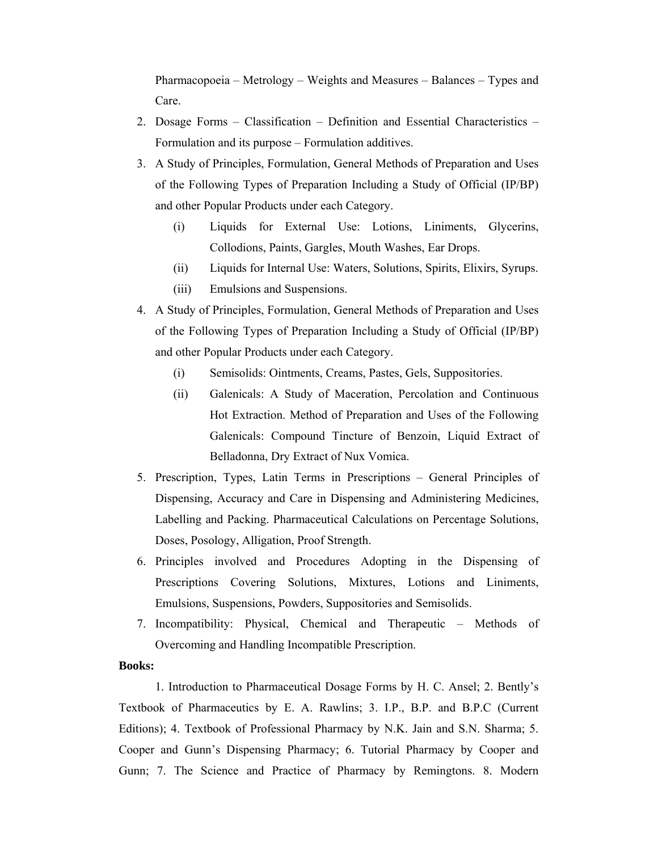Pharmacopoeia – Metrology – Weights and Measures – Balances – Types and Care.

- 2. Dosage Forms Classification Definition and Essential Characteristics Formulation and its purpose – Formulation additives.
- 3. A Study of Principles, Formulation, General Methods of Preparation and Uses of the Following Types of Preparation Including a Study of Official (IP/BP) and other Popular Products under each Category.
	- (i) Liquids for External Use: Lotions, Liniments, Glycerins, Collodions, Paints, Gargles, Mouth Washes, Ear Drops.
	- (ii) Liquids for Internal Use: Waters, Solutions, Spirits, Elixirs, Syrups.
	- (iii) Emulsions and Suspensions.
- 4. A Study of Principles, Formulation, General Methods of Preparation and Uses of the Following Types of Preparation Including a Study of Official (IP/BP) and other Popular Products under each Category.
	- (i) Semisolids: Ointments, Creams, Pastes, Gels, Suppositories.
	- (ii) Galenicals: A Study of Maceration, Percolation and Continuous Hot Extraction. Method of Preparation and Uses of the Following Galenicals: Compound Tincture of Benzoin, Liquid Extract of Belladonna, Dry Extract of Nux Vomica.
- 5. Prescription, Types, Latin Terms in Prescriptions General Principles of Dispensing, Accuracy and Care in Dispensing and Administering Medicines, Labelling and Packing. Pharmaceutical Calculations on Percentage Solutions, Doses, Posology, Alligation, Proof Strength.
- 6. Principles involved and Procedures Adopting in the Dispensing of Prescriptions Covering Solutions, Mixtures, Lotions and Liniments, Emulsions, Suspensions, Powders, Suppositories and Semisolids.
- 7. Incompatibility: Physical, Chemical and Therapeutic Methods of Overcoming and Handling Incompatible Prescription.

#### **Books:**

1. Introduction to Pharmaceutical Dosage Forms by H. C. Ansel; 2. Bently's Textbook of Pharmaceutics by E. A. Rawlins; 3. I.P., B.P. and B.P.C (Current Editions); 4. Textbook of Professional Pharmacy by N.K. Jain and S.N. Sharma; 5. Cooper and Gunn's Dispensing Pharmacy; 6. Tutorial Pharmacy by Cooper and Gunn; 7. The Science and Practice of Pharmacy by Remingtons. 8. Modern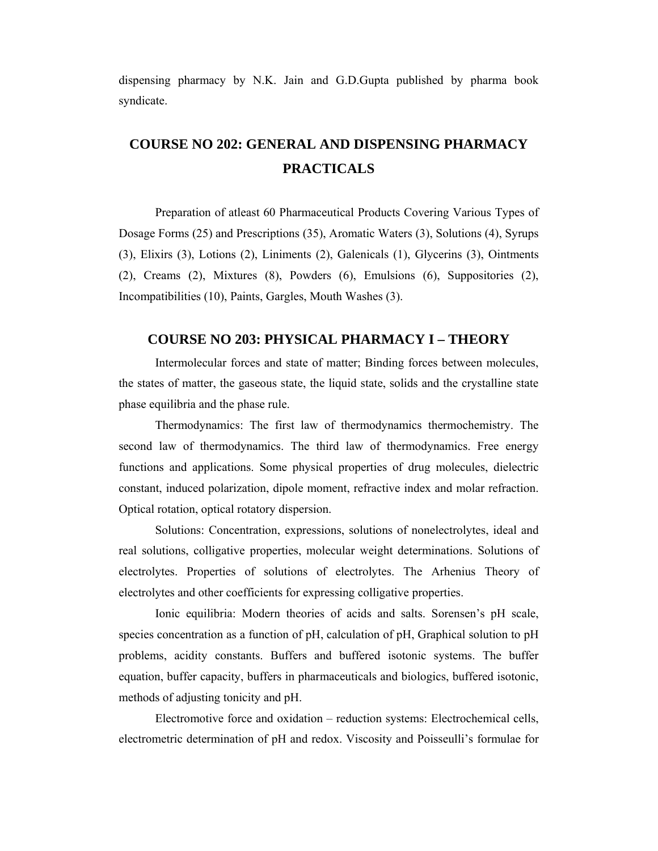dispensing pharmacy by N.K. Jain and G.D.Gupta published by pharma book syndicate.

# **COURSE NO 202: GENERAL AND DISPENSING PHARMACY PRACTICALS**

Preparation of atleast 60 Pharmaceutical Products Covering Various Types of Dosage Forms (25) and Prescriptions (35), Aromatic Waters (3), Solutions (4), Syrups (3), Elixirs (3), Lotions (2), Liniments (2), Galenicals (1), Glycerins (3), Ointments (2), Creams (2), Mixtures (8), Powders (6), Emulsions (6), Suppositories (2), Incompatibilities (10), Paints, Gargles, Mouth Washes (3).

#### **COURSE NO 203: PHYSICAL PHARMACY I – THEORY**

 Intermolecular forces and state of matter; Binding forces between molecules, the states of matter, the gaseous state, the liquid state, solids and the crystalline state phase equilibria and the phase rule.

 Thermodynamics: The first law of thermodynamics thermochemistry. The second law of thermodynamics. The third law of thermodynamics. Free energy functions and applications. Some physical properties of drug molecules, dielectric constant, induced polarization, dipole moment, refractive index and molar refraction. Optical rotation, optical rotatory dispersion.

 Solutions: Concentration, expressions, solutions of nonelectrolytes, ideal and real solutions, colligative properties, molecular weight determinations. Solutions of electrolytes. Properties of solutions of electrolytes. The Arhenius Theory of electrolytes and other coefficients for expressing colligative properties.

 Ionic equilibria: Modern theories of acids and salts. Sorensen's pH scale, species concentration as a function of pH, calculation of pH, Graphical solution to pH problems, acidity constants. Buffers and buffered isotonic systems. The buffer equation, buffer capacity, buffers in pharmaceuticals and biologics, buffered isotonic, methods of adjusting tonicity and pH.

 Electromotive force and oxidation – reduction systems: Electrochemical cells, electrometric determination of pH and redox. Viscosity and Poisseulli's formulae for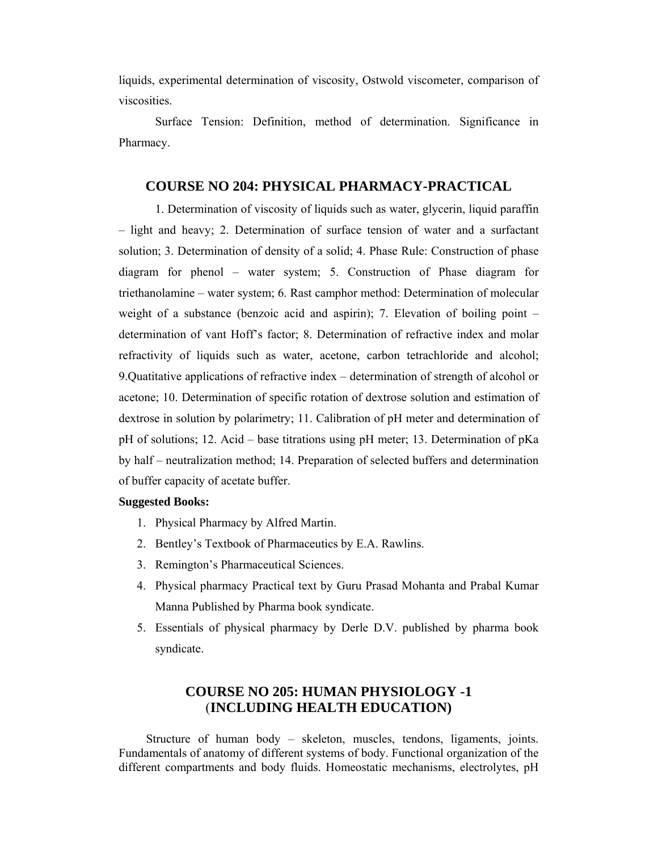liquids, experimental determination of viscosity, Ostwold viscometer, comparison of viscosities.

 Surface Tension: Definition, method of determination. Significance in Pharmacy.

### **COURSE NO 204: PHYSICAL PHARMACY-PRACTICAL**

1. Determination of viscosity of liquids such as water, glycerin, liquid paraffin – light and heavy; 2. Determination of surface tension of water and a surfactant solution; 3. Determination of density of a solid; 4. Phase Rule: Construction of phase diagram for phenol – water system; 5. Construction of Phase diagram for triethanolamine – water system; 6. Rast camphor method: Determination of molecular weight of a substance (benzoic acid and aspirin); 7. Elevation of boiling point – determination of vant Hoff's factor; 8. Determination of refractive index and molar refractivity of liquids such as water, acetone, carbon tetrachloride and alcohol; 9.Quatitative applications of refractive index – determination of strength of alcohol or acetone; 10. Determination of specific rotation of dextrose solution and estimation of dextrose in solution by polarimetry; 11. Calibration of pH meter and determination of pH of solutions; 12. Acid – base titrations using pH meter; 13. Determination of pKa by half – neutralization method; 14. Preparation of selected buffers and determination of buffer capacity of acetate buffer.

#### **Suggested Books:**

- 1. Physical Pharmacy by Alfred Martin.
- 2. Bentley's Textbook of Pharmaceutics by E.A. Rawlins.
- 3. Remington's Pharmaceutical Sciences.
- 4. Physical pharmacy Practical text by Guru Prasad Mohanta and Prabal Kumar Manna Published by Pharma book syndicate.
- 5. Essentials of physical pharmacy by Derle D.V. published by pharma book syndicate.

# **COURSE NO 205: HUMAN PHYSIOLOGY -1**  (**INCLUDING HEALTH EDUCATION)**

 Structure of human body – skeleton, muscles, tendons, ligaments, joints. Fundamentals of anatomy of different systems of body. Functional organization of the different compartments and body fluids. Homeostatic mechanisms, electrolytes, pH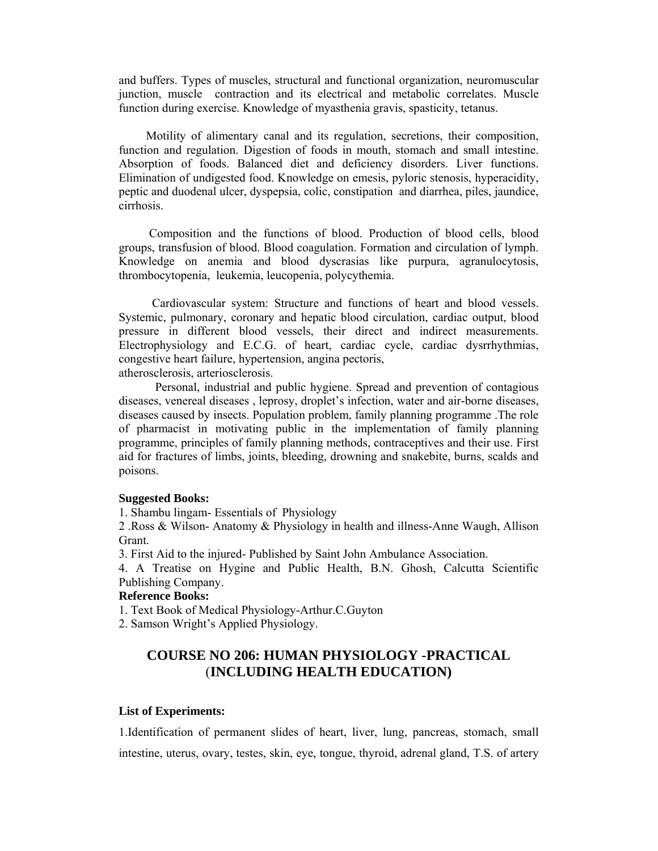and buffers. Types of muscles, structural and functional organization, neuromuscular junction, muscle contraction and its electrical and metabolic correlates. Muscle function during exercise. Knowledge of myasthenia gravis, spasticity, tetanus.

 Motility of alimentary canal and its regulation, secretions, their composition, function and regulation. Digestion of foods in mouth, stomach and small intestine. Absorption of foods. Balanced diet and deficiency disorders. Liver functions. Elimination of undigested food. Knowledge on emesis, pyloric stenosis, hyperacidity, peptic and duodenal ulcer, dyspepsia, colic, constipation and diarrhea, piles, jaundice, cirrhosis.

 Composition and the functions of blood. Production of blood cells, blood groups, transfusion of blood. Blood coagulation. Formation and circulation of lymph. Knowledge on anemia and blood dyscrasias like purpura, agranulocytosis, thrombocytopenia, leukemia, leucopenia, polycythemia.

 Cardiovascular system: Structure and functions of heart and blood vessels. Systemic, pulmonary, coronary and hepatic blood circulation, cardiac output, blood pressure in different blood vessels, their direct and indirect measurements. Electrophysiology and E.C.G. of heart, cardiac cycle, cardiac dysrrhythmias, congestive heart failure, hypertension, angina pectoris, atherosclerosis, arteriosclerosis.

 Personal, industrial and public hygiene. Spread and prevention of contagious diseases, venereal diseases , leprosy, droplet's infection, water and air-borne diseases, diseases caused by insects. Population problem, family planning programme .The role of pharmacist in motivating public in the implementation of family planning programme, principles of family planning methods, contraceptives and their use. First aid for fractures of limbs, joints, bleeding, drowning and snakebite, burns, scalds and poisons.

#### **Suggested Books:**

1. Shambu lingam- Essentials of Physiology

2 .Ross & Wilson- Anatomy & Physiology in health and illness-Anne Waugh, Allison Grant.

3. First Aid to the injured- Published by Saint John Ambulance Association.

4. A Treatise on Hygine and Public Health, B.N. Ghosh, Calcutta Scientific Publishing Company.

#### **Reference Books:**

1. Text Book of Medical Physiology-Arthur.C.Guyton

2. Samson Wright's Applied Physiology.

# **COURSE NO 206: HUMAN PHYSIOLOGY -PRACTICAL**  (**INCLUDING HEALTH EDUCATION)**

#### **List of Experiments:**

1.Identification of permanent slides of heart, liver, lung, pancreas, stomach, small intestine, uterus, ovary, testes, skin, eye, tongue, thyroid, adrenal gland, T.S. of artery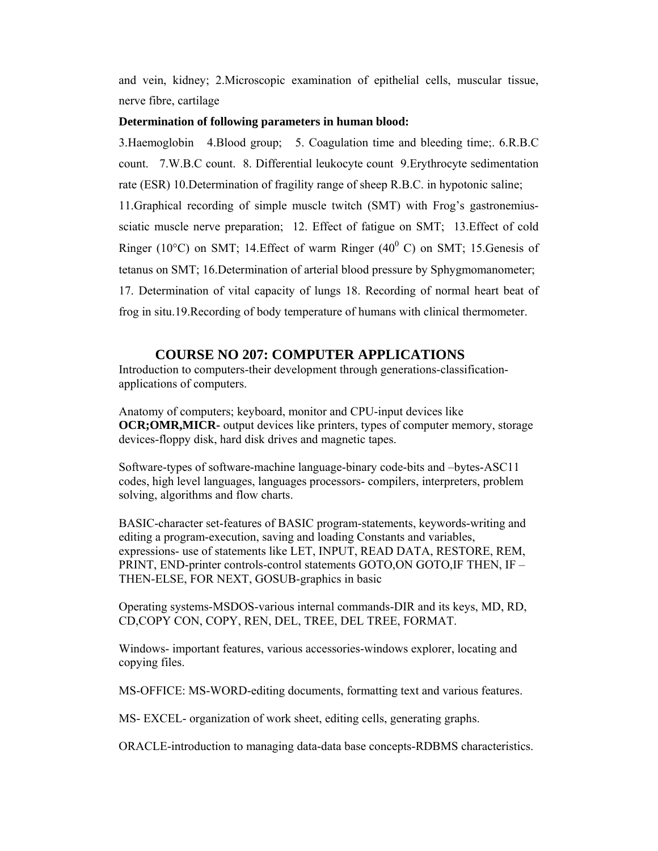and vein, kidney; 2.Microscopic examination of epithelial cells, muscular tissue, nerve fibre, cartilage

#### **Determination of following parameters in human blood:**

3.Haemoglobin 4.Blood group; 5. Coagulation time and bleeding time;. 6.R.B.C count. 7.W.B.C count. 8. Differential leukocyte count 9.Erythrocyte sedimentation rate (ESR) 10.Determination of fragility range of sheep R.B.C. in hypotonic saline; 11.Graphical recording of simple muscle twitch (SMT) with Frog's gastronemiussciatic muscle nerve preparation; 12. Effect of fatigue on SMT; 13.Effect of cold Ringer (10 $^{\circ}$ C) on SMT; 14. Effect of warm Ringer (40 $^{\circ}$ C) on SMT; 15. Genesis of tetanus on SMT; 16.Determination of arterial blood pressure by Sphygmomanometer; 17. Determination of vital capacity of lungs 18. Recording of normal heart beat of frog in situ.19.Recording of body temperature of humans with clinical thermometer.

## **COURSE NO 207: COMPUTER APPLICATIONS**

Introduction to computers-their development through generations-classificationapplications of computers.

Anatomy of computers; keyboard, monitor and CPU-input devices like **OCR;OMR, MICR-** output devices like printers, types of computer memory, storage devices-floppy disk, hard disk drives and magnetic tapes.

Software-types of software-machine language-binary code-bits and –bytes-ASC11 codes, high level languages, languages processors- compilers, interpreters, problem solving, algorithms and flow charts.

BASIC-character set-features of BASIC program-statements, keywords-writing and editing a program-execution, saving and loading Constants and variables, expressions- use of statements like LET, INPUT, READ DATA, RESTORE, REM, PRINT, END-printer controls-control statements GOTO,ON GOTO,IF THEN, IF – THEN-ELSE, FOR NEXT, GOSUB-graphics in basic

Operating systems-MSDOS-various internal commands-DIR and its keys, MD, RD, CD,COPY CON, COPY, REN, DEL, TREE, DEL TREE, FORMAT.

Windows- important features, various accessories-windows explorer, locating and copying files.

MS-OFFICE: MS-WORD-editing documents, formatting text and various features.

MS- EXCEL- organization of work sheet, editing cells, generating graphs.

ORACLE-introduction to managing data-data base concepts-RDBMS characteristics.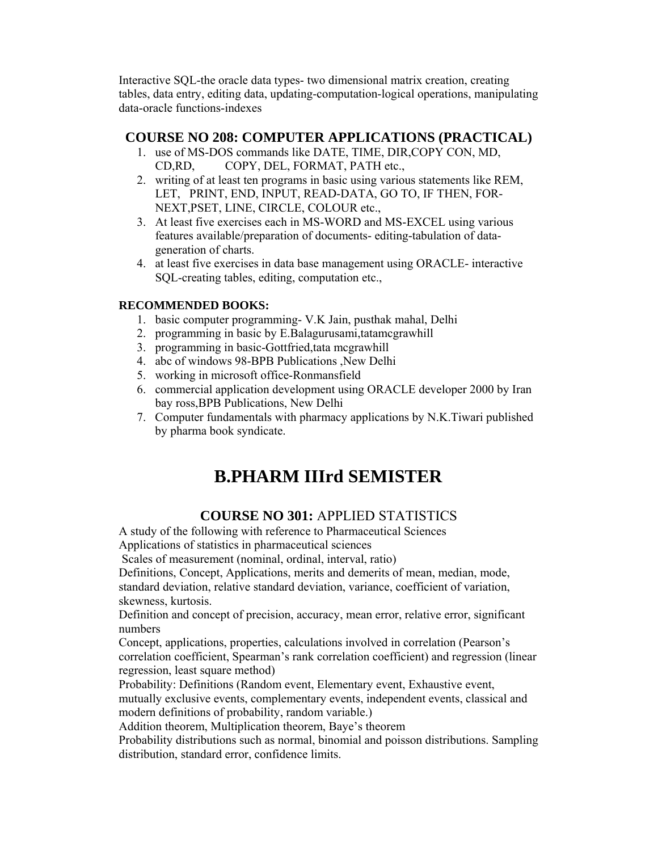Interactive SQL-the oracle data types- two dimensional matrix creation, creating tables, data entry, editing data, updating-computation-logical operations, manipulating data-oracle functions-indexes

# **COURSE NO 208: COMPUTER APPLICATIONS (PRACTICAL)**

- 1. use of MS-DOS commands like DATE, TIME, DIR,COPY CON, MD, CD,RD, COPY, DEL, FORMAT, PATH etc.,
- 2. writing of at least ten programs in basic using various statements like REM, LET, PRINT, END, INPUT, READ-DATA, GO TO, IF THEN, FOR-NEXT,PSET, LINE, CIRCLE, COLOUR etc.,
- 3. At least five exercises each in MS-WORD and MS-EXCEL using various features available/preparation of documents- editing-tabulation of datageneration of charts.
- 4. at least five exercises in data base management using ORACLE- interactive SQL-creating tables, editing, computation etc.,

## **RECOMMENDED BOOKS:**

- 1. basic computer programming- V.K Jain, pusthak mahal, Delhi
- 2. programming in basic by E.Balagurusami,tatamcgrawhill
- 3. programming in basic-Gottfried,tata mcgrawhill
- 4. abc of windows 98-BPB Publications ,New Delhi
- 5. working in microsoft office-Ronmansfield
- 6. commercial application development using ORACLE developer 2000 by Iran bay ross,BPB Publications, New Delhi
- 7. Computer fundamentals with pharmacy applications by N.K.Tiwari published by pharma book syndicate.

# **B.PHARM IIIrd SEMISTER**

# **COURSE NO 301:** APPLIED STATISTICS

A study of the following with reference to Pharmaceutical Sciences Applications of statistics in pharmaceutical sciences

Scales of measurement (nominal, ordinal, interval, ratio)

Definitions, Concept, Applications, merits and demerits of mean, median, mode, standard deviation, relative standard deviation, variance, coefficient of variation, skewness, kurtosis.

Definition and concept of precision, accuracy, mean error, relative error, significant numbers

Concept, applications, properties, calculations involved in correlation (Pearson's correlation coefficient, Spearman's rank correlation coefficient) and regression (linear regression, least square method)

Probability: Definitions (Random event, Elementary event, Exhaustive event,

mutually exclusive events, complementary events, independent events, classical and modern definitions of probability, random variable.)

Addition theorem, Multiplication theorem, Baye's theorem

Probability distributions such as normal, binomial and poisson distributions. Sampling distribution, standard error, confidence limits.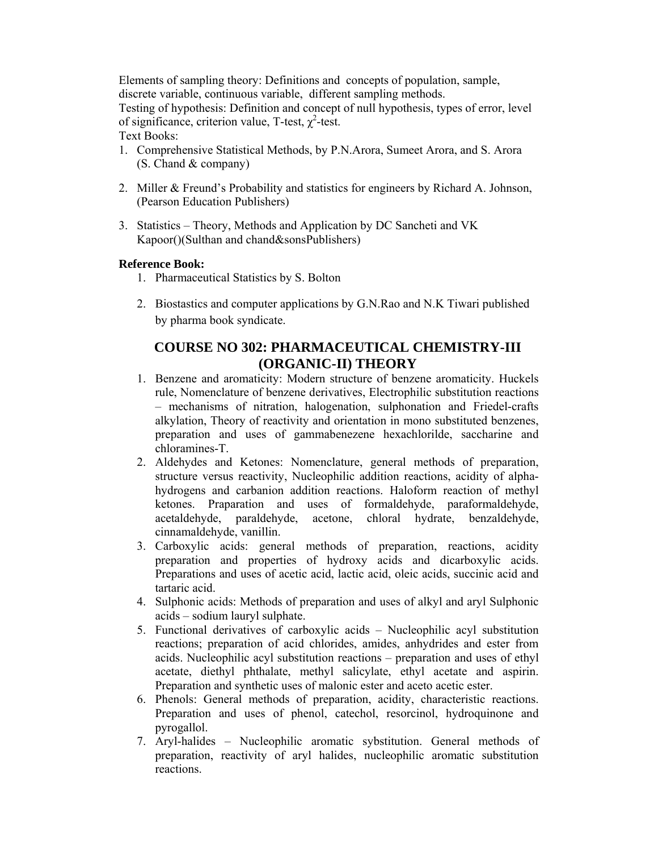Elements of sampling theory: Definitions and concepts of population, sample, discrete variable, continuous variable, different sampling methods. Testing of hypothesis: Definition and concept of null hypothesis, types of error, level of significance, criterion value, T-test,  $\chi^2$ -test. Text Books:

- 1. Comprehensive Statistical Methods, by P.N.Arora, Sumeet Arora, and S. Arora (S. Chand & company)
- 2. Miller & Freund's Probability and statistics for engineers by Richard A. Johnson, (Pearson Education Publishers)
- 3. Statistics Theory, Methods and Application by DC Sancheti and VK Kapoor()(Sulthan and chand&sonsPublishers)

### **Reference Book:**

- 1. Pharmaceutical Statistics by S. Bolton
- 2. Biostastics and computer applications by G.N.Rao and N.K Tiwari published by pharma book syndicate.

# **COURSE NO 302: PHARMACEUTICAL CHEMISTRY-III (ORGANIC-II) THEORY**

- 1. Benzene and aromaticity: Modern structure of benzene aromaticity. Huckels rule, Nomenclature of benzene derivatives, Electrophilic substitution reactions – mechanisms of nitration, halogenation, sulphonation and Friedel-crafts alkylation, Theory of reactivity and orientation in mono substituted benzenes, preparation and uses of gammabenezene hexachlorilde, saccharine and chloramines-T.
- 2. Aldehydes and Ketones: Nomenclature, general methods of preparation, structure versus reactivity, Nucleophilic addition reactions, acidity of alphahydrogens and carbanion addition reactions. Haloform reaction of methyl ketones. Praparation and uses of formaldehyde, paraformaldehyde, acetaldehyde, paraldehyde, acetone, chloral hydrate, benzaldehyde, cinnamaldehyde, vanillin.
- 3. Carboxylic acids: general methods of preparation, reactions, acidity preparation and properties of hydroxy acids and dicarboxylic acids. Preparations and uses of acetic acid, lactic acid, oleic acids, succinic acid and tartaric acid.
- 4. Sulphonic acids: Methods of preparation and uses of alkyl and aryl Sulphonic acids – sodium lauryl sulphate.
- 5. Functional derivatives of carboxylic acids Nucleophilic acyl substitution reactions; preparation of acid chlorides, amides, anhydrides and ester from acids. Nucleophilic acyl substitution reactions – preparation and uses of ethyl acetate, diethyl phthalate, methyl salicylate, ethyl acetate and aspirin. Preparation and synthetic uses of malonic ester and aceto acetic ester.
- 6. Phenols: General methods of preparation, acidity, characteristic reactions. Preparation and uses of phenol, catechol, resorcinol, hydroquinone and pyrogallol.
- 7. Aryl-halides Nucleophilic aromatic sybstitution. General methods of preparation, reactivity of aryl halides, nucleophilic aromatic substitution reactions.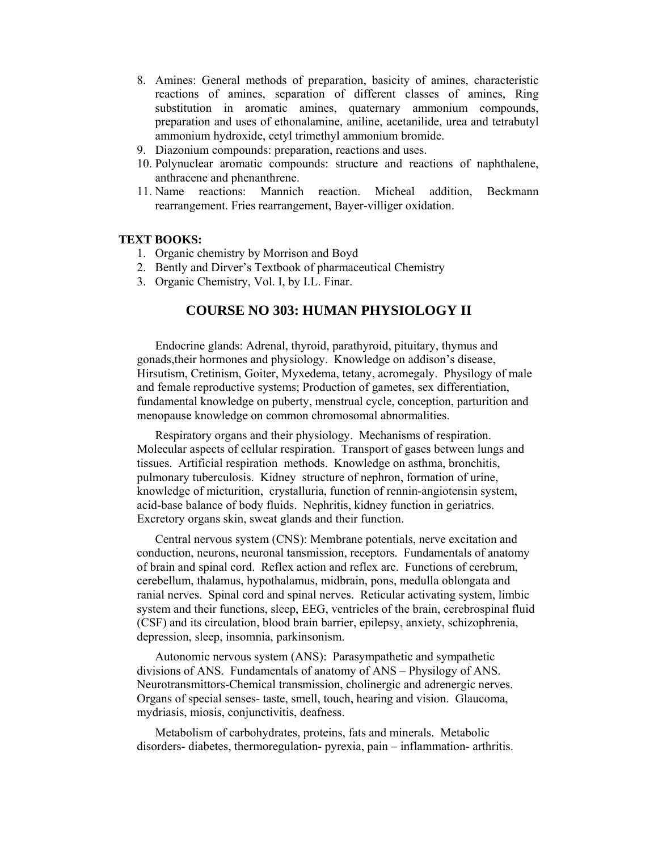- 8. Amines: General methods of preparation, basicity of amines, characteristic reactions of amines, separation of different classes of amines, Ring substitution in aromatic amines, quaternary ammonium compounds, preparation and uses of ethonalamine, aniline, acetanilide, urea and tetrabutyl ammonium hydroxide, cetyl trimethyl ammonium bromide.
- 9. Diazonium compounds: preparation, reactions and uses.
- 10. Polynuclear aromatic compounds: structure and reactions of naphthalene, anthracene and phenanthrene.
- 11. Name reactions: Mannich reaction. Micheal addition, Beckmann rearrangement. Fries rearrangement, Bayer-villiger oxidation.

#### **TEXT BOOKS:**

- 1. Organic chemistry by Morrison and Boyd
- 2. Bently and Dirver's Textbook of pharmaceutical Chemistry
- 3. Organic Chemistry, Vol. I, by I.L. Finar.

## **COURSE NO 303: HUMAN PHYSIOLOGY II**

Endocrine glands: Adrenal, thyroid, parathyroid, pituitary, thymus and gonads,their hormones and physiology. Knowledge on addison's disease, Hirsutism, Cretinism, Goiter, Myxedema, tetany, acromegaly. Physilogy of male and female reproductive systems; Production of gametes, sex differentiation, fundamental knowledge on puberty, menstrual cycle, conception, parturition and menopause knowledge on common chromosomal abnormalities.

Respiratory organs and their physiology. Mechanisms of respiration. Molecular aspects of cellular respiration. Transport of gases between lungs and tissues. Artificial respiration methods. Knowledge on asthma, bronchitis, pulmonary tuberculosis. Kidney structure of nephron, formation of urine, knowledge of micturition, crystalluria, function of rennin-angiotensin system, acid-base balance of body fluids. Nephritis, kidney function in geriatrics. Excretory organs skin, sweat glands and their function.

Central nervous system (CNS): Membrane potentials, nerve excitation and conduction, neurons, neuronal tansmission, receptors. Fundamentals of anatomy of brain and spinal cord. Reflex action and reflex arc. Functions of cerebrum, cerebellum, thalamus, hypothalamus, midbrain, pons, medulla oblongata and ranial nerves. Spinal cord and spinal nerves. Reticular activating system, limbic system and their functions, sleep, EEG, ventricles of the brain, cerebrospinal fluid (CSF) and its circulation, blood brain barrier, epilepsy, anxiety, schizophrenia, depression, sleep, insomnia, parkinsonism.

Autonomic nervous system (ANS): Parasympathetic and sympathetic divisions of ANS. Fundamentals of anatomy of ANS – Physilogy of ANS. Neurotransmittors-Chemical transmission, cholinergic and adrenergic nerves. Organs of special senses- taste, smell, touch, hearing and vision. Glaucoma, mydriasis, miosis, conjunctivitis, deafness.

Metabolism of carbohydrates, proteins, fats and minerals. Metabolic disorders- diabetes, thermoregulation- pyrexia, pain – inflammation- arthritis.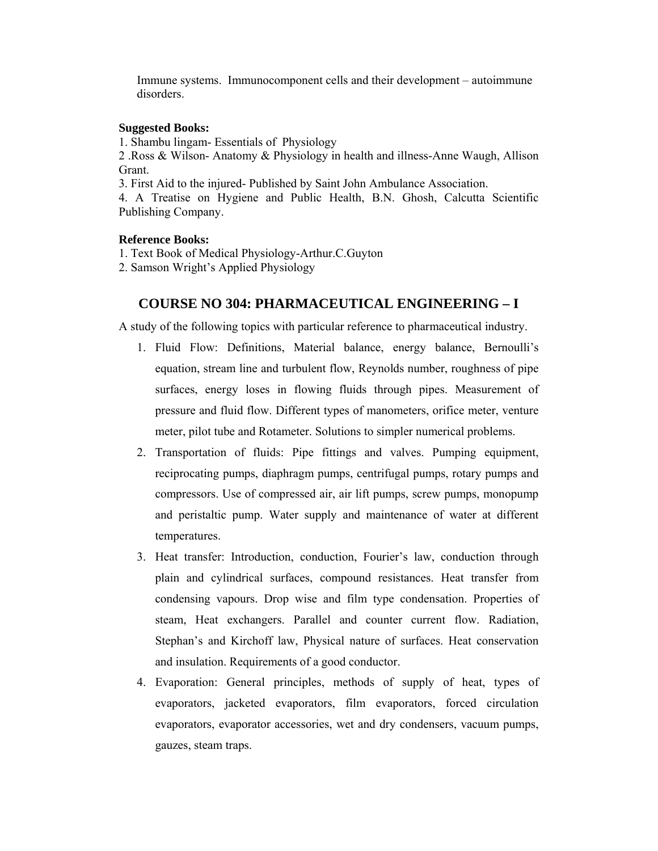Immune systems. Immunocomponent cells and their development – autoimmune disorders.

#### **Suggested Books:**

1. Shambu lingam- Essentials of Physiology

2 .Ross & Wilson- Anatomy & Physiology in health and illness-Anne Waugh, Allison Grant.

3. First Aid to the injured- Published by Saint John Ambulance Association.

4. A Treatise on Hygiene and Public Health, B.N. Ghosh, Calcutta Scientific Publishing Company.

#### **Reference Books:**

1. Text Book of Medical Physiology-Arthur.C.Guyton

2. Samson Wright's Applied Physiology

#### **COURSE NO 304: PHARMACEUTICAL ENGINEERING – I**

A study of the following topics with particular reference to pharmaceutical industry.

- 1. Fluid Flow: Definitions, Material balance, energy balance, Bernoulli's equation, stream line and turbulent flow, Reynolds number, roughness of pipe surfaces, energy loses in flowing fluids through pipes. Measurement of pressure and fluid flow. Different types of manometers, orifice meter, venture meter, pilot tube and Rotameter. Solutions to simpler numerical problems.
- 2. Transportation of fluids: Pipe fittings and valves. Pumping equipment, reciprocating pumps, diaphragm pumps, centrifugal pumps, rotary pumps and compressors. Use of compressed air, air lift pumps, screw pumps, monopump and peristaltic pump. Water supply and maintenance of water at different temperatures.
- 3. Heat transfer: Introduction, conduction, Fourier's law, conduction through plain and cylindrical surfaces, compound resistances. Heat transfer from condensing vapours. Drop wise and film type condensation. Properties of steam, Heat exchangers. Parallel and counter current flow. Radiation, Stephan's and Kirchoff law, Physical nature of surfaces. Heat conservation and insulation. Requirements of a good conductor.
- 4. Evaporation: General principles, methods of supply of heat, types of evaporators, jacketed evaporators, film evaporators, forced circulation evaporators, evaporator accessories, wet and dry condensers, vacuum pumps, gauzes, steam traps.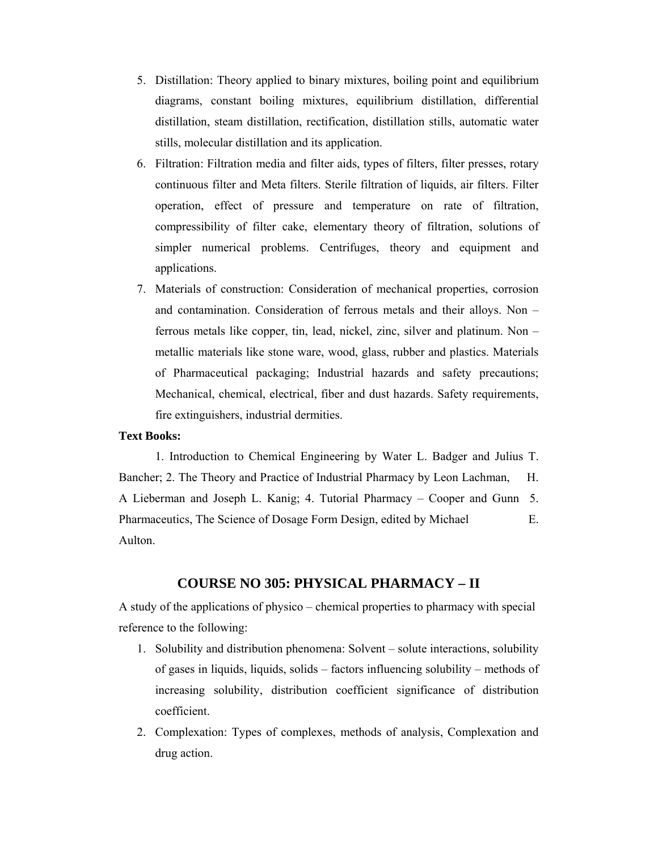- 5. Distillation: Theory applied to binary mixtures, boiling point and equilibrium diagrams, constant boiling mixtures, equilibrium distillation, differential distillation, steam distillation, rectification, distillation stills, automatic water stills, molecular distillation and its application.
- 6. Filtration: Filtration media and filter aids, types of filters, filter presses, rotary continuous filter and Meta filters. Sterile filtration of liquids, air filters. Filter operation, effect of pressure and temperature on rate of filtration, compressibility of filter cake, elementary theory of filtration, solutions of simpler numerical problems. Centrifuges, theory and equipment and applications.
- 7. Materials of construction: Consideration of mechanical properties, corrosion and contamination. Consideration of ferrous metals and their alloys. Non – ferrous metals like copper, tin, lead, nickel, zinc, silver and platinum. Non – metallic materials like stone ware, wood, glass, rubber and plastics. Materials of Pharmaceutical packaging; Industrial hazards and safety precautions; Mechanical, chemical, electrical, fiber and dust hazards. Safety requirements, fire extinguishers, industrial dermities.

#### **Text Books:**

 1. Introduction to Chemical Engineering by Water L. Badger and Julius T. Bancher; 2. The Theory and Practice of Industrial Pharmacy by Leon Lachman, H. A Lieberman and Joseph L. Kanig; 4. Tutorial Pharmacy – Cooper and Gunn 5. Pharmaceutics, The Science of Dosage Form Design, edited by Michael E. Aulton.

#### **COURSE NO 305: PHYSICAL PHARMACY – II**

A study of the applications of physico – chemical properties to pharmacy with special reference to the following:

- 1. Solubility and distribution phenomena: Solvent solute interactions, solubility of gases in liquids, liquids, solids – factors influencing solubility – methods of increasing solubility, distribution coefficient significance of distribution coefficient.
- 2. Complexation: Types of complexes, methods of analysis, Complexation and drug action.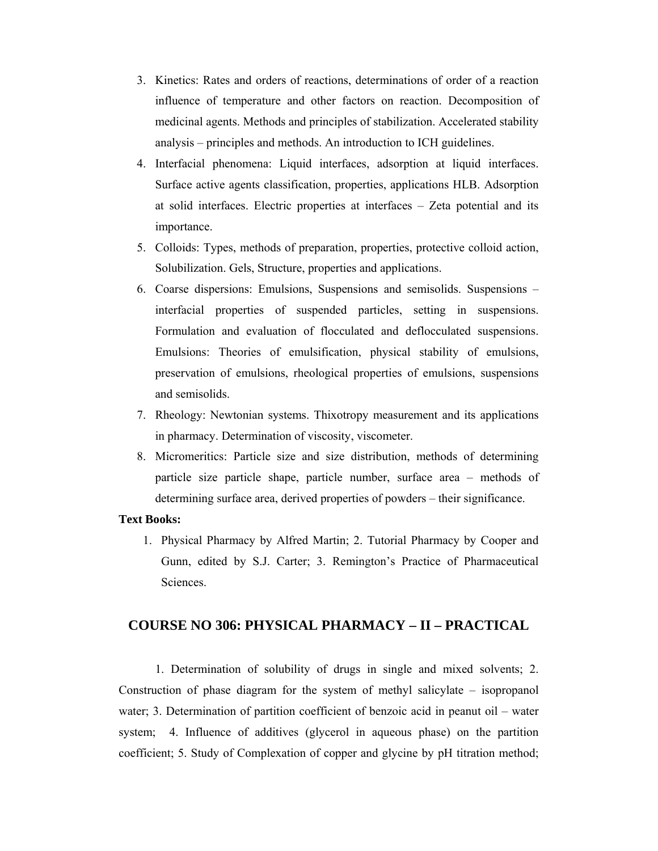- 3. Kinetics: Rates and orders of reactions, determinations of order of a reaction influence of temperature and other factors on reaction. Decomposition of medicinal agents. Methods and principles of stabilization. Accelerated stability analysis – principles and methods. An introduction to ICH guidelines.
- 4. Interfacial phenomena: Liquid interfaces, adsorption at liquid interfaces. Surface active agents classification, properties, applications HLB. Adsorption at solid interfaces. Electric properties at interfaces – Zeta potential and its importance.
- 5. Colloids: Types, methods of preparation, properties, protective colloid action, Solubilization. Gels, Structure, properties and applications.
- 6. Coarse dispersions: Emulsions, Suspensions and semisolids. Suspensions interfacial properties of suspended particles, setting in suspensions. Formulation and evaluation of flocculated and deflocculated suspensions. Emulsions: Theories of emulsification, physical stability of emulsions, preservation of emulsions, rheological properties of emulsions, suspensions and semisolids.
- 7. Rheology: Newtonian systems. Thixotropy measurement and its applications in pharmacy. Determination of viscosity, viscometer.
- 8. Micromeritics: Particle size and size distribution, methods of determining particle size particle shape, particle number, surface area – methods of determining surface area, derived properties of powders – their significance.

#### **Text Books:**

1. Physical Pharmacy by Alfred Martin; 2. Tutorial Pharmacy by Cooper and Gunn, edited by S.J. Carter; 3. Remington's Practice of Pharmaceutical **Sciences** 

## **COURSE NO 306: PHYSICAL PHARMACY – II – PRACTICAL**

 1. Determination of solubility of drugs in single and mixed solvents; 2. Construction of phase diagram for the system of methyl salicylate – isopropanol water; 3. Determination of partition coefficient of benzoic acid in peanut oil – water system; 4. Influence of additives (glycerol in aqueous phase) on the partition coefficient; 5. Study of Complexation of copper and glycine by pH titration method;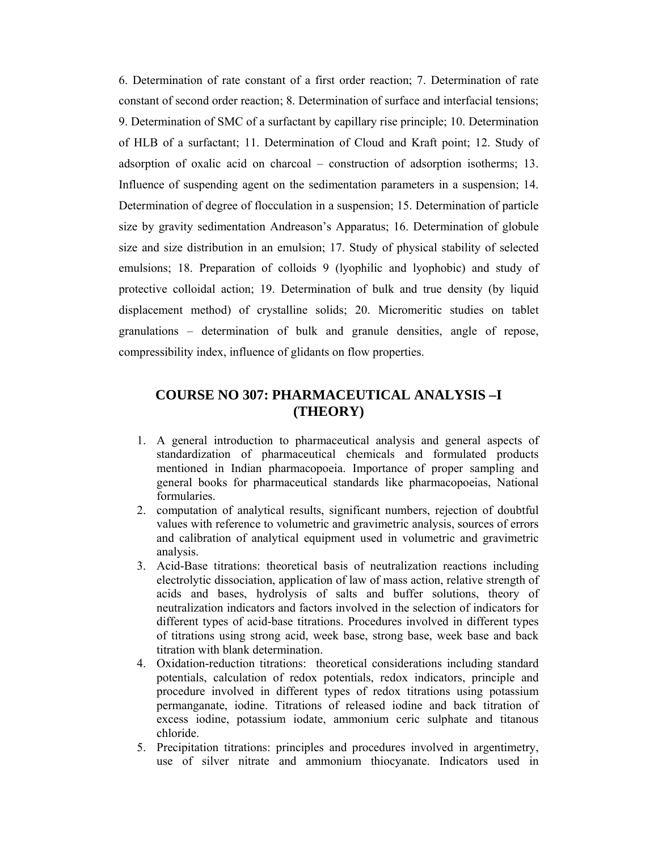6. Determination of rate constant of a first order reaction; 7. Determination of rate constant of second order reaction; 8. Determination of surface and interfacial tensions; 9. Determination of SMC of a surfactant by capillary rise principle; 10. Determination of HLB of a surfactant; 11. Determination of Cloud and Kraft point; 12. Study of adsorption of oxalic acid on charcoal – construction of adsorption isotherms; 13. Influence of suspending agent on the sedimentation parameters in a suspension; 14. Determination of degree of flocculation in a suspension; 15. Determination of particle size by gravity sedimentation Andreason's Apparatus; 16. Determination of globule size and size distribution in an emulsion; 17. Study of physical stability of selected emulsions; 18. Preparation of colloids 9 (lyophilic and lyophobic) and study of protective colloidal action; 19. Determination of bulk and true density (by liquid displacement method) of crystalline solids; 20. Micromeritic studies on tablet granulations – determination of bulk and granule densities, angle of repose, compressibility index, influence of glidants on flow properties.

# **COURSE NO 307: PHARMACEUTICAL ANALYSIS –I (THEORY)**

- 1. A general introduction to pharmaceutical analysis and general aspects of standardization of pharmaceutical chemicals and formulated products mentioned in Indian pharmacopoeia. Importance of proper sampling and general books for pharmaceutical standards like pharmacopoeias, National formularies.
- 2. computation of analytical results, significant numbers, rejection of doubtful values with reference to volumetric and gravimetric analysis, sources of errors and calibration of analytical equipment used in volumetric and gravimetric analysis.
- 3. Acid-Base titrations: theoretical basis of neutralization reactions including electrolytic dissociation, application of law of mass action, relative strength of acids and bases, hydrolysis of salts and buffer solutions, theory of neutralization indicators and factors involved in the selection of indicators for different types of acid-base titrations. Procedures involved in different types of titrations using strong acid, week base, strong base, week base and back titration with blank determination.
- 4. Oxidation-reduction titrations: theoretical considerations including standard potentials, calculation of redox potentials, redox indicators, principle and procedure involved in different types of redox titrations using potassium permanganate, iodine. Titrations of released iodine and back titration of excess iodine, potassium iodate, ammonium ceric sulphate and titanous chloride.
- 5. Precipitation titrations: principles and procedures involved in argentimetry, use of silver nitrate and ammonium thiocyanate. Indicators used in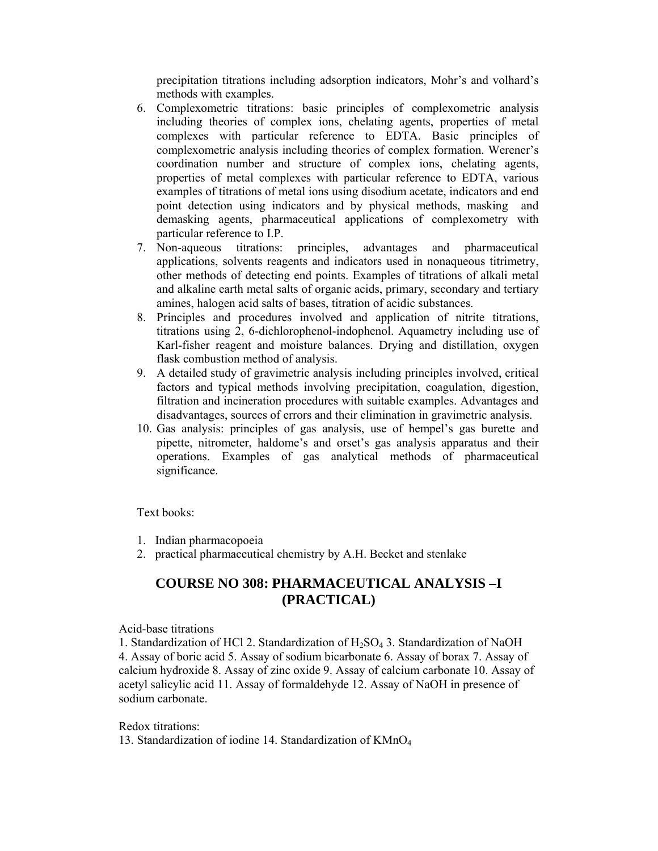precipitation titrations including adsorption indicators, Mohr's and volhard's methods with examples.

- 6. Complexometric titrations: basic principles of complexometric analysis including theories of complex ions, chelating agents, properties of metal complexes with particular reference to EDTA. Basic principles of complexometric analysis including theories of complex formation. Werener's coordination number and structure of complex ions, chelating agents, properties of metal complexes with particular reference to EDTA, various examples of titrations of metal ions using disodium acetate, indicators and end point detection using indicators and by physical methods, masking and demasking agents, pharmaceutical applications of complexometry with particular reference to I.P.
- 7. Non-aqueous titrations: principles, advantages and pharmaceutical applications, solvents reagents and indicators used in nonaqueous titrimetry, other methods of detecting end points. Examples of titrations of alkali metal and alkaline earth metal salts of organic acids, primary, secondary and tertiary amines, halogen acid salts of bases, titration of acidic substances.
- 8. Principles and procedures involved and application of nitrite titrations, titrations using 2, 6-dichlorophenol-indophenol. Aquametry including use of Karl-fisher reagent and moisture balances. Drying and distillation, oxygen flask combustion method of analysis.
- 9. A detailed study of gravimetric analysis including principles involved, critical factors and typical methods involving precipitation, coagulation, digestion, filtration and incineration procedures with suitable examples. Advantages and disadvantages, sources of errors and their elimination in gravimetric analysis.
- 10. Gas analysis: principles of gas analysis, use of hempel's gas burette and pipette, nitrometer, haldome's and orset's gas analysis apparatus and their operations. Examples of gas analytical methods of pharmaceutical significance.

Text books:

- 1. Indian pharmacopoeia
- 2. practical pharmaceutical chemistry by A.H. Becket and stenlake

# **COURSE NO 308: PHARMACEUTICAL ANALYSIS –I (PRACTICAL)**

Acid-base titrations

1. Standardization of HCl 2. Standardization of H2SO4 3. Standardization of NaOH 4. Assay of boric acid 5. Assay of sodium bicarbonate 6. Assay of borax 7. Assay of calcium hydroxide 8. Assay of zinc oxide 9. Assay of calcium carbonate 10. Assay of acetyl salicylic acid 11. Assay of formaldehyde 12. Assay of NaOH in presence of sodium carbonate.

Redox titrations:

13. Standardization of iodine 14. Standardization of KMnO4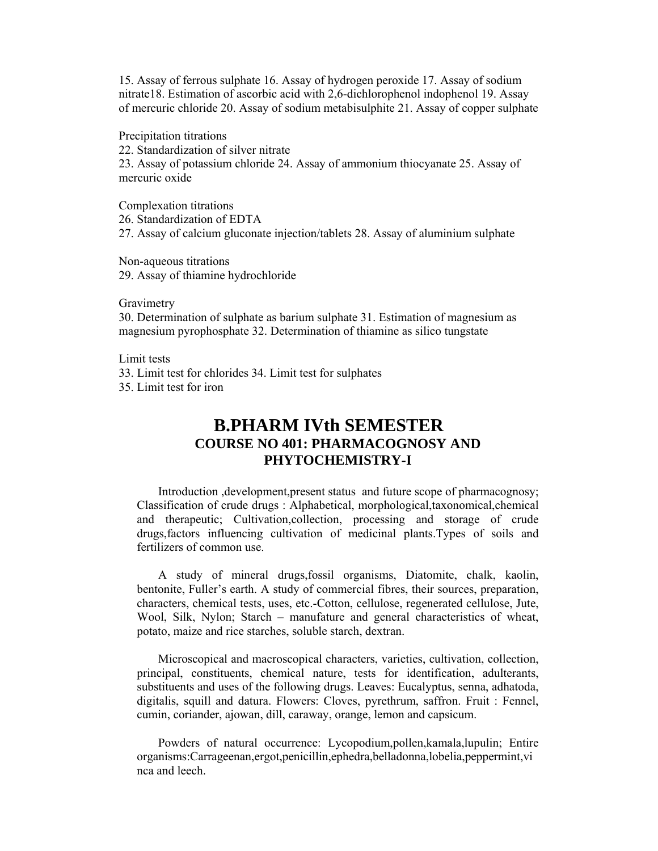15. Assay of ferrous sulphate 16. Assay of hydrogen peroxide 17. Assay of sodium nitrate18. Estimation of ascorbic acid with 2,6-dichlorophenol indophenol 19. Assay of mercuric chloride 20. Assay of sodium metabisulphite 21. Assay of copper sulphate

Precipitation titrations

22. Standardization of silver nitrate

23. Assay of potassium chloride 24. Assay of ammonium thiocyanate 25. Assay of mercuric oxide

Complexation titrations

26. Standardization of EDTA

27. Assay of calcium gluconate injection/tablets 28. Assay of aluminium sulphate

Non-aqueous titrations

29. Assay of thiamine hydrochloride

**Gravimetry** 

30. Determination of sulphate as barium sulphate 31. Estimation of magnesium as magnesium pyrophosphate 32. Determination of thiamine as silico tungstate

Limit tests

33. Limit test for chlorides 34. Limit test for sulphates

35. Limit test for iron

# **B.PHARM IVth SEMESTER COURSE NO 401: PHARMACOGNOSY AND PHYTOCHEMISTRY-I**

Introduction ,development,present statusand future scope of pharmacognosy; Classification of crude drugs : Alphabetical, morphological,taxonomical,chemical and therapeutic; Cultivation,collection, processing and storage of crude drugs,factors influencing cultivation of medicinal plants.Types of soils and fertilizers of common use.

 A study of mineral drugs,fossil organisms, Diatomite, chalk, kaolin, bentonite, Fuller's earth. A study of commercial fibres, their sources, preparation, characters, chemical tests, uses, etc.-Cotton, cellulose, regenerated cellulose, Jute, Wool, Silk, Nylon; Starch – manufature and general characteristics of wheat, potato, maize and rice starches, soluble starch, dextran.

 Microscopical and macroscopical characters, varieties, cultivation, collection, principal, constituents, chemical nature, tests for identification, adulterants, substituents and uses of the following drugs. Leaves: Eucalyptus, senna, adhatoda, digitalis, squill and datura. Flowers: Cloves, pyrethrum, saffron. Fruit : Fennel, cumin, coriander, ajowan, dill, caraway, orange, lemon and capsicum.

 Powders of natural occurrence: Lycopodium,pollen,kamala,lupulin; Entire organisms:Carrageenan,ergot,penicillin,ephedra,belladonna,lobelia,peppermint,vi nca and leech.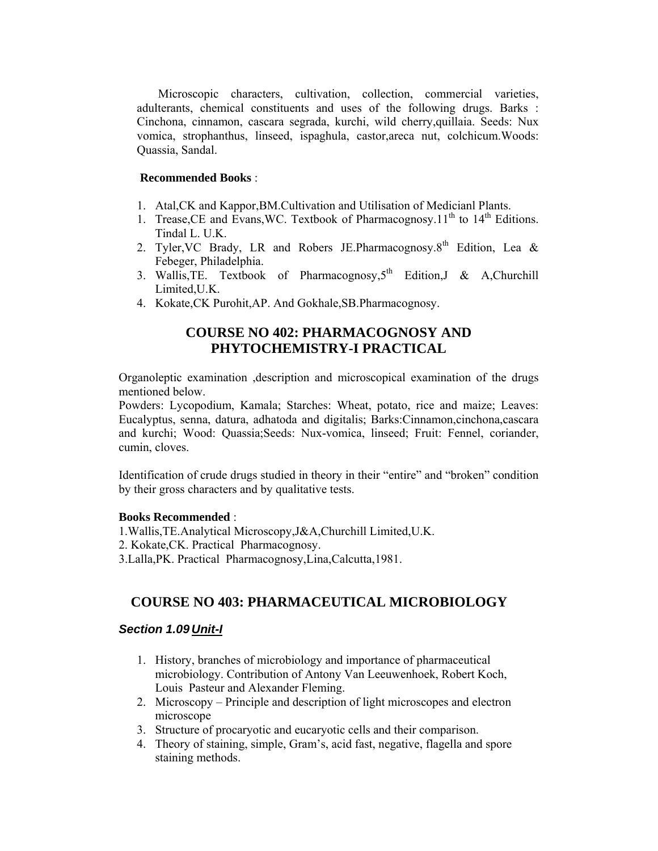Microscopic characters, cultivation, collection, commercial varieties, adulterants, chemical constituents and uses of the following drugs. Barks : Cinchona, cinnamon, cascara segrada, kurchi, wild cherry,quillaia. Seeds: Nux vomica, strophanthus, linseed, ispaghula, castor,areca nut, colchicum.Woods: Quassia, Sandal.

#### **Recommended Books** :

- 1. Atal,CK and Kappor,BM.Cultivation and Utilisation of Medicianl Plants.
- 1. Trease, CE and Evans, WC. Textbook of Pharmacognosy.  $11^{th}$  to  $14^{th}$  Editions. Tindal L. U.K.
- 2. Tyler, VC Brady, LR and Robers JE. Pharmacognosy.  $8<sup>th</sup>$  Edition, Lea & Febeger, Philadelphia.
- 3. Wallis, TE. Textbook of Pharmacognosy,  $5<sup>th</sup>$  Edition, J & A, Churchill Limited,U.K.
- 4. Kokate,CK Purohit,AP. And Gokhale,SB.Pharmacognosy.

# **COURSE NO 402: PHARMACOGNOSY AND PHYTOCHEMISTRY-I PRACTICAL**

Organoleptic examination ,description and microscopical examination of the drugs mentioned below.

Powders: Lycopodium, Kamala; Starches: Wheat, potato, rice and maize; Leaves: Eucalyptus, senna, datura, adhatoda and digitalis; Barks:Cinnamon,cinchona,cascara and kurchi; Wood: Quassia;Seeds: Nux-vomica, linseed; Fruit: Fennel, coriander, cumin, cloves.

Identification of crude drugs studied in theory in their "entire" and "broken" condition by their gross characters and by qualitative tests.

#### **Books Recommended** :

1.Wallis,TE.Analytical Microscopy,J&A,Churchill Limited,U.K. 2. Kokate,CK. Practical Pharmacognosy. 3.Lalla,PK. Practical Pharmacognosy,Lina,Calcutta,1981.

# **COURSE NO 403: PHARMACEUTICAL MICROBIOLOGY**

#### *Section 1.09 Unit-I*

- 1. History, branches of microbiology and importance of pharmaceutical microbiology. Contribution of Antony Van Leeuwenhoek, Robert Koch, Louis Pasteur and Alexander Fleming.
- 2. Microscopy Principle and description of light microscopes and electron microscope
- 3. Structure of procaryotic and eucaryotic cells and their comparison.
- 4. Theory of staining, simple, Gram's, acid fast, negative, flagella and spore staining methods.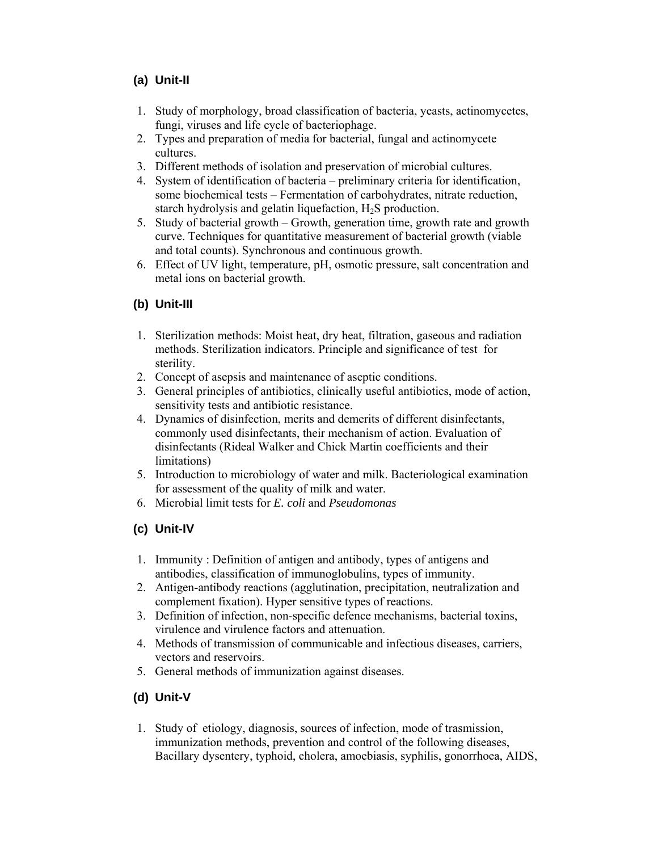# **(a) Unit-II**

- 1. Study of morphology, broad classification of bacteria, yeasts, actinomycetes, fungi, viruses and life cycle of bacteriophage.
- 2. Types and preparation of media for bacterial, fungal and actinomycete cultures.
- 3. Different methods of isolation and preservation of microbial cultures.
- 4. System of identification of bacteria preliminary criteria for identification, some biochemical tests – Fermentation of carbohydrates, nitrate reduction, starch hydrolysis and gelatin liquefaction, H2S production.
- 5. Study of bacterial growth Growth, generation time, growth rate and growth curve. Techniques for quantitative measurement of bacterial growth (viable and total counts). Synchronous and continuous growth.
- 6. Effect of UV light, temperature, pH, osmotic pressure, salt concentration and metal ions on bacterial growth.

# **(b) Unit-III**

- 1. Sterilization methods: Moist heat, dry heat, filtration, gaseous and radiation methods. Sterilization indicators. Principle and significance of test for sterility.
- 2. Concept of asepsis and maintenance of aseptic conditions.
- 3. General principles of antibiotics, clinically useful antibiotics, mode of action, sensitivity tests and antibiotic resistance.
- 4. Dynamics of disinfection, merits and demerits of different disinfectants, commonly used disinfectants, their mechanism of action. Evaluation of disinfectants (Rideal Walker and Chick Martin coefficients and their limitations)
- 5. Introduction to microbiology of water and milk. Bacteriological examination for assessment of the quality of milk and water.
- 6. Microbial limit tests for *E. coli* and *Pseudomonas*

# **(c) Unit-IV**

- 1. Immunity : Definition of antigen and antibody, types of antigens and antibodies, classification of immunoglobulins, types of immunity.
- 2. Antigen-antibody reactions (agglutination, precipitation, neutralization and complement fixation). Hyper sensitive types of reactions.
- 3. Definition of infection, non-specific defence mechanisms, bacterial toxins, virulence and virulence factors and attenuation.
- 4. Methods of transmission of communicable and infectious diseases, carriers, vectors and reservoirs.
- 5. General methods of immunization against diseases.

# **(d) Unit-V**

1. Study of etiology, diagnosis, sources of infection, mode of trasmission, immunization methods, prevention and control of the following diseases, Bacillary dysentery, typhoid, cholera, amoebiasis, syphilis, gonorrhoea, AIDS,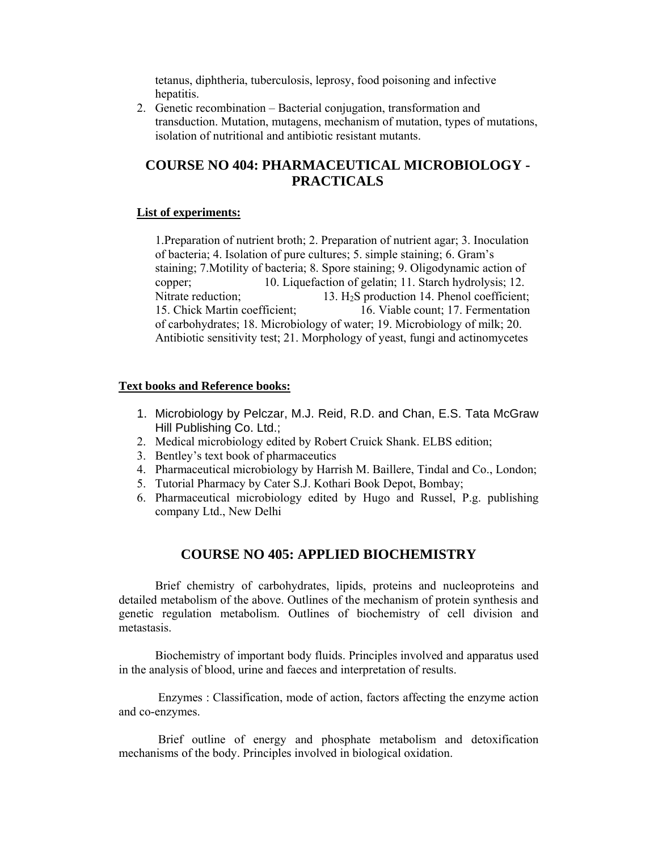tetanus, diphtheria, tuberculosis, leprosy, food poisoning and infective hepatitis.

2. Genetic recombination – Bacterial conjugation, transformation and transduction. Mutation, mutagens, mechanism of mutation, types of mutations, isolation of nutritional and antibiotic resistant mutants.

# **COURSE NO 404: PHARMACEUTICAL MICROBIOLOGY - PRACTICALS**

#### **List of experiments:**

1.Preparation of nutrient broth; 2. Preparation of nutrient agar; 3. Inoculation of bacteria; 4. Isolation of pure cultures; 5. simple staining; 6. Gram's staining; 7.Motility of bacteria; 8. Spore staining; 9. Oligodynamic action of copper; 10. Liquefaction of gelatin; 11. Starch hydrolysis; 12. Nitrate reduction; 13. H<sub>2</sub>S production 14. Phenol coefficient; 15. Chick Martin coefficient; 16. Viable count; 17. Fermentation of carbohydrates; 18. Microbiology of water; 19. Microbiology of milk; 20. Antibiotic sensitivity test; 21. Morphology of yeast, fungi and actinomycetes

#### **Text books and Reference books:**

- 1. Microbiology by Pelczar, M.J. Reid, R.D. and Chan, E.S. Tata McGraw Hill Publishing Co. Ltd.;
- 2. Medical microbiology edited by Robert Cruick Shank. ELBS edition;
- 3. Bentley's text book of pharmaceutics
- 4. Pharmaceutical microbiology by Harrish M. Baillere, Tindal and Co., London;
- 5. Tutorial Pharmacy by Cater S.J. Kothari Book Depot, Bombay;
- 6. Pharmaceutical microbiology edited by Hugo and Russel, P.g. publishing company Ltd., New Delhi

# **COURSE NO 405: APPLIED BIOCHEMISTRY**

Brief chemistry of carbohydrates, lipids, proteins and nucleoproteins and detailed metabolism of the above. Outlines of the mechanism of protein synthesis and genetic regulation metabolism. Outlines of biochemistry of cell division and metastasis.

Biochemistry of important body fluids. Principles involved and apparatus used in the analysis of blood, urine and faeces and interpretation of results.

Enzymes : Classification, mode of action, factors affecting the enzyme action and co-enzymes.

Brief outline of energy and phosphate metabolism and detoxification mechanisms of the body. Principles involved in biological oxidation.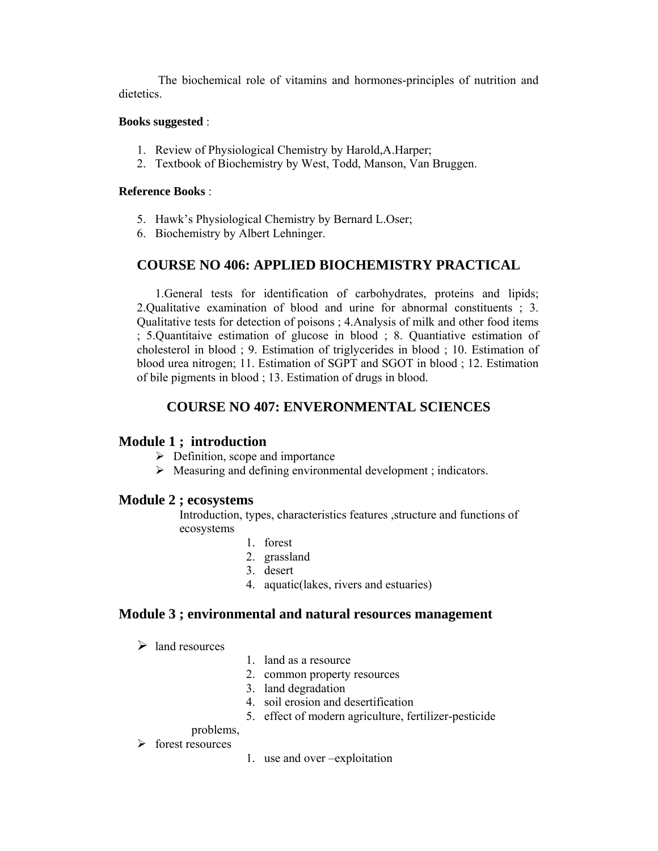The biochemical role of vitamins and hormones-principles of nutrition and dietetics.

#### **Books suggested** :

- 1. Review of Physiological Chemistry by Harold,A.Harper;
- 2. Textbook of Biochemistry by West, Todd, Manson, Van Bruggen.

#### **Reference Books** :

- 5. Hawk's Physiological Chemistry by Bernard L.Oser;
- 6. Biochemistry by Albert Lehninger.

# **COURSE NO 406: APPLIED BIOCHEMISTRY PRACTICAL**

1.General tests for identification of carbohydrates, proteins and lipids; 2.Qualitative examination of blood and urine for abnormal constituents ; 3. Qualitative tests for detection of poisons ; 4.Analysis of milk and other food items ; 5.Quantitaive estimation of glucose in blood ; 8. Quantiative estimation of cholesterol in blood ; 9. Estimation of triglycerides in blood ; 10. Estimation of blood urea nitrogen; 11. Estimation of SGPT and SGOT in blood ; 12. Estimation of bile pigments in blood ; 13. Estimation of drugs in blood.

# **COURSE NO 407: ENVERONMENTAL SCIENCES**

## **Module 1 ; introduction**

- $\triangleright$  Definition, scope and importance
- $\triangleright$  Measuring and defining environmental development; indicators.

## **Module 2 ; ecosystems**

Introduction, types, characteristics features ,structure and functions of ecosystems

- 1. forest
- 2. grassland
- 3. desert
- 4. aquatic(lakes, rivers and estuaries)

## **Module 3 ; environmental and natural resources management**

 $\triangleright$  land resources

- 1. land as a resource
- 2. common property resources
- 3. land degradation
- 4. soil erosion and desertification
- 5. effect of modern agriculture, fertilizer-pesticide

## problems,

- $\triangleright$  forest resources
- 1. use and over –exploitation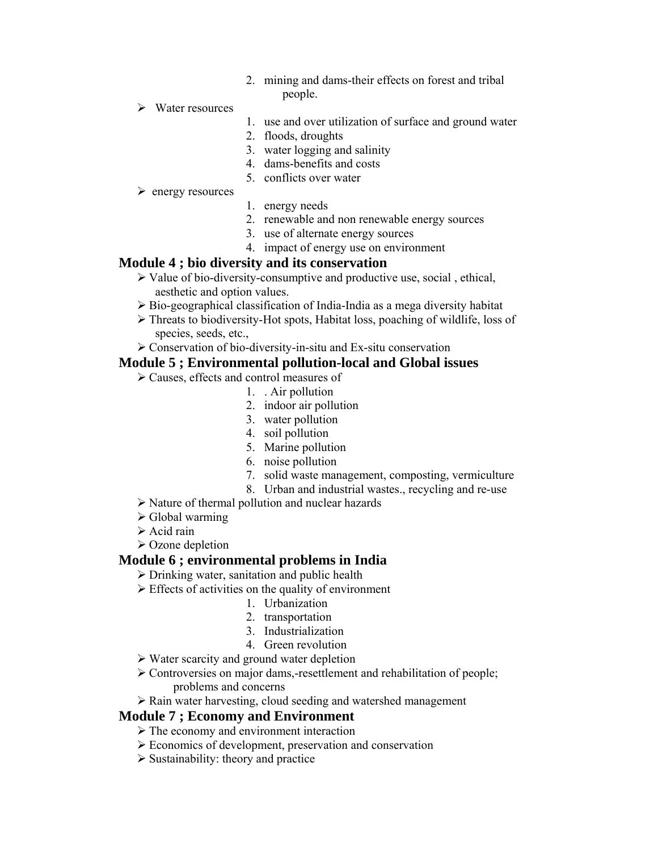- 2. mining and dams-their effects on forest and tribal people.
- $\triangleright$  Water resources
- 1. use and over utilization of surface and ground water
- 2. floods, droughts
- 3. water logging and salinity
- 4. dams-benefits and costs
- 5. conflicts over water

#### $\triangleright$  energy resources

- 1. energy needs
- 2. renewable and non renewable energy sources
- 3. use of alternate energy sources
- 4. impact of energy use on environment

## **Module 4 ; bio diversity and its conservation**

- $\triangleright$  Value of bio-diversity-consumptive and productive use, social, ethical, aesthetic and option values.
- $\triangleright$  Bio-geographical classification of India-India as a mega diversity habitat
- ¾ Threats to biodiversity-Hot spots, Habitat loss, poaching of wildlife, loss of species, seeds, etc.,
- ¾ Conservation of bio-diversity-in-situ and Ex-situ conservation

## **Module 5 ; Environmental pollution-local and Global issues**

- ¾ Causes, effects and control measures of
	- 1. . Air pollution
	- 2. indoor air pollution
	- 3. water pollution
	- 4. soil pollution
	- 5. Marine pollution
	- 6. noise pollution
	- 7. solid waste management, composting, vermiculture
	- 8. Urban and industrial wastes., recycling and re-use
- $\triangleright$  Nature of thermal pollution and nuclear hazards
- $\triangleright$  Global warming
- $\triangleright$  Acid rain
- $\triangleright$  Ozone depletion

## **Module 6 ; environmental problems in India**

#### $\triangleright$  Drinking water, sanitation and public health

- $\triangleright$  Effects of activities on the quality of environment
	- 1. Urbanization
	- 2. transportation
	- 3. Industrialization
	- 4. Green revolution
- $\triangleright$  Water scarcity and ground water depletion
- ¾ Controversies on major dams,-resettlement and rehabilitation of people; problems and concerns
- $\triangleright$  Rain water harvesting, cloud seeding and watershed management

## **Module 7 ; Economy and Environment**

- $\triangleright$  The economy and environment interaction
- ¾ Economics of development, preservation and conservation
- $\triangleright$  Sustainability: theory and practice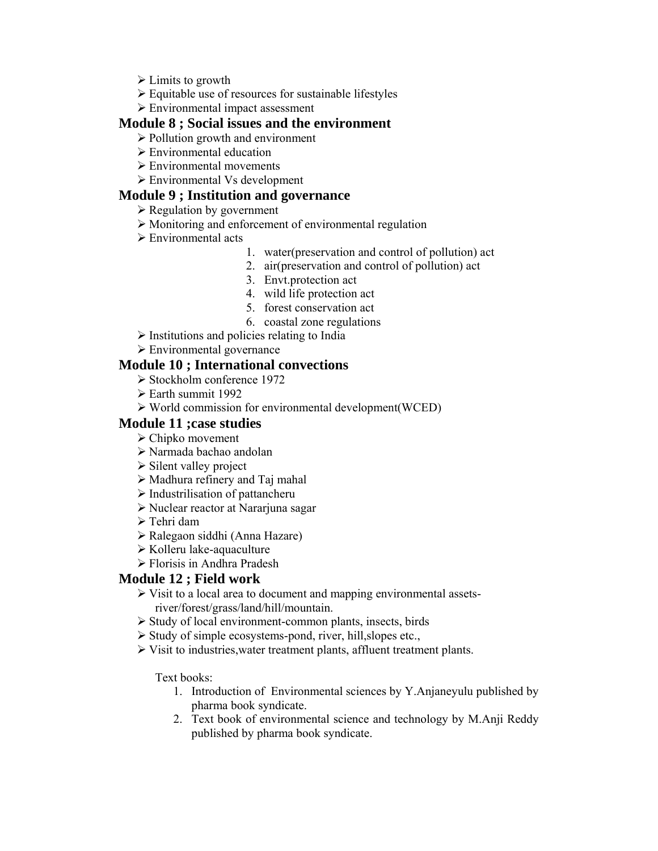- $\triangleright$  Limits to growth
- ¾ Equitable use of resources for sustainable lifestyles
- $\triangleright$  Environmental impact assessment

## **Module 8 ; Social issues and the environment**

- $\triangleright$  Pollution growth and environment
- $\triangleright$  Environmental education
- $\triangleright$  Environmental movements
- $\triangleright$  Environmental Vs development

## **Module 9 ; Institution and governance**

- $\triangleright$  Regulation by government
- ¾ Monitoring and enforcement of environmental regulation
- $\triangleright$  Environmental acts
	- 1. water(preservation and control of pollution) act
	- 2. air(preservation and control of pollution) act
		- 3. Envt.protection act
		- 4. wild life protection act
		- 5. forest conservation act
		- 6. coastal zone regulations
- $\triangleright$  Institutions and policies relating to India
- $\triangleright$  Environmental governance

## **Module 10 ; International convections**

- $\triangleright$  Stockholm conference 1972
- $\geq$  Earth summit 1992
- ¾ World commission for environmental development(WCED)

## **Module 11 ;case studies**

- $\triangleright$  Chipko movement
- ¾ Narmada bachao andolan
- $\triangleright$  Silent valley project
- $\triangleright$  Madhura refinery and Taj mahal
- $\triangleright$  Industrilisation of pattancheru
- ¾ Nuclear reactor at Nararjuna sagar
- $\triangleright$  Tehri dam
- ¾ Ralegaon siddhi (Anna Hazare)
- $\triangleright$  Kolleru lake-aquaculture
- $\triangleright$  Florisis in Andhra Pradesh

# **Module 12 ; Field work**

- $\triangleright$  Visit to a local area to document and mapping environmental assetsriver/forest/grass/land/hill/mountain.
- $\triangleright$  Study of local environment-common plants, insects, birds
- $\triangleright$  Study of simple ecosystems-pond, river, hill, slopes etc.,
- ¾ Visit to industries,water treatment plants, affluent treatment plants.

Text books:

- 1. Introduction of Environmental sciences by Y.Anjaneyulu published by pharma book syndicate.
- 2. Text book of environmental science and technology by M.Anji Reddy published by pharma book syndicate.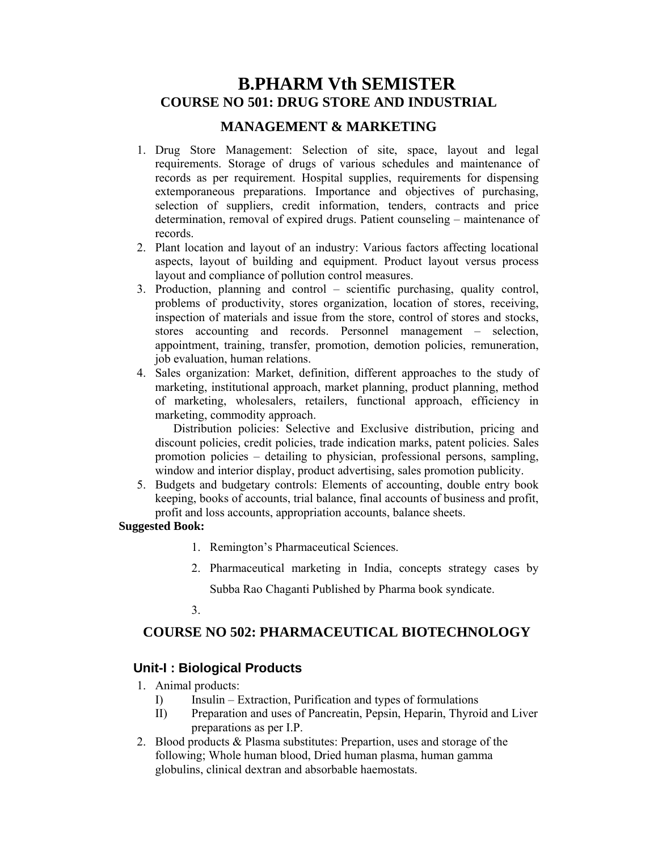# **B.PHARM Vth SEMISTER COURSE NO 501: DRUG STORE AND INDUSTRIAL**

## **MANAGEMENT & MARKETING**

- 1. Drug Store Management: Selection of site, space, layout and legal requirements. Storage of drugs of various schedules and maintenance of records as per requirement. Hospital supplies, requirements for dispensing extemporaneous preparations. Importance and objectives of purchasing, selection of suppliers, credit information, tenders, contracts and price determination, removal of expired drugs. Patient counseling – maintenance of records.
- 2. Plant location and layout of an industry: Various factors affecting locational aspects, layout of building and equipment. Product layout versus process layout and compliance of pollution control measures.
- 3. Production, planning and control scientific purchasing, quality control, problems of productivity, stores organization, location of stores, receiving, inspection of materials and issue from the store, control of stores and stocks, stores accounting and records. Personnel management – selection, appointment, training, transfer, promotion, demotion policies, remuneration, job evaluation, human relations.
- 4. Sales organization: Market, definition, different approaches to the study of marketing, institutional approach, market planning, product planning, method of marketing, wholesalers, retailers, functional approach, efficiency in marketing, commodity approach.

Distribution policies: Selective and Exclusive distribution, pricing and discount policies, credit policies, trade indication marks, patent policies. Sales promotion policies – detailing to physician, professional persons, sampling, window and interior display, product advertising, sales promotion publicity.

5. Budgets and budgetary controls: Elements of accounting, double entry book keeping, books of accounts, trial balance, final accounts of business and profit, profit and loss accounts, appropriation accounts, balance sheets.

#### **Suggested Book:**

- 1. Remington's Pharmaceutical Sciences.
- 2. Pharmaceutical marketing in India, concepts strategy cases by Subba Rao Chaganti Published by Pharma book syndicate.

## 3.

# **COURSE NO 502: PHARMACEUTICAL BIOTECHNOLOGY**

# **Unit-I : Biological Products**

- 1. Animal products:
	- I) Insulin Extraction, Purification and types of formulations
	- II) Preparation and uses of Pancreatin, Pepsin, Heparin, Thyroid and Liver preparations as per I.P.
- 2. Blood products & Plasma substitutes: Prepartion, uses and storage of the following; Whole human blood, Dried human plasma, human gamma globulins, clinical dextran and absorbable haemostats.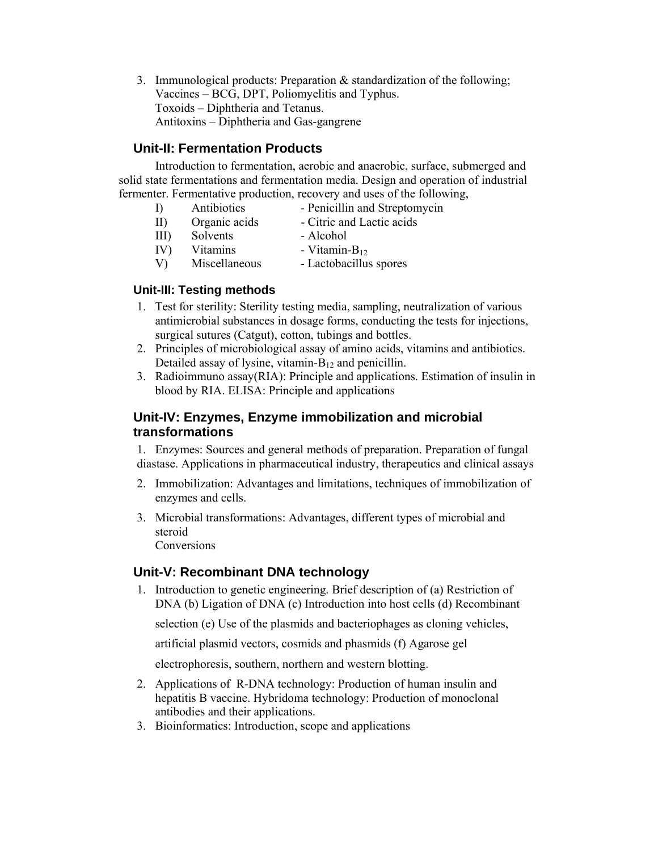3. Immunological products: Preparation & standardization of the following; Vaccines – BCG, DPT, Poliomyelitis and Typhus. Toxoids – Diphtheria and Tetanus. Antitoxins – Diphtheria and Gas-gangrene

# **Unit-II: Fermentation Products**

 Introduction to fermentation, aerobic and anaerobic, surface, submerged and solid state fermentations and fermentation media. Design and operation of industrial fermenter. Fermentative production, recovery and uses of the following,

- I) Antibiotics Penicillin and Streptomycin
- II) Organic acids Citric and Lactic acids
- III) Solvents Alcohol
- $IV)$  Vitamins Vitamin-B<sub>12</sub>
- V) Miscellaneous Lactobacillus spores

# **Unit-III: Testing methods**

- 1. Test for sterility: Sterility testing media, sampling, neutralization of various antimicrobial substances in dosage forms, conducting the tests for injections, surgical sutures (Catgut), cotton, tubings and bottles.
- 2. Principles of microbiological assay of amino acids, vitamins and antibiotics. Detailed assay of lysine, vitamin- $B_{12}$  and penicillin.
- 3. Radioimmuno assay(RIA): Principle and applications. Estimation of insulin in blood by RIA. ELISA: Principle and applications

# **Unit-IV: Enzymes, Enzyme immobilization and microbial transformations**

1. Enzymes: Sources and general methods of preparation. Preparation of fungal diastase. Applications in pharmaceutical industry, therapeutics and clinical assays

- 2. Immobilization: Advantages and limitations, techniques of immobilization of enzymes and cells.
- 3. Microbial transformations: Advantages, different types of microbial and steroid Conversions

# **Unit-V: Recombinant DNA technology**

1. Introduction to genetic engineering. Brief description of (a) Restriction of DNA (b) Ligation of DNA (c) Introduction into host cells (d) Recombinant

selection (e) Use of the plasmids and bacteriophages as cloning vehicles,

artificial plasmid vectors, cosmids and phasmids (f) Agarose gel

electrophoresis, southern, northern and western blotting.

- 2. Applications of R-DNA technology: Production of human insulin and hepatitis B vaccine. Hybridoma technology: Production of monoclonal antibodies and their applications.
- 3. Bioinformatics: Introduction, scope and applications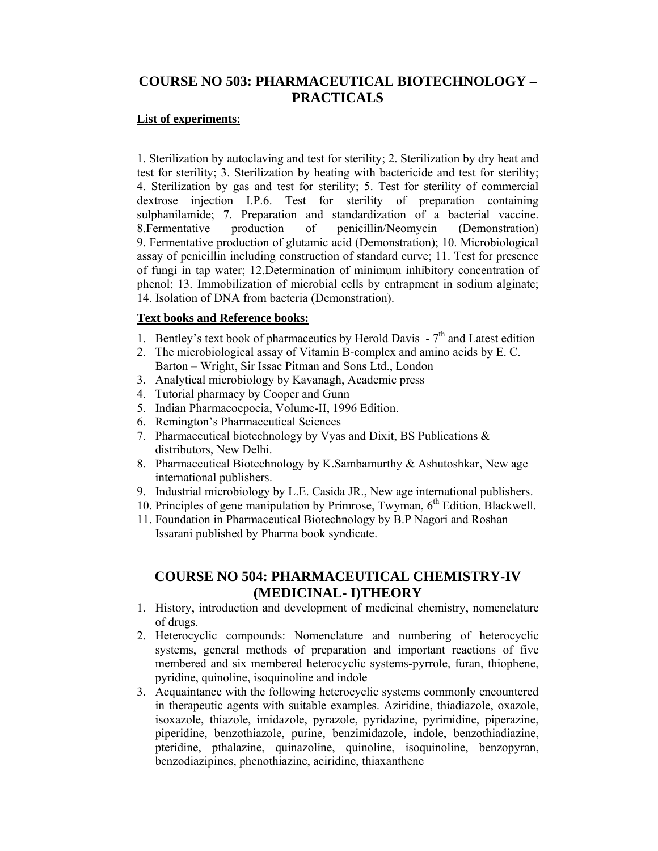# **COURSE NO 503: PHARMACEUTICAL BIOTECHNOLOGY – PRACTICALS**

### **List of experiments**:

1. Sterilization by autoclaving and test for sterility; 2. Sterilization by dry heat and test for sterility; 3. Sterilization by heating with bactericide and test for sterility; 4. Sterilization by gas and test for sterility; 5. Test for sterility of commercial dextrose injection I.P.6. Test for sterility of preparation containing sulphanilamide; 7. Preparation and standardization of a bacterial vaccine. 8.Fermentative production of penicillin/Neomycin (Demonstration) 9. Fermentative production of glutamic acid (Demonstration); 10. Microbiological assay of penicillin including construction of standard curve; 11. Test for presence of fungi in tap water; 12.Determination of minimum inhibitory concentration of phenol; 13. Immobilization of microbial cells by entrapment in sodium alginate; 14. Isolation of DNA from bacteria (Demonstration).

#### **Text books and Reference books:**

- 1. Bentley's text book of pharmaceutics by Herold Davis  $-7<sup>th</sup>$  and Latest edition
- 2. The microbiological assay of Vitamin B-complex and amino acids by E. C. Barton – Wright, Sir Issac Pitman and Sons Ltd., London
- 3. Analytical microbiology by Kavanagh, Academic press
- 4. Tutorial pharmacy by Cooper and Gunn
- 5. Indian Pharmacoepoeia, Volume-II, 1996 Edition.
- 6. Remington's Pharmaceutical Sciences
- 7. Pharmaceutical biotechnology by Vyas and Dixit, BS Publications & distributors, New Delhi.
- 8. Pharmaceutical Biotechnology by K.Sambamurthy & Ashutoshkar, New age international publishers.
- 9. Industrial microbiology by L.E. Casida JR., New age international publishers.
- 10. Principles of gene manipulation by Primrose, Twyman,  $6<sup>th</sup>$  Edition, Blackwell.
- 11. Foundation in Pharmaceutical Biotechnology by B.P Nagori and Roshan Issarani published by Pharma book syndicate.

# **COURSE NO 504: PHARMACEUTICAL CHEMISTRY-IV (MEDICINAL- I)THEORY**

- 1. History, introduction and development of medicinal chemistry, nomenclature of drugs.
- 2. Heterocyclic compounds: Nomenclature and numbering of heterocyclic systems, general methods of preparation and important reactions of five membered and six membered heterocyclic systems-pyrrole, furan, thiophene, pyridine, quinoline, isoquinoline and indole
- 3. Acquaintance with the following heterocyclic systems commonly encountered in therapeutic agents with suitable examples. Aziridine, thiadiazole, oxazole, isoxazole, thiazole, imidazole, pyrazole, pyridazine, pyrimidine, piperazine, piperidine, benzothiazole, purine, benzimidazole, indole, benzothiadiazine, pteridine, pthalazine, quinazoline, quinoline, isoquinoline, benzopyran, benzodiazipines, phenothiazine, aciridine, thiaxanthene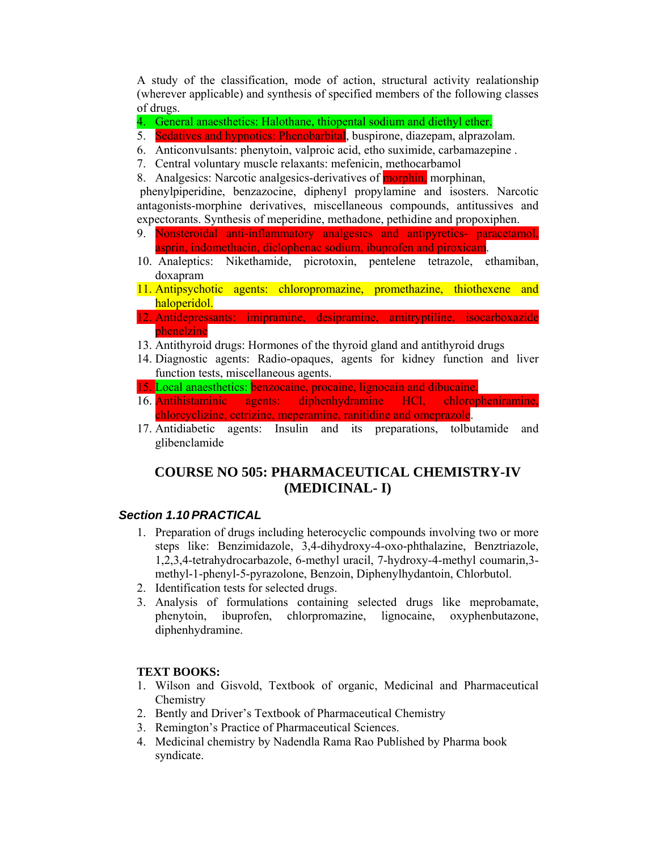A study of the classification, mode of action, structural activity realationship (wherever applicable) and synthesis of specified members of the following classes of drugs.

- 4. General anaesthetics: Halothane, thiopental sodium and diethyl ether.
- 5. Sedatives and hypnotics: Phenobarbital, buspirone, diazepam, alprazolam.
- 6. Anticonvulsants: phenytoin, valproic acid, etho suximide, carbamazepine .
- 7. Central voluntary muscle relaxants: mefenicin, methocarbamol
- 8. Analgesics: Narcotic analgesics-derivatives of **morphin**, morphinan,

 phenylpiperidine, benzazocine, diphenyl propylamine and isosters. Narcotic antagonists-morphine derivatives, miscellaneous compounds, antitussives and expectorants. Synthesis of meperidine, methadone, pethidine and propoxiphen.

- 9. Nonsteroidal anti-inflammatory analgesics and antipyretics- paracetamol, asprin, indomethacin, diclophenac sodium, ibuprofen and piroxicam.
- 10. Analeptics: Nikethamide, picrotoxin, pentelene tetrazole, ethamiban, doxapram
- 11. Antipsychotic agents: chloropromazine, promethazine, thiothexene and haloperidol.
- 12. Antidepressants: imipramine, desipramine, amitryptiline, isocarboxazide phenelzine
- 13. Antithyroid drugs: Hormones of the thyroid gland and antithyroid drugs
- 14. Diagnostic agents: Radio-opaques, agents for kidney function and liver function tests, miscellaneous agents.
- 15. Local anaesthetics: benzocaine, procaine, lignocain and dibucaine.
- 16. Antihistaminic agents: diphenhydramine HCl, chloropheniramine, chlorcyclizine, cetrizine, meperamine, ranitidine and omeprazole.
- 17. Antidiabetic agents: Insulin and its preparations, tolbutamide and glibenclamide

# **COURSE NO 505: PHARMACEUTICAL CHEMISTRY-IV (MEDICINAL- I)**

## *Section 1.10 PRACTICAL*

- 1. Preparation of drugs including heterocyclic compounds involving two or more steps like: Benzimidazole, 3,4-dihydroxy-4-oxo-phthalazine, Benztriazole, 1,2,3,4-tetrahydrocarbazole, 6-methyl uracil, 7-hydroxy-4-methyl coumarin,3 methyl-1-phenyl-5-pyrazolone, Benzoin, Diphenylhydantoin, Chlorbutol.
- 2. Identification tests for selected drugs.
- 3. Analysis of formulations containing selected drugs like meprobamate, phenytoin, ibuprofen, chlorpromazine, lignocaine, oxyphenbutazone, diphenhydramine.

#### **TEXT BOOKS:**

- 1. Wilson and Gisvold, Textbook of organic, Medicinal and Pharmaceutical **Chemistry**
- 2. Bently and Driver's Textbook of Pharmaceutical Chemistry
- 3. Remington's Practice of Pharmaceutical Sciences.
- 4. Medicinal chemistry by Nadendla Rama Rao Published by Pharma book syndicate.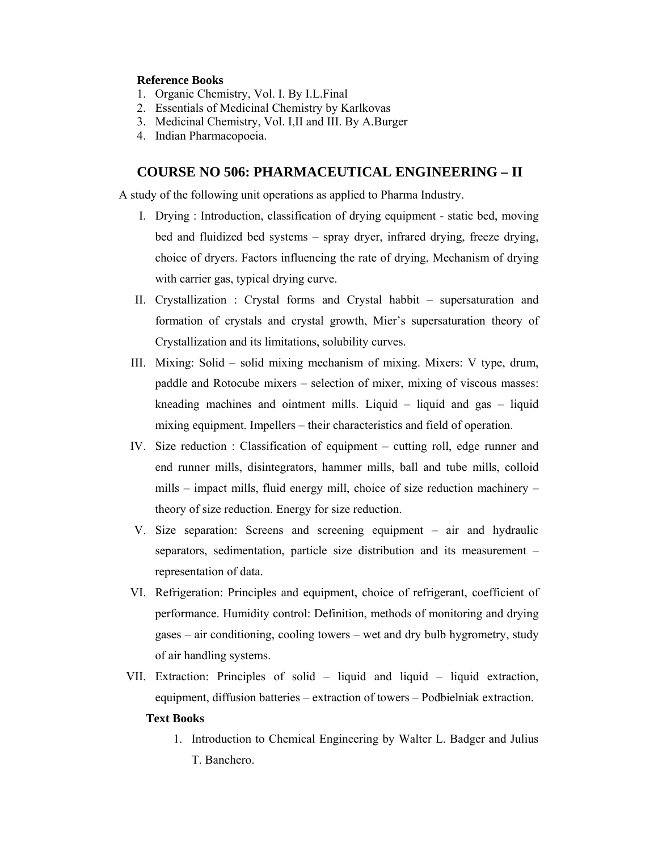### **Reference Books**

- 1. Organic Chemistry, Vol. I. By I.L.Final
- 2. Essentials of Medicinal Chemistry by Karlkovas
- 3. Medicinal Chemistry, Vol. I,II and III. By A.Burger
- 4. Indian Pharmacopoeia.

## **COURSE NO 506: PHARMACEUTICAL ENGINEERING – II**

A study of the following unit operations as applied to Pharma Industry.

- I. Drying : Introduction, classification of drying equipment static bed, moving bed and fluidized bed systems – spray dryer, infrared drying, freeze drying, choice of dryers. Factors influencing the rate of drying, Mechanism of drying with carrier gas, typical drying curve.
- II. Crystallization : Crystal forms and Crystal habbit supersaturation and formation of crystals and crystal growth, Mier's supersaturation theory of Crystallization and its limitations, solubility curves.
- III. Mixing: Solid solid mixing mechanism of mixing. Mixers: V type, drum, paddle and Rotocube mixers – selection of mixer, mixing of viscous masses: kneading machines and ointment mills. Liquid – liquid and gas – liquid mixing equipment. Impellers – their characteristics and field of operation.
- IV. Size reduction : Classification of equipment cutting roll, edge runner and end runner mills, disintegrators, hammer mills, ball and tube mills, colloid mills – impact mills, fluid energy mill, choice of size reduction machinery – theory of size reduction. Energy for size reduction.
- V. Size separation: Screens and screening equipment air and hydraulic separators, sedimentation, particle size distribution and its measurement – representation of data.
- VI. Refrigeration: Principles and equipment, choice of refrigerant, coefficient of performance. Humidity control: Definition, methods of monitoring and drying gases – air conditioning, cooling towers – wet and dry bulb hygrometry, study of air handling systems.
- VII. Extraction: Principles of solid liquid and liquid liquid extraction, equipment, diffusion batteries – extraction of towers – Podbielniak extraction.

#### **Text Books**

1. Introduction to Chemical Engineering by Walter L. Badger and Julius T. Banchero.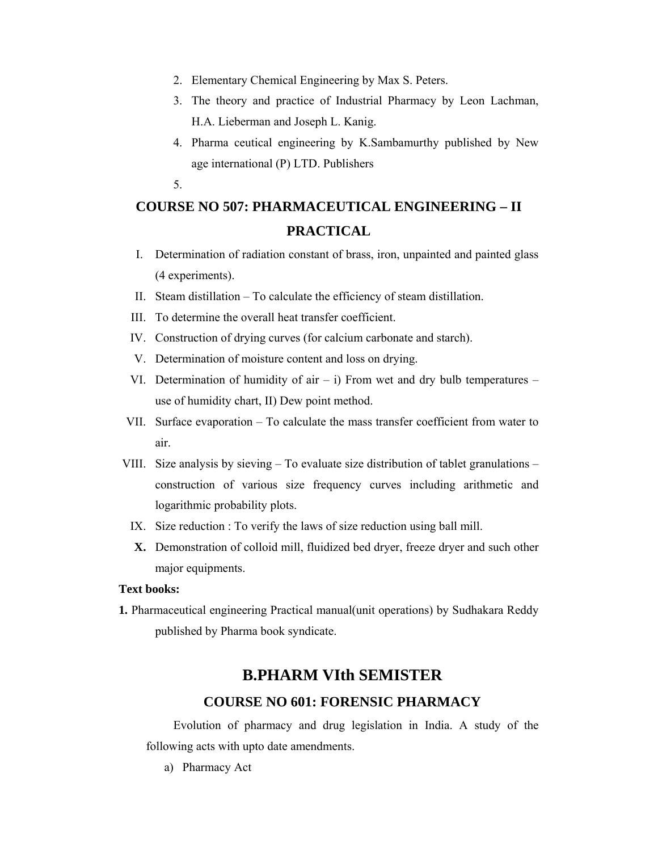- 2. Elementary Chemical Engineering by Max S. Peters.
- 3. The theory and practice of Industrial Pharmacy by Leon Lachman, H.A. Lieberman and Joseph L. Kanig.
- 4. Pharma ceutical engineering by K.Sambamurthy published by New age international (P) LTD. Publishers
- 5.

# **COURSE NO 507: PHARMACEUTICAL ENGINEERING – II PRACTICAL**

- I. Determination of radiation constant of brass, iron, unpainted and painted glass (4 experiments).
- II. Steam distillation To calculate the efficiency of steam distillation.
- III. To determine the overall heat transfer coefficient.
- IV. Construction of drying curves (for calcium carbonate and starch).
- V. Determination of moisture content and loss on drying.
- VI. Determination of humidity of air  $-$  i) From wet and dry bulb temperatures  $$ use of humidity chart, II) Dew point method.
- VII. Surface evaporation To calculate the mass transfer coefficient from water to air.
- VIII. Size analysis by sieving To evaluate size distribution of tablet granulations construction of various size frequency curves including arithmetic and logarithmic probability plots.
	- IX. Size reduction : To verify the laws of size reduction using ball mill.
	- **X.** Demonstration of colloid mill, fluidized bed dryer, freeze dryer and such other major equipments.

#### **Text books:**

**1.** Pharmaceutical engineering Practical manual(unit operations) by Sudhakara Reddy published by Pharma book syndicate.

# **B.PHARM VIth SEMISTER**

# **COURSE NO 601: FORENSIC PHARMACY**

Evolution of pharmacy and drug legislation in India. A study of the following acts with upto date amendments.

a) Pharmacy Act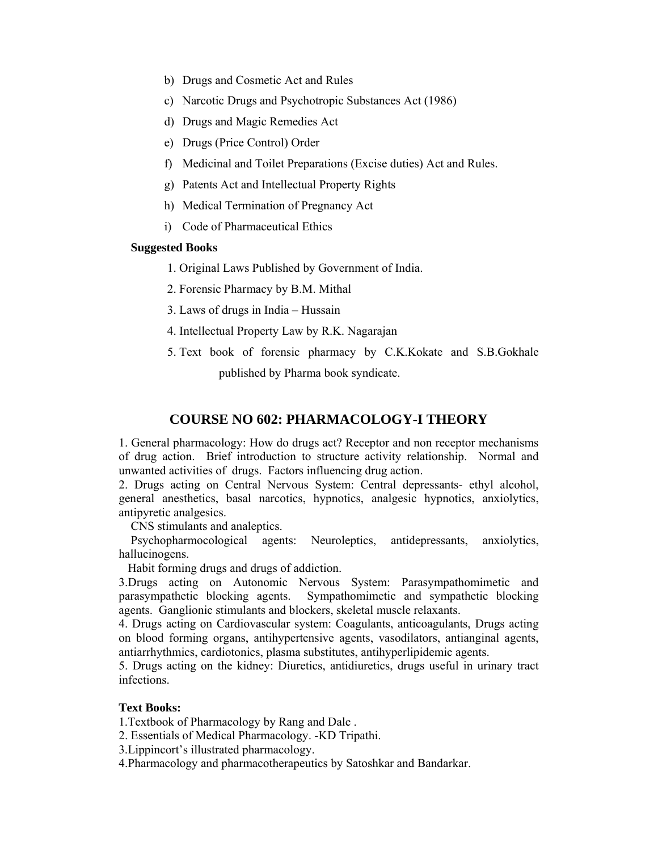- b) Drugs and Cosmetic Act and Rules
- c) Narcotic Drugs and Psychotropic Substances Act (1986)
- d) Drugs and Magic Remedies Act
- e) Drugs (Price Control) Order
- f) Medicinal and Toilet Preparations (Excise duties) Act and Rules.
- g) Patents Act and Intellectual Property Rights
- h) Medical Termination of Pregnancy Act
- i) Code of Pharmaceutical Ethics

### **Suggested Books**

- 1. Original Laws Published by Government of India.
- 2. Forensic Pharmacy by B.M. Mithal
- 3. Laws of drugs in India Hussain
- 4. Intellectual Property Law by R.K. Nagarajan
- 5. Text book of forensic pharmacy by C.K.Kokate and S.B.Gokhale published by Pharma book syndicate.

## **COURSE NO 602: PHARMACOLOGY-I THEORY**

1. General pharmacology: How do drugs act? Receptor and non receptor mechanisms of drug action. Brief introduction to structure activity relationship. Normal and unwanted activities of drugs. Factors influencing drug action.

2. Drugs acting on Central Nervous System: Central depressants- ethyl alcohol, general anesthetics, basal narcotics, hypnotics, analgesic hypnotics, anxiolytics, antipyretic analgesics.

CNS stimulants and analeptics.

 Psychopharmocological agents: Neuroleptics, antidepressants, anxiolytics, hallucinogens.

Habit forming drugs and drugs of addiction.

3.Drugs acting on Autonomic Nervous System: Parasympathomimetic and parasympathetic blocking agents. Sympathomimetic and sympathetic blocking agents. Ganglionic stimulants and blockers, skeletal muscle relaxants.

4. Drugs acting on Cardiovascular system: Coagulants, anticoagulants, Drugs acting on blood forming organs, antihypertensive agents, vasodilators, antianginal agents, antiarrhythmics, cardiotonics, plasma substitutes, antihyperlipidemic agents.

5. Drugs acting on the kidney: Diuretics, antidiuretics, drugs useful in urinary tract infections.

#### **Text Books:**

1.Textbook of Pharmacology by Rang and Dale .

2. Essentials of Medical Pharmacology. -KD Tripathi.

3.Lippincort's illustrated pharmacology.

4.Pharmacology and pharmacotherapeutics by Satoshkar and Bandarkar.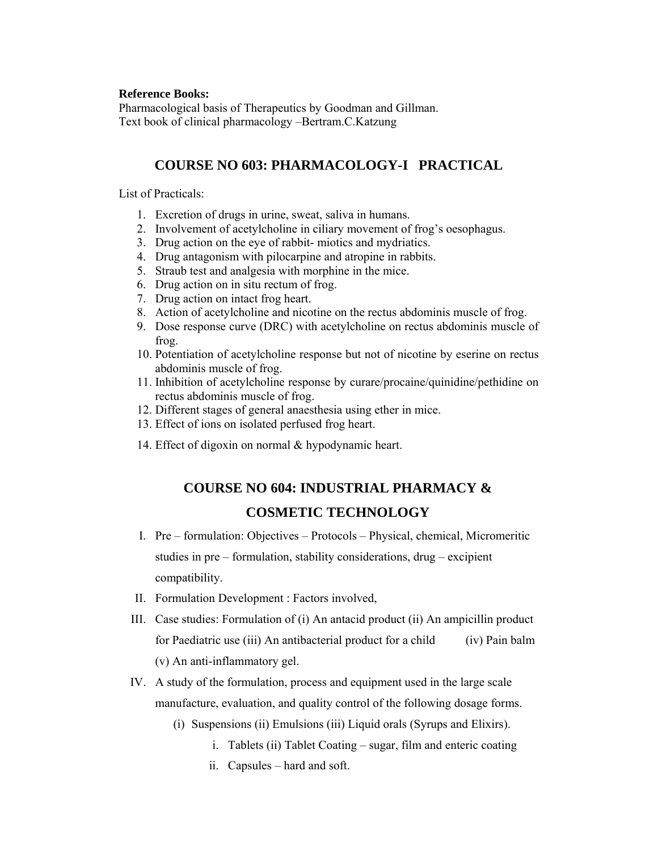#### **Reference Books:**

Pharmacological basis of Therapeutics by Goodman and Gillman. Text book of clinical pharmacology –Bertram.C.Katzung

# **COURSE NO 603: PHARMACOLOGY-I PRACTICAL**

List of Practicals:

- 1. Excretion of drugs in urine, sweat, saliva in humans.
- 2. Involvement of acetylcholine in ciliary movement of frog's oesophagus.
- 3. Drug action on the eye of rabbit- miotics and mydriatics.
- 4. Drug antagonism with pilocarpine and atropine in rabbits.
- 5. Straub test and analgesia with morphine in the mice.
- 6. Drug action on in situ rectum of frog.
- 7. Drug action on intact frog heart.
- 8. Action of acetylcholine and nicotine on the rectus abdominis muscle of frog.
- 9. Dose response curve (DRC) with acetylcholine on rectus abdominis muscle of frog.
- 10. Potentiation of acetylcholine response but not of nicotine by eserine on rectus abdominis muscle of frog.
- 11. Inhibition of acetylcholine response by curare/procaine/quinidine/pethidine on rectus abdominis muscle of frog.
- 12. Different stages of general anaesthesia using ether in mice.
- 13. Effect of ions on isolated perfused frog heart.
- 14. Effect of digoxin on normal & hypodynamic heart.

# **COURSE NO 604: INDUSTRIAL PHARMACY & COSMETIC TECHNOLOGY**

- I. Pre formulation: Objectives Protocols Physical, chemical, Micromeritic studies in pre – formulation, stability considerations, drug – excipient compatibility.
- II. Formulation Development : Factors involved,
- III. Case studies: Formulation of (i) An antacid product (ii) An ampicillin product for Paediatric use (iii) An antibacterial product for a child (iv) Pain balm (v) An anti-inflammatory gel.
- IV. A study of the formulation, process and equipment used in the large scale manufacture, evaluation, and quality control of the following dosage forms.
	- (i) Suspensions (ii) Emulsions (iii) Liquid orals (Syrups and Elixirs).
		- i. Tablets (ii) Tablet Coating sugar, film and enteric coating
		- ii. Capsules hard and soft.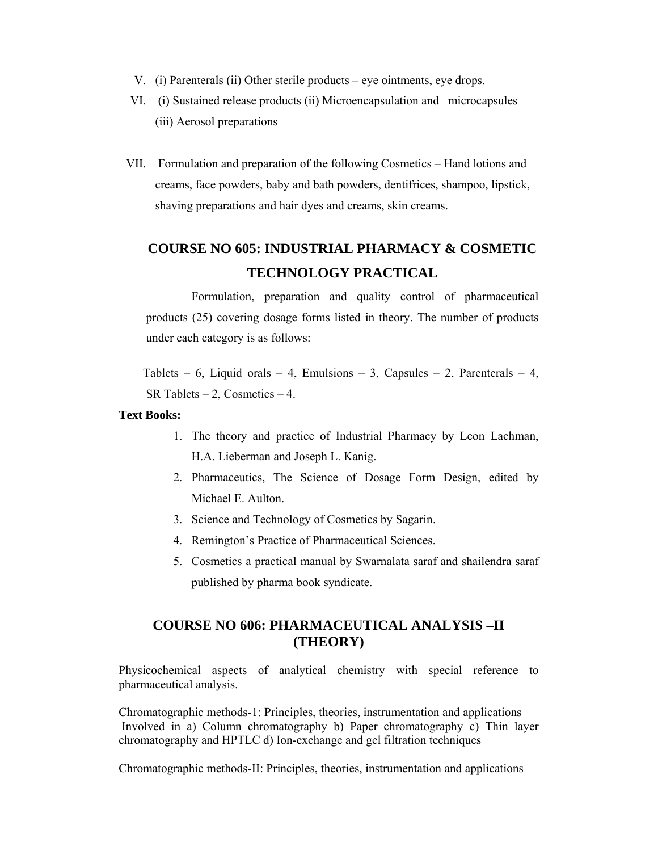- V. (i) Parenterals (ii) Other sterile products eye ointments, eye drops.
- VI. (i) Sustained release products (ii) Microencapsulation and microcapsules (iii) Aerosol preparations
- VII. Formulation and preparation of the following Cosmetics Hand lotions and creams, face powders, baby and bath powders, dentifrices, shampoo, lipstick, shaving preparations and hair dyes and creams, skin creams.

# **COURSE NO 605: INDUSTRIAL PHARMACY & COSMETIC TECHNOLOGY PRACTICAL**

 Formulation, preparation and quality control of pharmaceutical products (25) covering dosage forms listed in theory. The number of products under each category is as follows:

Tablets – 6, Liquid orals – 4, Emulsions – 3, Capsules – 2, Parenterals – 4, SR Tablets  $-2$ , Cosmetics  $-4$ .

#### **Text Books:**

- 1. The theory and practice of Industrial Pharmacy by Leon Lachman, H.A. Lieberman and Joseph L. Kanig.
- 2. Pharmaceutics, The Science of Dosage Form Design, edited by Michael E. Aulton.
- 3. Science and Technology of Cosmetics by Sagarin.
- 4. Remington's Practice of Pharmaceutical Sciences.
- 5. Cosmetics a practical manual by Swarnalata saraf and shailendra saraf published by pharma book syndicate.

# **COURSE NO 606: PHARMACEUTICAL ANALYSIS –II (THEORY)**

Physicochemical aspects of analytical chemistry with special reference to pharmaceutical analysis.

Chromatographic methods-1: Principles, theories, instrumentation and applications Involved in a) Column chromatography b) Paper chromatography c) Thin layer chromatography and HPTLC d) Ion-exchange and gel filtration techniques

Chromatographic methods-II: Principles, theories, instrumentation and applications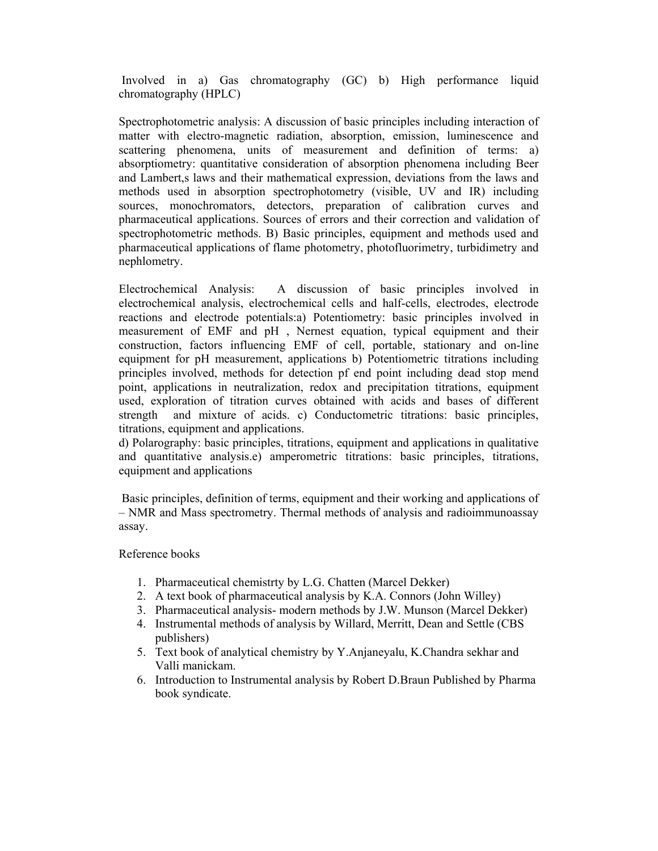Involved in a) Gas chromatography (GC) b) High performance liquid chromatography (HPLC)

Spectrophotometric analysis: A discussion of basic principles including interaction of matter with electro-magnetic radiation, absorption, emission, luminescence and scattering phenomena, units of measurement and definition of terms: a) absorptiometry: quantitative consideration of absorption phenomena including Beer and Lambert,s laws and their mathematical expression, deviations from the laws and methods used in absorption spectrophotometry (visible, UV and IR) including sources, monochromators, detectors, preparation of calibration curves and pharmaceutical applications. Sources of errors and their correction and validation of spectrophotometric methods. B) Basic principles, equipment and methods used and pharmaceutical applications of flame photometry, photofluorimetry, turbidimetry and nephlometry.

Electrochemical Analysis: A discussion of basic principles involved in electrochemical analysis, electrochemical cells and half-cells, electrodes, electrode reactions and electrode potentials:a) Potentiometry: basic principles involved in measurement of EMF and pH , Nernest equation, typical equipment and their construction, factors influencing EMF of cell, portable, stationary and on-line equipment for pH measurement, applications b) Potentiometric titrations including principles involved, methods for detection pf end point including dead stop mend point, applications in neutralization, redox and precipitation titrations, equipment used, exploration of titration curves obtained with acids and bases of different strength and mixture of acids. c) Conductometric titrations: basic principles, titrations, equipment and applications.

d) Polarography: basic principles, titrations, equipment and applications in qualitative and quantitative analysis.e) amperometric titrations: basic principles, titrations, equipment and applications

 Basic principles, definition of terms, equipment and their working and applications of – NMR and Mass spectrometry. Thermal methods of analysis and radioimmunoassay assay.

Reference books

- 1. Pharmaceutical chemistrty by L.G. Chatten (Marcel Dekker)
- 2. A text book of pharmaceutical analysis by K.A. Connors (John Willey)
- 3. Pharmaceutical analysis- modern methods by J.W. Munson (Marcel Dekker)
- 4. Instrumental methods of analysis by Willard, Merritt, Dean and Settle (CBS publishers)
- 5. Text book of analytical chemistry by Y.Anjaneyalu, K.Chandra sekhar and Valli manickam.
- 6. Introduction to Instrumental analysis by Robert D.Braun Published by Pharma book syndicate.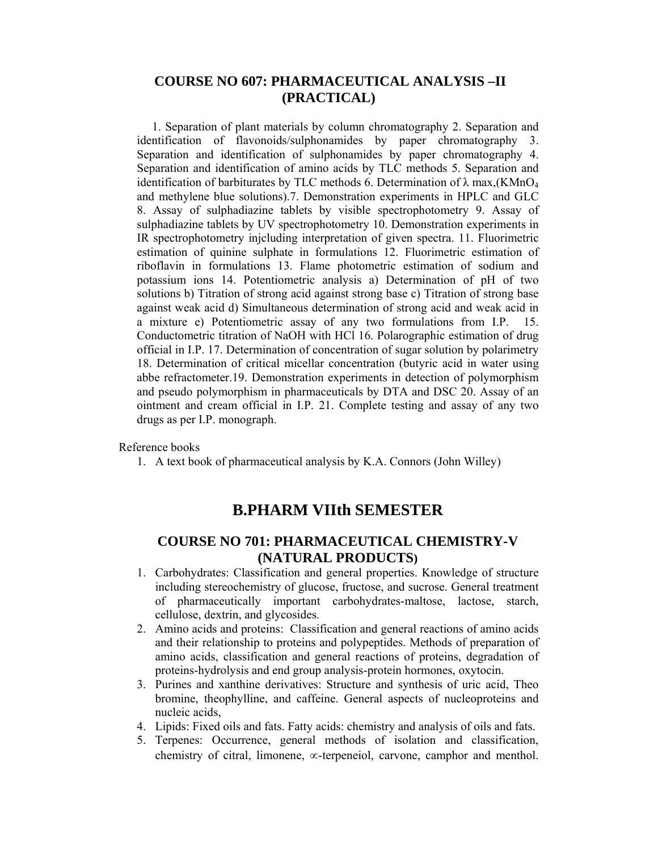## **COURSE NO 607: PHARMACEUTICAL ANALYSIS –II (PRACTICAL)**

 1. Separation of plant materials by column chromatography 2. Separation and identification of flavonoids/sulphonamides by paper chromatography 3. Separation and identification of sulphonamides by paper chromatography 4. Separation and identification of amino acids by TLC methods 5. Separation and identification of barbiturates by TLC methods 6. Determination of  $\lambda$  max, (KMnO<sub>4</sub> and methylene blue solutions).7. Demonstration experiments in HPLC and GLC 8. Assay of sulphadiazine tablets by visible spectrophotometry 9. Assay of sulphadiazine tablets by UV spectrophotometry 10. Demonstration experiments in IR spectrophotometry injcluding interpretation of given spectra. 11. Fluorimetric estimation of quinine sulphate in formulations 12. Fluorimetric estimation of riboflavin in formulations 13. Flame photometric estimation of sodium and potassium ions 14. Potentiometric analysis a) Determination of pH of two solutions b) Titration of strong acid against strong base c) Titration of strong base against weak acid d) Simultaneous determination of strong acid and weak acid in a mixture e) Potentiometric assay of any two formulations from I.P. 15. Conductometric titration of NaOH with HCl 16. Polarographic estimation of drug official in I.P. 17. Determination of concentration of sugar solution by polarimetry 18. Determination of critical micellar concentration (butyric acid in water using abbe refractometer.19. Demonstration experiments in detection of polymorphism and pseudo polymorphism in pharmaceuticals by DTA and DSC 20. Assay of an ointment and cream official in I.P. 21. Complete testing and assay of any two drugs as per I.P. monograph.

#### Reference books

1. A text book of pharmaceutical analysis by K.A. Connors (John Willey)

# **B.PHARM VIIth SEMESTER**

# **COURSE NO 701: PHARMACEUTICAL CHEMISTRY-V (NATURAL PRODUCTS)**

- 1. Carbohydrates: Classification and general properties. Knowledge of structure including stereochemistry of glucose, fructose, and sucrose. General treatment of pharmaceutically important carbohydrates-maltose, lactose, starch, cellulose, dextrin, and glycosides.
- 2. Amino acids and proteins: Classification and general reactions of amino acids and their relationship to proteins and polypeptides. Methods of preparation of amino acids, classification and general reactions of proteins, degradation of proteins-hydrolysis and end group analysis-protein hormones, oxytocin.
- 3. Purines and xanthine derivatives: Structure and synthesis of uric acid, Theo bromine, theophylline, and caffeine. General aspects of nucleoproteins and nucleic acids,
- 4. Lipids: Fixed oils and fats. Fatty acids: chemistry and analysis of oils and fats.
- 5. Terpenes: Occurrence, general methods of isolation and classification, chemistry of citral, limonene, ∝-terpeneiol, carvone, camphor and menthol.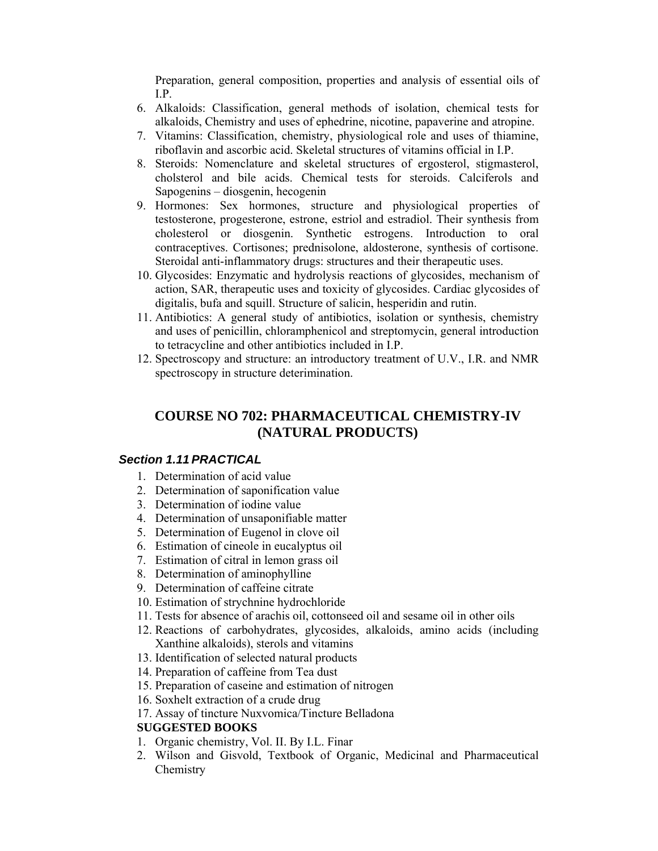Preparation, general composition, properties and analysis of essential oils of I.P.

- 6. Alkaloids: Classification, general methods of isolation, chemical tests for alkaloids, Chemistry and uses of ephedrine, nicotine, papaverine and atropine.
- 7. Vitamins: Classification, chemistry, physiological role and uses of thiamine, riboflavin and ascorbic acid. Skeletal structures of vitamins official in I.P.
- 8. Steroids: Nomenclature and skeletal structures of ergosterol, stigmasterol, cholsterol and bile acids. Chemical tests for steroids. Calciferols and Sapogenins – diosgenin, hecogenin
- 9. Hormones: Sex hormones, structure and physiological properties of testosterone, progesterone, estrone, estriol and estradiol. Their synthesis from cholesterol or diosgenin. Synthetic estrogens. Introduction to oral contraceptives. Cortisones; prednisolone, aldosterone, synthesis of cortisone. Steroidal anti-inflammatory drugs: structures and their therapeutic uses.
- 10. Glycosides: Enzymatic and hydrolysis reactions of glycosides, mechanism of action, SAR, therapeutic uses and toxicity of glycosides. Cardiac glycosides of digitalis, bufa and squill. Structure of salicin, hesperidin and rutin.
- 11. Antibiotics: A general study of antibiotics, isolation or synthesis, chemistry and uses of penicillin, chloramphenicol and streptomycin, general introduction to tetracycline and other antibiotics included in I.P.
- 12. Spectroscopy and structure: an introductory treatment of U.V., I.R. and NMR spectroscopy in structure deterimination.

# **COURSE NO 702: PHARMACEUTICAL CHEMISTRY-IV (NATURAL PRODUCTS)**

### *Section 1.11 PRACTICAL*

- 1. Determination of acid value
- 2. Determination of saponification value
- 3. Determination of iodine value
- 4. Determination of unsaponifiable matter
- 5. Determination of Eugenol in clove oil
- 6. Estimation of cineole in eucalyptus oil
- 7. Estimation of citral in lemon grass oil
- 8. Determination of aminophylline
- 9. Determination of caffeine citrate
- 10. Estimation of strychnine hydrochloride
- 11. Tests for absence of arachis oil, cottonseed oil and sesame oil in other oils
- 12. Reactions of carbohydrates, glycosides, alkaloids, amino acids (including Xanthine alkaloids), sterols and vitamins
- 13. Identification of selected natural products
- 14. Preparation of caffeine from Tea dust
- 15. Preparation of caseine and estimation of nitrogen
- 16. Soxhelt extraction of a crude drug
- 17. Assay of tincture Nuxvomica/Tincture Belladona

## **SUGGESTED BOOKS**

- 1. Organic chemistry, Vol. II. By I.L. Finar
- 2. Wilson and Gisvold, Textbook of Organic, Medicinal and Pharmaceutical Chemistry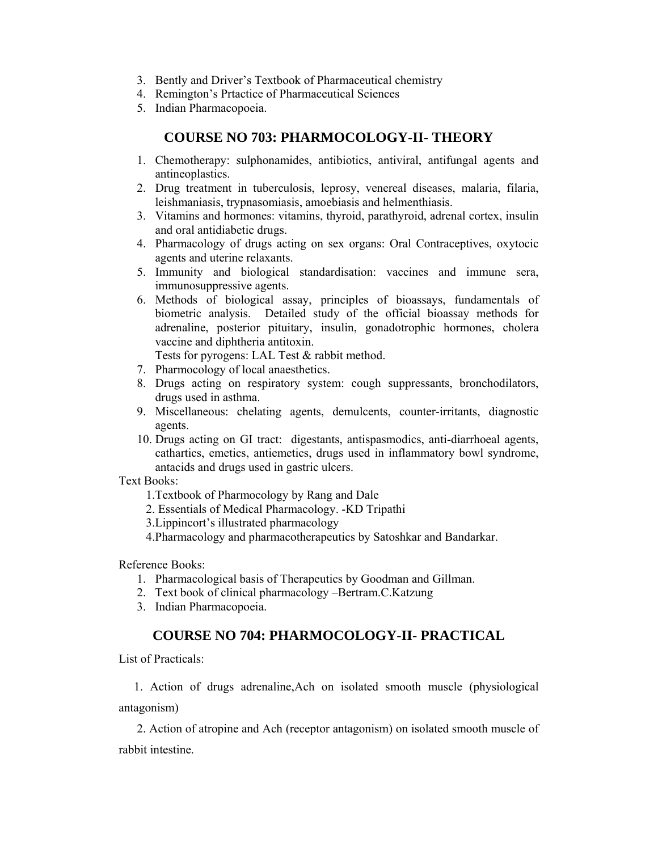- 3. Bently and Driver's Textbook of Pharmaceutical chemistry
- 4. Remington's Prtactice of Pharmaceutical Sciences
- 5. Indian Pharmacopoeia.

# **COURSE NO 703: PHARMOCOLOGY-II- THEORY**

- 1. Chemotherapy: sulphonamides, antibiotics, antiviral, antifungal agents and antineoplastics.
- 2. Drug treatment in tuberculosis, leprosy, venereal diseases, malaria, filaria, leishmaniasis, trypnasomiasis, amoebiasis and helmenthiasis.
- 3. Vitamins and hormones: vitamins, thyroid, parathyroid, adrenal cortex, insulin and oral antidiabetic drugs.
- 4. Pharmacology of drugs acting on sex organs: Oral Contraceptives, oxytocic agents and uterine relaxants.
- 5. Immunity and biological standardisation: vaccines and immune sera, immunosuppressive agents.
- 6. Methods of biological assay, principles of bioassays, fundamentals of biometric analysis. Detailed study of the official bioassay methods for adrenaline, posterior pituitary, insulin, gonadotrophic hormones, cholera vaccine and diphtheria antitoxin.
	- Tests for pyrogens: LAL Test & rabbit method.
- 7. Pharmocology of local anaesthetics.
- 8. Drugs acting on respiratory system: cough suppressants, bronchodilators, drugs used in asthma.
- 9. Miscellaneous: chelating agents, demulcents, counter-irritants, diagnostic agents.
- 10. Drugs acting on GI tract: digestants, antispasmodics, anti-diarrhoeal agents, cathartics, emetics, antiemetics, drugs used in inflammatory bowl syndrome, antacids and drugs used in gastric ulcers.

Text Books:

1.Textbook of Pharmocology by Rang and Dale

- 2. Essentials of Medical Pharmacology. -KD Tripathi
- 3.Lippincort's illustrated pharmacology
- 4.Pharmacology and pharmacotherapeutics by Satoshkar and Bandarkar.

Reference Books:

- 1. Pharmacological basis of Therapeutics by Goodman and Gillman.
- 2. Text book of clinical pharmacology –Bertram.C.Katzung
- 3. Indian Pharmacopoeia.

# **COURSE NO 704: PHARMOCOLOGY-II- PRACTICAL**

List of Practicals:

 1. Action of drugs adrenaline,Ach on isolated smooth muscle (physiological antagonism)

 2. Action of atropine and Ach (receptor antagonism) on isolated smooth muscle of rabbit intestine.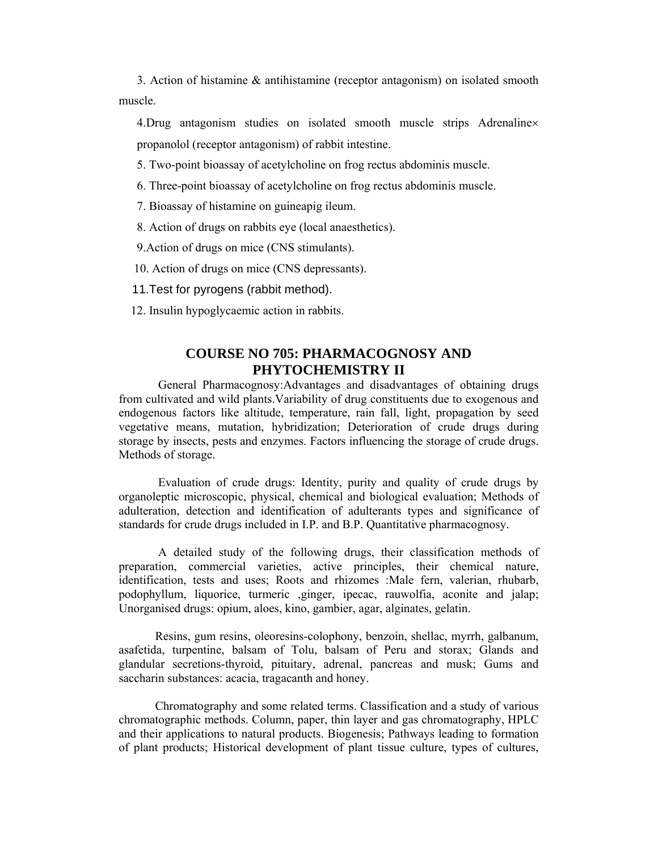3. Action of histamine & antihistamine (receptor antagonism) on isolated smooth muscle.

4.Drug antagonism studies on isolated smooth muscle strips Adrenaline× propanolol (receptor antagonism) of rabbit intestine.

5. Two-point bioassay of acetylcholine on frog rectus abdominis muscle.

6. Three-point bioassay of acetylcholine on frog rectus abdominis muscle.

- 7. Bioassay of histamine on guineapig ileum.
- 8. Action of drugs on rabbits eye (local anaesthetics).
- 9.Action of drugs on mice (CNS stimulants).
- 10. Action of drugs on mice (CNS depressants).
- 11.Test for pyrogens (rabbit method).
- 12. Insulin hypoglycaemic action in rabbits.

## **COURSE NO 705: PHARMACOGNOSY AND PHYTOCHEMISTRY II**

 General Pharmacognosy:Advantages and disadvantages of obtaining drugs from cultivated and wild plants.Variability of drug constituents due to exogenous and endogenous factors like altitude, temperature, rain fall, light, propagation by seed vegetative means, mutation, hybridization; Deterioration of crude drugs during storage by insects, pests and enzymes. Factors influencing the storage of crude drugs. Methods of storage.

 Evaluation of crude drugs: Identity, purity and quality of crude drugs by organoleptic microscopic, physical, chemical and biological evaluation; Methods of adulteration, detection and identification of adulterants types and significance of standards for crude drugs included in I.P. and B.P. Quantitative pharmacognosy.

A detailed study of the following drugs, their classification methods of preparation, commercial varieties, active principles, their chemical nature, identification, tests and uses; Roots and rhizomes :Male fern, valerian, rhubarb, podophyllum, liquorice, turmeric ,ginger, ipecac, rauwolfia, aconite and jalap; Unorganised drugs: opium, aloes, kino, gambier, agar, alginates, gelatin.

Resins, gum resins, oleoresins-colophony, benzoin, shellac, myrrh, galbanum, asafetida, turpentine, balsam of Tolu, balsam of Peru and storax; Glands and glandular secretions-thyroid, pituitary, adrenal, pancreas and musk; Gums and saccharin substances: acacia, tragacanth and honey.

Chromatography and some related terms. Classification and a study of various chromatographic methods. Column, paper, thin layer and gas chromatography, HPLC and their applications to natural products. Biogenesis; Pathways leading to formation of plant products; Historical development of plant tissue culture, types of cultures,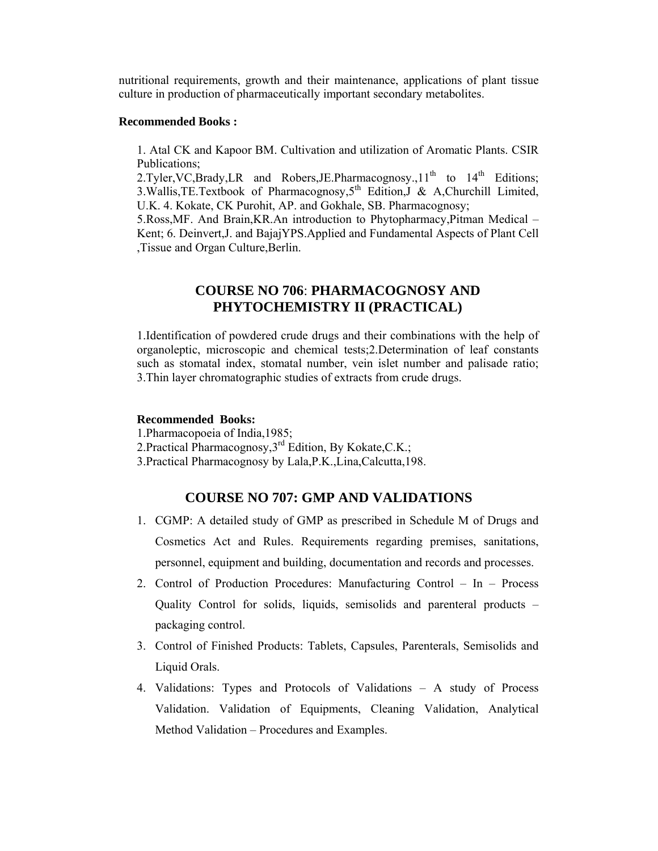nutritional requirements, growth and their maintenance, applications of plant tissue culture in production of pharmaceutically important secondary metabolites.

#### **Recommended Books :**

1. Atal CK and Kapoor BM. Cultivation and utilization of Aromatic Plants. CSIR Publications;

2.Tyler, VC, Brady, LR and Robers, JE. Pharmacognosy.,  $11<sup>th</sup>$  to  $14<sup>th</sup>$  Editions; 3. Wallis, TE. Textbook of Pharmacognosy, 5<sup>th</sup> Edition, J & A, Churchill Limited, U.K. 4. Kokate, CK Purohit, AP. and Gokhale, SB. Pharmacognosy;

5.Ross,MF. And Brain,KR.An introduction to Phytopharmacy,Pitman Medical – Kent; 6. Deinvert,J. and BajajYPS.Applied and Fundamental Aspects of Plant Cell ,Tissue and Organ Culture,Berlin.

# **COURSE NO 706**: **PHARMACOGNOSY AND PHYTOCHEMISTRY II (PRACTICAL)**

1.Identification of powdered crude drugs and their combinations with the help of organoleptic, microscopic and chemical tests;2.Determination of leaf constants such as stomatal index, stomatal number, vein islet number and palisade ratio; 3.Thin layer chromatographic studies of extracts from crude drugs.

#### **Recommended Books:**

1.Pharmacopoeia of India,1985;

- 2. Practical Pharmacognosy,  $3^{rd}$  Edition, By Kokate, C.K.;
- 3.Practical Pharmacognosy by Lala,P.K.,Lina,Calcutta,198.

## **COURSE NO 707: GMP AND VALIDATIONS**

- 1. CGMP: A detailed study of GMP as prescribed in Schedule M of Drugs and Cosmetics Act and Rules. Requirements regarding premises, sanitations, personnel, equipment and building, documentation and records and processes.
- 2. Control of Production Procedures: Manufacturing Control In Process Quality Control for solids, liquids, semisolids and parenteral products – packaging control.
- 3. Control of Finished Products: Tablets, Capsules, Parenterals, Semisolids and Liquid Orals.
- 4. Validations: Types and Protocols of Validations A study of Process Validation. Validation of Equipments, Cleaning Validation, Analytical Method Validation – Procedures and Examples.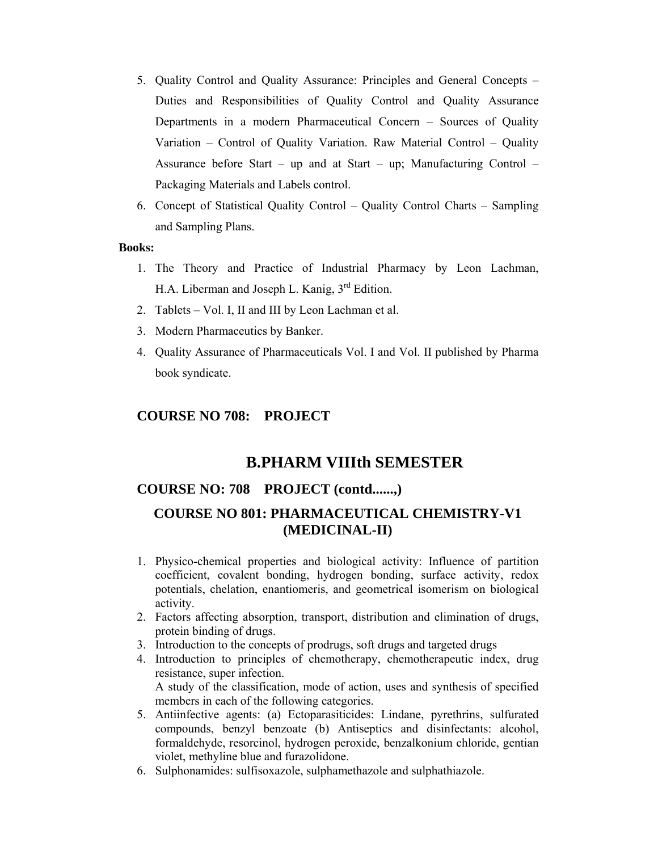- 5. Quality Control and Quality Assurance: Principles and General Concepts Duties and Responsibilities of Quality Control and Quality Assurance Departments in a modern Pharmaceutical Concern – Sources of Quality Variation – Control of Quality Variation. Raw Material Control – Quality Assurance before Start – up and at Start – up; Manufacturing Control – Packaging Materials and Labels control.
- 6. Concept of Statistical Quality Control Quality Control Charts Sampling and Sampling Plans.

### **Books:**

- 1. The Theory and Practice of Industrial Pharmacy by Leon Lachman, H.A. Liberman and Joseph L. Kanig,  $3<sup>rd</sup>$  Edition.
- 2. Tablets Vol. I, II and III by Leon Lachman et al.
- 3. Modern Pharmaceutics by Banker.
- 4. Quality Assurance of Pharmaceuticals Vol. I and Vol. II published by Pharma book syndicate.

## **COURSE NO 708: PROJECT**

# **B.PHARM VIIIth SEMESTER**

## **COURSE NO: 708 PROJECT (contd......,)**

# **COURSE NO 801: PHARMACEUTICAL CHEMISTRY-V1 (MEDICINAL-II)**

- 1. Physico-chemical properties and biological activity: Influence of partition coefficient, covalent bonding, hydrogen bonding, surface activity, redox potentials, chelation, enantiomeris, and geometrical isomerism on biological activity.
- 2. Factors affecting absorption, transport, distribution and elimination of drugs, protein binding of drugs.
- 3. Introduction to the concepts of prodrugs, soft drugs and targeted drugs
- 4. Introduction to principles of chemotherapy, chemotherapeutic index, drug resistance, super infection. A study of the classification, mode of action, uses and synthesis of specified members in each of the following categories.
- 5. Antiinfective agents: (a) Ectoparasiticides: Lindane, pyrethrins, sulfurated compounds, benzyl benzoate (b) Antiseptics and disinfectants: alcohol, formaldehyde, resorcinol, hydrogen peroxide, benzalkonium chloride, gentian violet, methyline blue and furazolidone.
- 6. Sulphonamides: sulfisoxazole, sulphamethazole and sulphathiazole.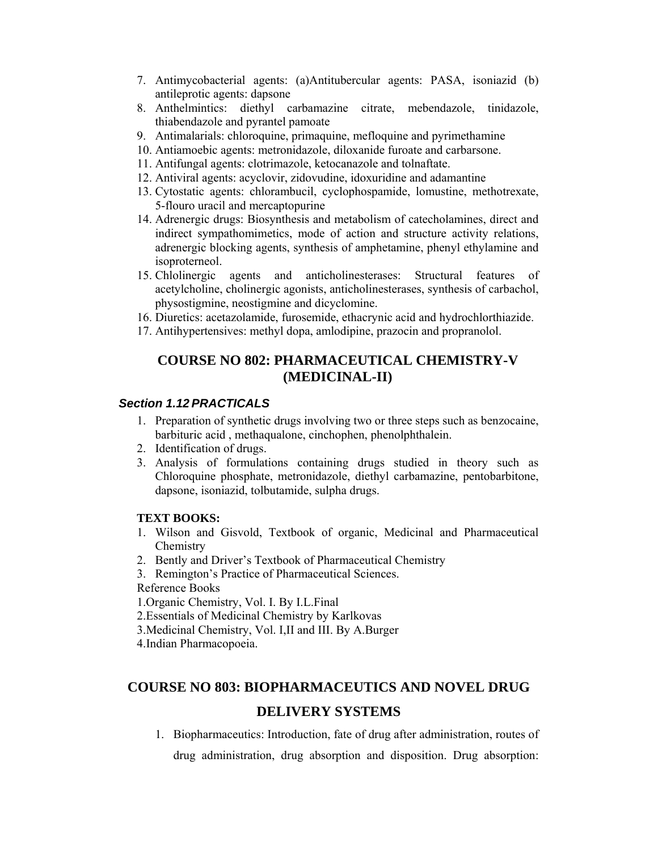- 7. Antimycobacterial agents: (a)Antitubercular agents: PASA, isoniazid (b) antileprotic agents: dapsone
- 8. Anthelmintics: diethyl carbamazine citrate, mebendazole, tinidazole, thiabendazole and pyrantel pamoate
- 9. Antimalarials: chloroquine, primaquine, mefloquine and pyrimethamine
- 10. Antiamoebic agents: metronidazole, diloxanide furoate and carbarsone.
- 11. Antifungal agents: clotrimazole, ketocanazole and tolnaftate.
- 12. Antiviral agents: acyclovir, zidovudine, idoxuridine and adamantine
- 13. Cytostatic agents: chlorambucil, cyclophospamide, lomustine, methotrexate, 5-flouro uracil and mercaptopurine
- 14. Adrenergic drugs: Biosynthesis and metabolism of catecholamines, direct and indirect sympathomimetics, mode of action and structure activity relations, adrenergic blocking agents, synthesis of amphetamine, phenyl ethylamine and isoproterneol.
- 15. Chlolinergic agents and anticholinesterases: Structural features of acetylcholine, cholinergic agonists, anticholinesterases, synthesis of carbachol, physostigmine, neostigmine and dicyclomine.
- 16. Diuretics: acetazolamide, furosemide, ethacrynic acid and hydrochlorthiazide.
- 17. Antihypertensives: methyl dopa, amlodipine, prazocin and propranolol.

# **COURSE NO 802: PHARMACEUTICAL CHEMISTRY-V (MEDICINAL-II)**

### *Section 1.12 PRACTICALS*

- 1. Preparation of synthetic drugs involving two or three steps such as benzocaine, barbituric acid , methaqualone, cinchophen, phenolphthalein.
- 2. Identification of drugs.
- 3. Analysis of formulations containing drugs studied in theory such as Chloroquine phosphate, metronidazole, diethyl carbamazine, pentobarbitone, dapsone, isoniazid, tolbutamide, sulpha drugs.

### **TEXT BOOKS:**

- 1. Wilson and Gisvold, Textbook of organic, Medicinal and Pharmaceutical **Chemistry**
- 2. Bently and Driver's Textbook of Pharmaceutical Chemistry
- 3. Remington's Practice of Pharmaceutical Sciences.
- Reference Books

1.Organic Chemistry, Vol. I. By I.L.Final

- 2.Essentials of Medicinal Chemistry by Karlkovas
- 3.Medicinal Chemistry, Vol. I,II and III. By A.Burger
- 4.Indian Pharmacopoeia.

# **COURSE NO 803: BIOPHARMACEUTICS AND NOVEL DRUG**

# **DELIVERY SYSTEMS**

1. Biopharmaceutics: Introduction, fate of drug after administration, routes of

drug administration, drug absorption and disposition. Drug absorption: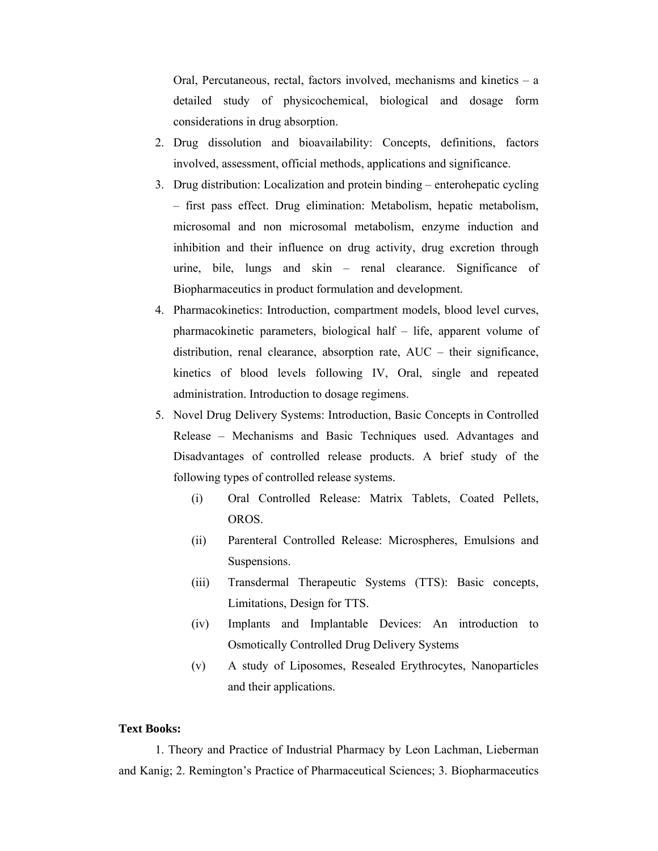Oral, Percutaneous, rectal, factors involved, mechanisms and kinetics – a detailed study of physicochemical, biological and dosage form considerations in drug absorption.

- 2. Drug dissolution and bioavailability: Concepts, definitions, factors involved, assessment, official methods, applications and significance.
- 3. Drug distribution: Localization and protein binding enterohepatic cycling – first pass effect. Drug elimination: Metabolism, hepatic metabolism, microsomal and non microsomal metabolism, enzyme induction and inhibition and their influence on drug activity, drug excretion through urine, bile, lungs and skin – renal clearance. Significance of Biopharmaceutics in product formulation and development.
- 4. Pharmacokinetics: Introduction, compartment models, blood level curves, pharmacokinetic parameters, biological half – life, apparent volume of distribution, renal clearance, absorption rate, AUC – their significance, kinetics of blood levels following IV, Oral, single and repeated administration. Introduction to dosage regimens.
- 5. Novel Drug Delivery Systems: Introduction, Basic Concepts in Controlled Release – Mechanisms and Basic Techniques used. Advantages and Disadvantages of controlled release products. A brief study of the following types of controlled release systems.
	- (i) Oral Controlled Release: Matrix Tablets, Coated Pellets, OROS.
	- (ii) Parenteral Controlled Release: Microspheres, Emulsions and Suspensions.
	- (iii) Transdermal Therapeutic Systems (TTS): Basic concepts, Limitations, Design for TTS.
	- (iv) Implants and Implantable Devices: An introduction to Osmotically Controlled Drug Delivery Systems
	- (v) A study of Liposomes, Resealed Erythrocytes, Nanoparticles and their applications.

## **Text Books:**

1. Theory and Practice of Industrial Pharmacy by Leon Lachman, Lieberman and Kanig; 2. Remington's Practice of Pharmaceutical Sciences; 3. Biopharmaceutics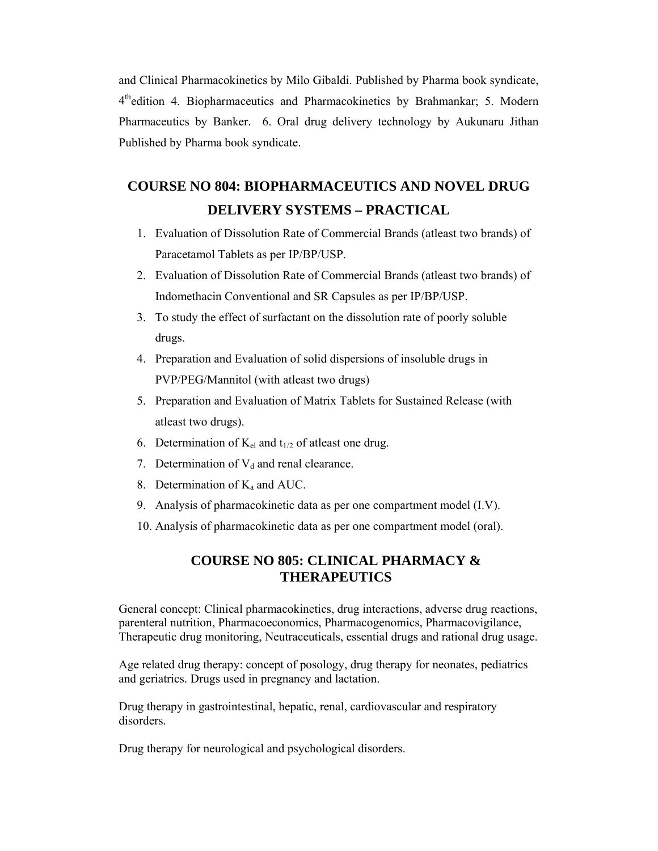and Clinical Pharmacokinetics by Milo Gibaldi. Published by Pharma book syndicate, 4thedition 4. Biopharmaceutics and Pharmacokinetics by Brahmankar; 5. Modern Pharmaceutics by Banker. 6. Oral drug delivery technology by Aukunaru Jithan Published by Pharma book syndicate.

# **COURSE NO 804: BIOPHARMACEUTICS AND NOVEL DRUG DELIVERY SYSTEMS – PRACTICAL**

- 1. Evaluation of Dissolution Rate of Commercial Brands (atleast two brands) of Paracetamol Tablets as per IP/BP/USP.
- 2. Evaluation of Dissolution Rate of Commercial Brands (atleast two brands) of Indomethacin Conventional and SR Capsules as per IP/BP/USP.
- 3. To study the effect of surfactant on the dissolution rate of poorly soluble drugs.
- 4. Preparation and Evaluation of solid dispersions of insoluble drugs in PVP/PEG/Mannitol (with atleast two drugs)
- 5. Preparation and Evaluation of Matrix Tablets for Sustained Release (with atleast two drugs).
- 6. Determination of  $K_{el}$  and  $t_{1/2}$  of atleast one drug.
- 7. Determination of  $V_d$  and renal clearance.
- 8. Determination of  $K_a$  and AUC.
- 9. Analysis of pharmacokinetic data as per one compartment model (I.V).
- 10. Analysis of pharmacokinetic data as per one compartment model (oral).

# **COURSE NO 805: CLINICAL PHARMACY & THERAPEUTICS**

General concept: Clinical pharmacokinetics, drug interactions, adverse drug reactions, parenteral nutrition, Pharmacoeconomics, Pharmacogenomics, Pharmacovigilance, Therapeutic drug monitoring, Neutraceuticals, essential drugs and rational drug usage.

Age related drug therapy: concept of posology, drug therapy for neonates, pediatrics and geriatrics. Drugs used in pregnancy and lactation.

Drug therapy in gastrointestinal, hepatic, renal, cardiovascular and respiratory disorders.

Drug therapy for neurological and psychological disorders.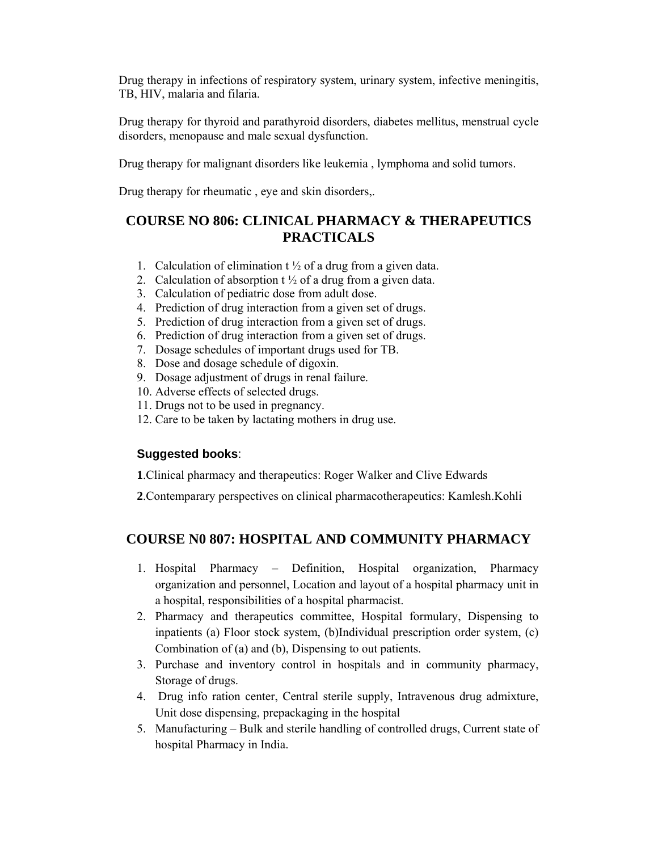Drug therapy in infections of respiratory system, urinary system, infective meningitis, TB, HIV, malaria and filaria.

Drug therapy for thyroid and parathyroid disorders, diabetes mellitus, menstrual cycle disorders, menopause and male sexual dysfunction.

Drug therapy for malignant disorders like leukemia , lymphoma and solid tumors.

Drug therapy for rheumatic , eye and skin disorders,.

# **COURSE NO 806: CLINICAL PHARMACY & THERAPEUTICS PRACTICALS**

- 1. Calculation of elimination  $t \frac{1}{2}$  of a drug from a given data.
- 2. Calculation of absorption  $t \frac{1}{2}$  of a drug from a given data.
- 3. Calculation of pediatric dose from adult dose.
- 4. Prediction of drug interaction from a given set of drugs.
- 5. Prediction of drug interaction from a given set of drugs.
- 6. Prediction of drug interaction from a given set of drugs.
- 7. Dosage schedules of important drugs used for TB.
- 8. Dose and dosage schedule of digoxin.
- 9. Dosage adjustment of drugs in renal failure.
- 10. Adverse effects of selected drugs.
- 11. Drugs not to be used in pregnancy.
- 12. Care to be taken by lactating mothers in drug use.

# **Suggested books**:

**1**.Clinical pharmacy and therapeutics: Roger Walker and Clive Edwards

**2**.Contemparary perspectives on clinical pharmacotherapeutics: Kamlesh.Kohli

# **COURSE N0 807: HOSPITAL AND COMMUNITY PHARMACY**

- 1. Hospital Pharmacy Definition, Hospital organization, Pharmacy organization and personnel, Location and layout of a hospital pharmacy unit in a hospital, responsibilities of a hospital pharmacist.
- 2. Pharmacy and therapeutics committee, Hospital formulary, Dispensing to inpatients (a) Floor stock system, (b)Individual prescription order system, (c) Combination of (a) and (b), Dispensing to out patients.
- 3. Purchase and inventory control in hospitals and in community pharmacy, Storage of drugs.
- 4. Drug info ration center, Central sterile supply, Intravenous drug admixture, Unit dose dispensing, prepackaging in the hospital
- 5. Manufacturing Bulk and sterile handling of controlled drugs, Current state of hospital Pharmacy in India.